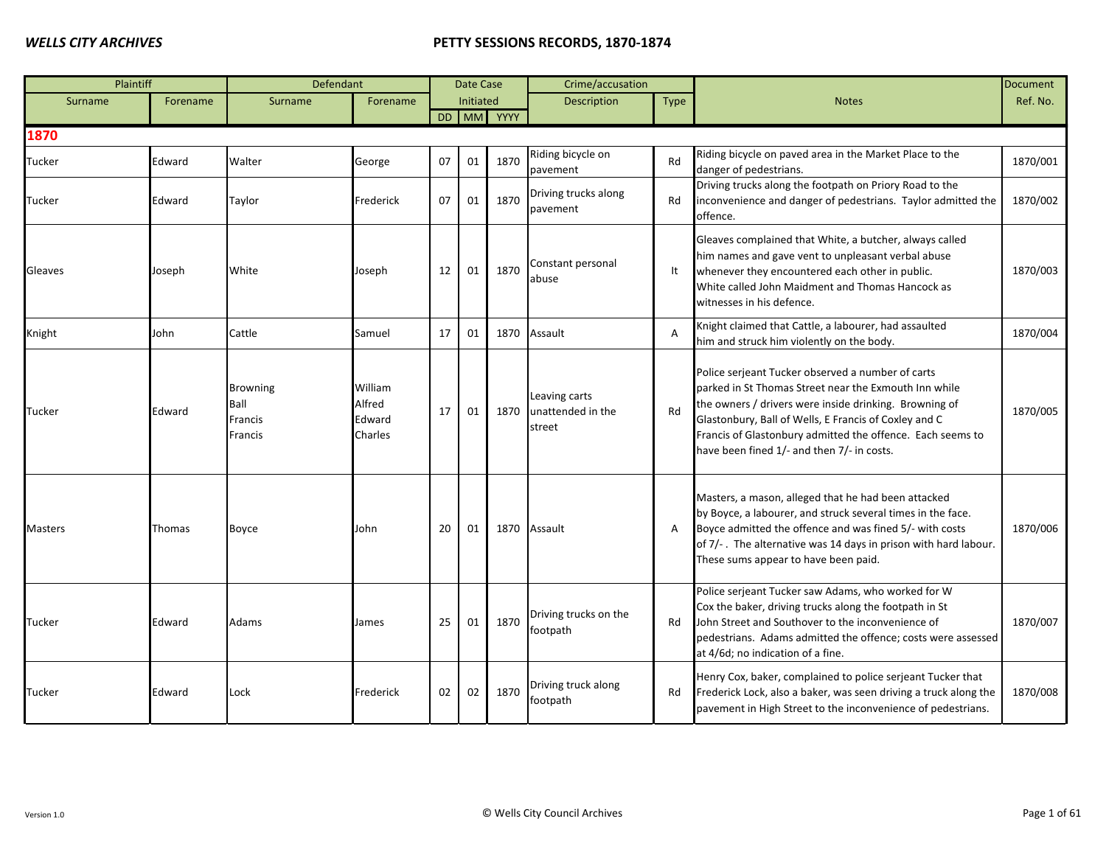| Plaintiff      |          | Defendant                                     |                                        |    | Date Case        |            | Crime/accusation                             |                |                                                                                                                                                                                                                                                                                                                                           | <b>Document</b> |
|----------------|----------|-----------------------------------------------|----------------------------------------|----|------------------|------------|----------------------------------------------|----------------|-------------------------------------------------------------------------------------------------------------------------------------------------------------------------------------------------------------------------------------------------------------------------------------------------------------------------------------------|-----------------|
| Surname        | Forename | Surname                                       | Forename                               |    | <b>Initiated</b> |            | Description                                  | Type           | <b>Notes</b>                                                                                                                                                                                                                                                                                                                              | Ref. No.        |
|                |          |                                               |                                        |    |                  | DD MM YYYY |                                              |                |                                                                                                                                                                                                                                                                                                                                           |                 |
| 1870           |          |                                               |                                        |    |                  |            |                                              |                |                                                                                                                                                                                                                                                                                                                                           |                 |
| Tucker         | Edward   | Walter                                        | George                                 | 07 | 01               | 1870       | Riding bicycle on<br>pavement                | Rd             | Riding bicycle on paved area in the Market Place to the<br>danger of pedestrians.                                                                                                                                                                                                                                                         | 1870/001        |
| Tucker         | Edward   | Taylor                                        | Frederick                              | 07 | 01               | 1870       | Driving trucks along<br>pavement             | Rd             | Driving trucks along the footpath on Priory Road to the<br>inconvenience and danger of pedestrians. Taylor admitted the<br>offence.                                                                                                                                                                                                       | 1870/002        |
| Gleaves        | Joseph   | White                                         | Joseph                                 | 12 | 01               | 1870       | Constant personal<br>abuse                   | It             | Gleaves complained that White, a butcher, always called<br>him names and gave vent to unpleasant verbal abuse<br>whenever they encountered each other in public.<br>White called John Maidment and Thomas Hancock as<br>witnesses in his defence.                                                                                         | 1870/003        |
| Knight         | John     | Cattle                                        | Samuel                                 | 17 | 01               |            | 1870 Assault                                 | $\overline{A}$ | Knight claimed that Cattle, a labourer, had assaulted<br>him and struck him violently on the body.                                                                                                                                                                                                                                        | 1870/004        |
| Tucker         | Edward   | <b>Browning</b><br>Ball<br>Francis<br>Francis | William<br>Alfred<br>Edward<br>Charles | 17 | 01               | 1870       | Leaving carts<br>unattended in the<br>street | Rd             | Police serjeant Tucker observed a number of carts<br>parked in St Thomas Street near the Exmouth Inn while<br>the owners / drivers were inside drinking. Browning of<br>Glastonbury, Ball of Wells, E Francis of Coxley and C<br>Francis of Glastonbury admitted the offence. Each seems to<br>have been fined 1/- and then 7/- in costs. | 1870/005        |
| <b>Masters</b> | Thomas   | Boyce                                         | John                                   | 20 | 01               | 1870       | Assault                                      | $\overline{A}$ | Masters, a mason, alleged that he had been attacked<br>by Boyce, a labourer, and struck several times in the face.<br>Boyce admitted the offence and was fined 5/- with costs<br>of 7/-. The alternative was 14 days in prison with hard labour.<br>These sums appear to have been paid.                                                  | 1870/006        |
| Tucker         | Edward   | Adams                                         | James                                  | 25 | 01               | 1870       | Driving trucks on the<br>footpath            | Rd             | Police serjeant Tucker saw Adams, who worked for W<br>Cox the baker, driving trucks along the footpath in St<br>John Street and Southover to the inconvenience of<br>pedestrians. Adams admitted the offence; costs were assessed<br>at 4/6d; no indication of a fine.                                                                    | 1870/007        |
| Tucker         | Edward   | Lock                                          | Frederick                              | 02 | 02               | 1870       | Driving truck along<br>footpath              | Rd             | Henry Cox, baker, complained to police serjeant Tucker that<br>Frederick Lock, also a baker, was seen driving a truck along the<br>pavement in High Street to the inconvenience of pedestrians.                                                                                                                                           | 1870/008        |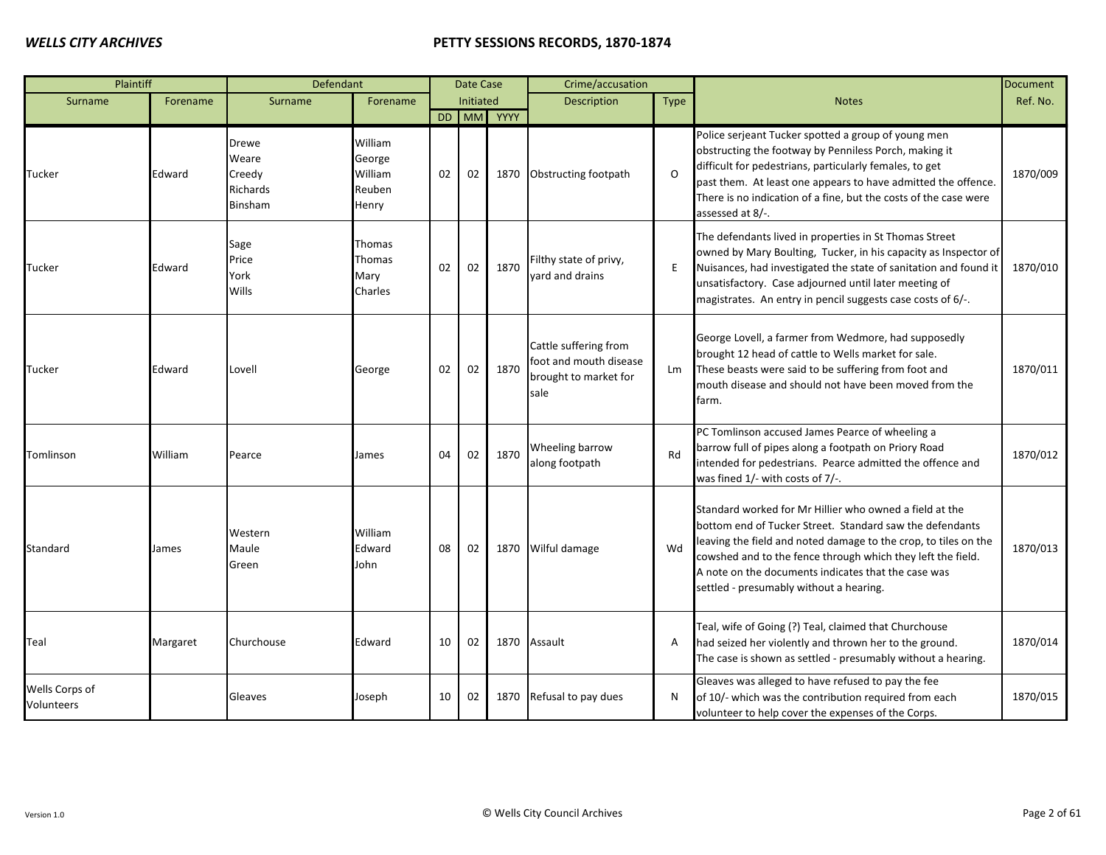| Plaintiff                    |          | Defendant                                       |                                                 |    | Date Case |      | Crime/accusation                                                                 |             |                                                                                                                                                                                                                                                                                                                                                         | <b>Document</b> |
|------------------------------|----------|-------------------------------------------------|-------------------------------------------------|----|-----------|------|----------------------------------------------------------------------------------|-------------|---------------------------------------------------------------------------------------------------------------------------------------------------------------------------------------------------------------------------------------------------------------------------------------------------------------------------------------------------------|-----------------|
| Surname                      | Forename | Surname                                         | Forename                                        |    | Initiated |      | <b>Description</b>                                                               | <b>Type</b> | <b>Notes</b>                                                                                                                                                                                                                                                                                                                                            | Ref. No.        |
|                              |          |                                                 |                                                 |    | DD MM     | YYYY |                                                                                  |             |                                                                                                                                                                                                                                                                                                                                                         |                 |
| Tucker                       | Edward   | Drewe<br>Weare<br>Creedy<br>Richards<br>Binsham | William<br>George<br>William<br>Reuben<br>Henry | 02 | 02        | 1870 | Obstructing footpath                                                             | $\Omega$    | Police serjeant Tucker spotted a group of young men<br>obstructing the footway by Penniless Porch, making it<br>difficult for pedestrians, particularly females, to get<br>past them. At least one appears to have admitted the offence.<br>There is no indication of a fine, but the costs of the case were<br>assessed at 8/-.                        | 1870/009        |
| Tucker                       | Edward   | Sage<br>Price<br>York<br>Wills                  | Thomas<br>Thomas<br>Mary<br>Charles             | 02 | 02        | 1870 | Filthy state of privy,<br>vard and drains                                        | E           | The defendants lived in properties in St Thomas Street<br>owned by Mary Boulting, Tucker, in his capacity as Inspector of<br>Nuisances, had investigated the state of sanitation and found it<br>unsatisfactory. Case adjourned until later meeting of<br>magistrates. An entry in pencil suggests case costs of 6/-.                                   | 1870/010        |
| Tucker                       | Edward   | Lovell                                          | George                                          | 02 | 02        | 1870 | Cattle suffering from<br>foot and mouth disease<br>brought to market for<br>sale | Lm          | George Lovell, a farmer from Wedmore, had supposedly<br>brought 12 head of cattle to Wells market for sale.<br>These beasts were said to be suffering from foot and<br>mouth disease and should not have been moved from the<br>farm.                                                                                                                   | 1870/011        |
| Tomlinson                    | William  | Pearce                                          | James                                           | 04 | 02        | 1870 | Wheeling barrow<br>along footpath                                                | Rd          | PC Tomlinson accused James Pearce of wheeling a<br>barrow full of pipes along a footpath on Priory Road<br>intended for pedestrians. Pearce admitted the offence and<br>was fined 1/- with costs of 7/-.                                                                                                                                                | 1870/012        |
| Standard                     | James    | Western<br>Maule<br>Green                       | William<br>Edward<br>John                       | 08 | 02        | 1870 | Wilful damage                                                                    | Wd          | Standard worked for Mr Hillier who owned a field at the<br>bottom end of Tucker Street. Standard saw the defendants<br>leaving the field and noted damage to the crop, to tiles on the<br>cowshed and to the fence through which they left the field.<br>A note on the documents indicates that the case was<br>settled - presumably without a hearing. | 1870/013        |
| Teal                         | Margaret | Churchouse                                      | Edward                                          | 10 | 02        | 1870 | Assault                                                                          | Α           | Teal, wife of Going (?) Teal, claimed that Churchouse<br>had seized her violently and thrown her to the ground.<br>The case is shown as settled - presumably without a hearing.                                                                                                                                                                         | 1870/014        |
| Wells Corps of<br>Volunteers |          | Gleaves                                         | Joseph                                          | 10 | 02        | 1870 | Refusal to pay dues                                                              | N           | Gleaves was alleged to have refused to pay the fee<br>of 10/- which was the contribution required from each<br>volunteer to help cover the expenses of the Corps.                                                                                                                                                                                       | 1870/015        |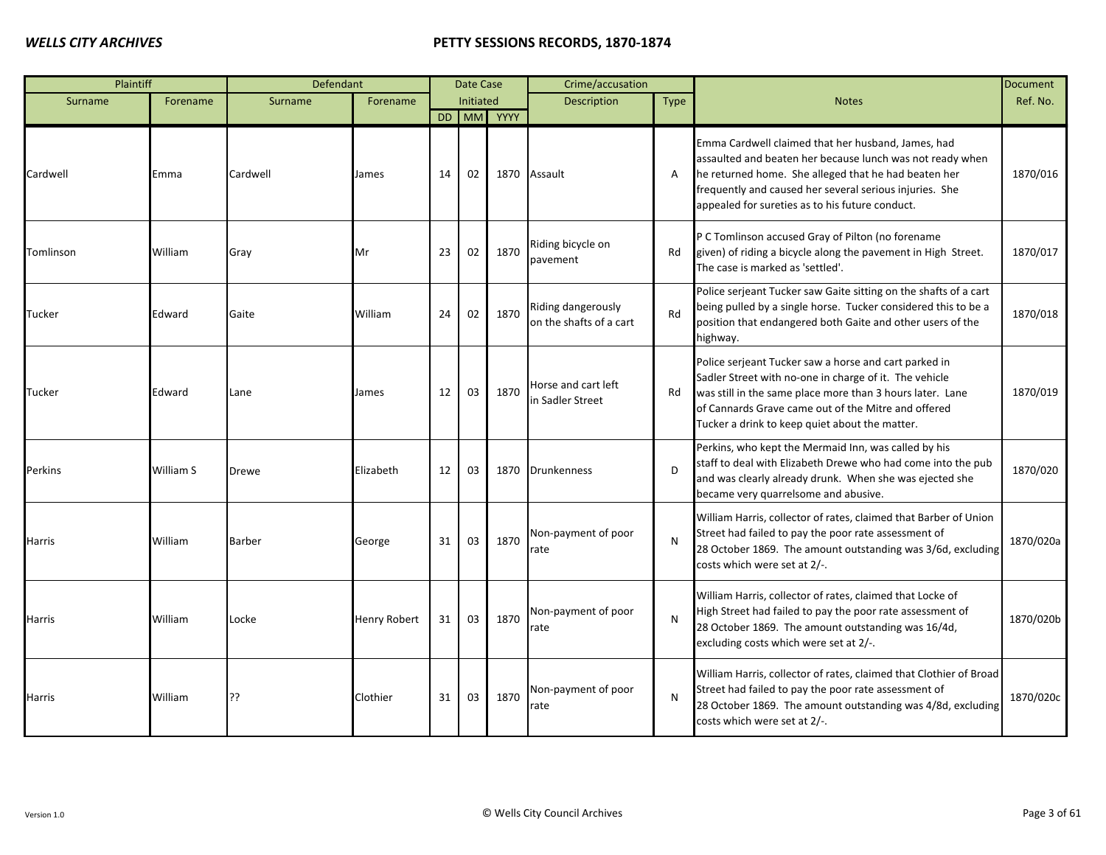| Plaintiff |           | Defendant     |                     |    | <b>Date Case</b> |            | Crime/accusation                              |                |                                                                                                                                                                                                                                                                                       | <b>Document</b> |
|-----------|-----------|---------------|---------------------|----|------------------|------------|-----------------------------------------------|----------------|---------------------------------------------------------------------------------------------------------------------------------------------------------------------------------------------------------------------------------------------------------------------------------------|-----------------|
| Surname   | Forename  | Surname       | Forename            |    | Initiated        |            | <b>Description</b>                            | <b>Type</b>    | <b>Notes</b>                                                                                                                                                                                                                                                                          | Ref. No.        |
|           |           |               |                     |    |                  | DD MM YYYY |                                               |                |                                                                                                                                                                                                                                                                                       |                 |
| Cardwell  | Emma      | Cardwell      | James               | 14 | 02               | 1870       | Assault                                       | $\overline{A}$ | Emma Cardwell claimed that her husband, James, had<br>assaulted and beaten her because lunch was not ready when<br>he returned home. She alleged that he had beaten her<br>frequently and caused her several serious injuries. She<br>appealed for sureties as to his future conduct. | 1870/016        |
| Tomlinson | William   | Gray          | Mr                  | 23 | 02               | 1870       | Riding bicycle on<br>pavement                 | Rd             | P C Tomlinson accused Gray of Pilton (no forename<br>given) of riding a bicycle along the pavement in High Street.<br>The case is marked as 'settled'.                                                                                                                                | 1870/017        |
| Tucker    | Edward    | Gaite         | William             | 24 | 02               | 1870       | Riding dangerously<br>on the shafts of a cart | Rd             | Police serjeant Tucker saw Gaite sitting on the shafts of a cart<br>being pulled by a single horse. Tucker considered this to be a<br>position that endangered both Gaite and other users of the<br>highway.                                                                          | 1870/018        |
| Tucker    | Edward    | Lane          | James               | 12 | 03               | 1870       | Horse and cart left<br>in Sadler Street       | Rd             | Police serjeant Tucker saw a horse and cart parked in<br>Sadler Street with no-one in charge of it. The vehicle<br>was still in the same place more than 3 hours later. Lane<br>of Cannards Grave came out of the Mitre and offered<br>Tucker a drink to keep quiet about the matter. | 1870/019        |
| Perkins   | William S | <b>Drewe</b>  | Elizabeth           | 12 | 03               | 1870       | <b>Drunkenness</b>                            | D              | Perkins, who kept the Mermaid Inn, was called by his<br>staff to deal with Elizabeth Drewe who had come into the pub<br>and was clearly already drunk. When she was ejected she<br>became very quarrelsome and abusive.                                                               | 1870/020        |
| Harris    | William   | <b>Barber</b> | George              | 31 | 03               | 1870       | Non-payment of poor<br>rate                   | N              | William Harris, collector of rates, claimed that Barber of Union<br>Street had failed to pay the poor rate assessment of<br>28 October 1869. The amount outstanding was 3/6d, excluding<br>costs which were set at 2/-.                                                               | 1870/020a       |
| Harris    | William   | Locke         | <b>Henry Robert</b> | 31 | 03               | 1870       | Non-payment of poor<br>rate                   | N              | William Harris, collector of rates, claimed that Locke of<br>High Street had failed to pay the poor rate assessment of<br>28 October 1869. The amount outstanding was 16/4d,<br>excluding costs which were set at 2/-.                                                                | 1870/020b       |
| Harris    | William   | ??            | Clothier            | 31 | 03               | 1870       | Non-payment of poor<br>rate                   | N              | William Harris, collector of rates, claimed that Clothier of Broad<br>Street had failed to pay the poor rate assessment of<br>28 October 1869. The amount outstanding was 4/8d, excluding<br>costs which were set at 2/-.                                                             | 1870/020c       |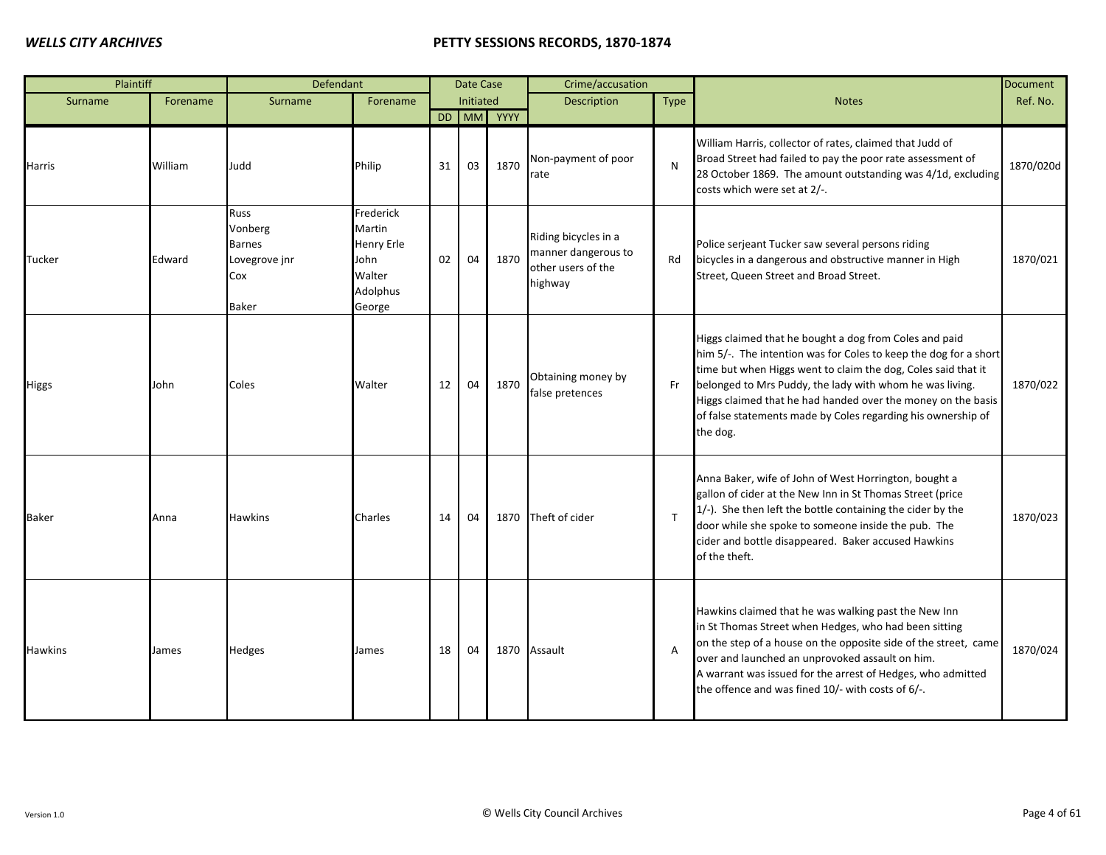| Plaintiff      |          | Defendant                                                         |                                                                           |    | Date Case |            | Crime/accusation                                                             |                |                                                                                                                                                                                                                                                                                                                                                                                                     | <b>Document</b> |
|----------------|----------|-------------------------------------------------------------------|---------------------------------------------------------------------------|----|-----------|------------|------------------------------------------------------------------------------|----------------|-----------------------------------------------------------------------------------------------------------------------------------------------------------------------------------------------------------------------------------------------------------------------------------------------------------------------------------------------------------------------------------------------------|-----------------|
| Surname        | Forename | Surname                                                           | Forename                                                                  |    | Initiated |            | <b>Description</b>                                                           | <b>Type</b>    | <b>Notes</b>                                                                                                                                                                                                                                                                                                                                                                                        | Ref. No.        |
|                |          |                                                                   |                                                                           |    |           | DD MM YYYY |                                                                              |                |                                                                                                                                                                                                                                                                                                                                                                                                     |                 |
| Harris         | William  | Judd                                                              | Philip                                                                    | 31 | 03        | 1870       | Non-payment of poor<br>rate                                                  | N              | William Harris, collector of rates, claimed that Judd of<br>Broad Street had failed to pay the poor rate assessment of<br>28 October 1869. The amount outstanding was 4/1d, excluding<br>costs which were set at 2/-.                                                                                                                                                                               | 1870/020d       |
| Tucker         | Edward   | Russ<br>Vonberg<br><b>Barnes</b><br>Lovegrove jnr<br>Cox<br>Baker | Frederick<br>Martin<br>Henry Erle<br>John<br>Walter<br>Adolphus<br>George | 02 | 04        | 1870       | Riding bicycles in a<br>manner dangerous to<br>other users of the<br>highway | Rd             | Police serjeant Tucker saw several persons riding<br>bicycles in a dangerous and obstructive manner in High<br>Street, Queen Street and Broad Street.                                                                                                                                                                                                                                               | 1870/021        |
| <b>Higgs</b>   | John     | Coles                                                             | Walter                                                                    | 12 | 04        | 1870       | Obtaining money by<br>false pretences                                        | Fr             | Higgs claimed that he bought a dog from Coles and paid<br>him 5/-. The intention was for Coles to keep the dog for a short<br>time but when Higgs went to claim the dog, Coles said that it<br>belonged to Mrs Puddy, the lady with whom he was living.<br>Higgs claimed that he had handed over the money on the basis<br>of false statements made by Coles regarding his ownership of<br>the dog. | 1870/022        |
| <b>Baker</b>   | Anna     | <b>Hawkins</b>                                                    | Charles                                                                   | 14 | 04        | 1870       | Theft of cider                                                               | $\mathsf{T}$   | Anna Baker, wife of John of West Horrington, bought a<br>gallon of cider at the New Inn in St Thomas Street (price<br>1/-). She then left the bottle containing the cider by the<br>door while she spoke to someone inside the pub. The<br>cider and bottle disappeared. Baker accused Hawkins<br>of the theft.                                                                                     | 1870/023        |
| <b>Hawkins</b> | James    | Hedges                                                            | James                                                                     | 18 | 04        |            | 1870 Assault                                                                 | $\overline{A}$ | Hawkins claimed that he was walking past the New Inn<br>in St Thomas Street when Hedges, who had been sitting<br>on the step of a house on the opposite side of the street, came<br>over and launched an unprovoked assault on him.<br>A warrant was issued for the arrest of Hedges, who admitted<br>the offence and was fined 10/- with costs of 6/-.                                             | 1870/024        |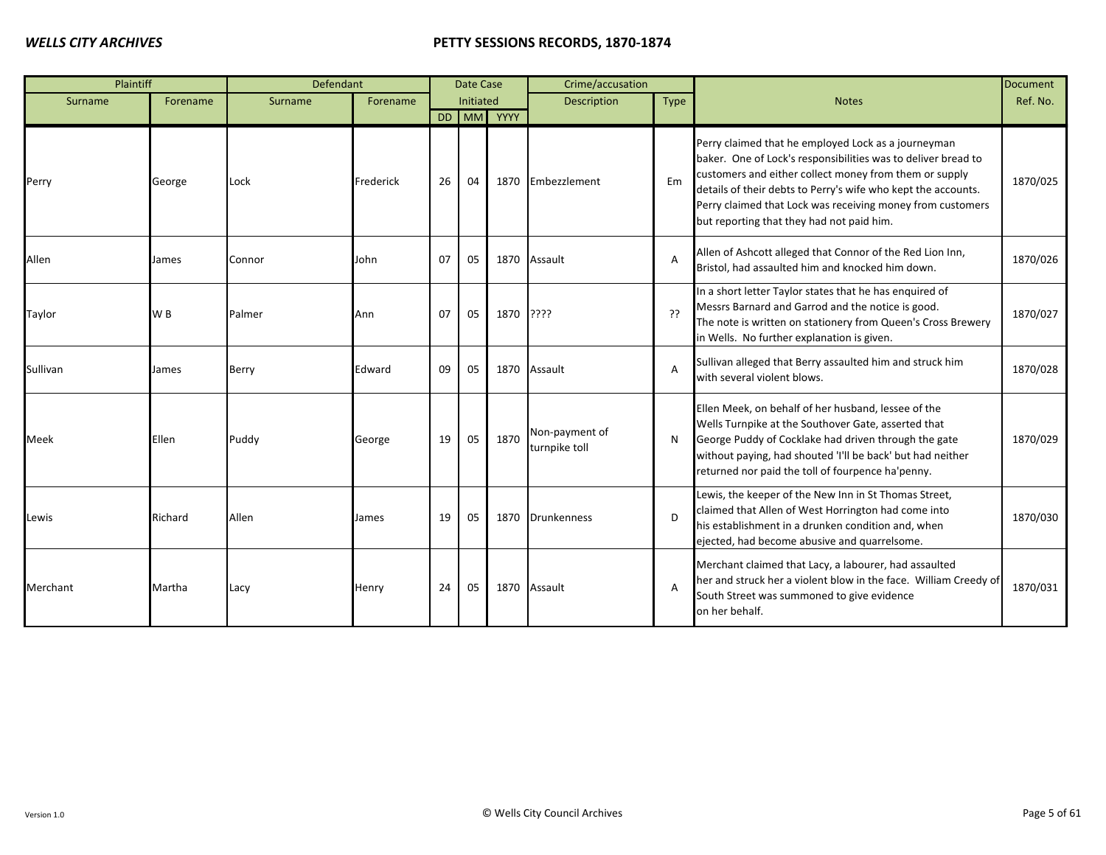| Plaintiff |                | Defendant |           |    | Date Case |            | Crime/accusation                |       |                                                                                                                                                                                                                                                                                                                                                            | <b>Document</b> |
|-----------|----------------|-----------|-----------|----|-----------|------------|---------------------------------|-------|------------------------------------------------------------------------------------------------------------------------------------------------------------------------------------------------------------------------------------------------------------------------------------------------------------------------------------------------------------|-----------------|
| Surname   | Forename       | Surname   | Forename  |    | Initiated |            | <b>Description</b>              | Type  | <b>Notes</b>                                                                                                                                                                                                                                                                                                                                               | Ref. No.        |
|           |                |           |           |    |           | DD MM YYYY |                                 |       |                                                                                                                                                                                                                                                                                                                                                            |                 |
| Perry     | George         | Lock      | Frederick | 26 | 04        |            | 1870 Embezzlement               | Em    | Perry claimed that he employed Lock as a journeyman<br>baker. One of Lock's responsibilities was to deliver bread to<br>customers and either collect money from them or supply<br>details of their debts to Perry's wife who kept the accounts.<br>Perry claimed that Lock was receiving money from customers<br>but reporting that they had not paid him. | 1870/025        |
| Allen     | James          | Connor    | John      | 07 | 05        |            | 1870 Assault                    | A     | Allen of Ashcott alleged that Connor of the Red Lion Inn,<br>Bristol, had assaulted him and knocked him down.                                                                                                                                                                                                                                              | 1870/026        |
| Taylor    | W <sub>B</sub> | Palmer    | Ann       | 07 | 05        | 1870 ????  |                                 | ַרְכִ | In a short letter Taylor states that he has enquired of<br>Messrs Barnard and Garrod and the notice is good.<br>The note is written on stationery from Queen's Cross Brewery<br>in Wells. No further explanation is given.                                                                                                                                 | 1870/027        |
| Sullivan  | James          | Berry     | Edward    | 09 | 05        |            | 1870 Assault                    | A     | Sullivan alleged that Berry assaulted him and struck him<br>with several violent blows.                                                                                                                                                                                                                                                                    | 1870/028        |
| Meek      | Ellen          | Puddy     | George    | 19 | 05        | 1870       | Non-payment of<br>turnpike toll | N     | Ellen Meek, on behalf of her husband, lessee of the<br>Wells Turnpike at the Southover Gate, asserted that<br>George Puddy of Cocklake had driven through the gate<br>without paying, had shouted 'I'll be back' but had neither<br>returned nor paid the toll of fourpence ha'penny.                                                                      | 1870/029        |
| Lewis     | Richard        | Allen     | James     | 19 | 05        |            | 1870 Drunkenness                | D     | Lewis, the keeper of the New Inn in St Thomas Street,<br>claimed that Allen of West Horrington had come into<br>his establishment in a drunken condition and, when<br>ejected, had become abusive and quarrelsome.                                                                                                                                         | 1870/030        |
| Merchant  | Martha         | Lacy      | Henry     | 24 | 05        |            | 1870 Assault                    | A     | Merchant claimed that Lacy, a labourer, had assaulted<br>her and struck her a violent blow in the face. William Creedy of<br>South Street was summoned to give evidence<br>on her behalf.                                                                                                                                                                  | 1870/031        |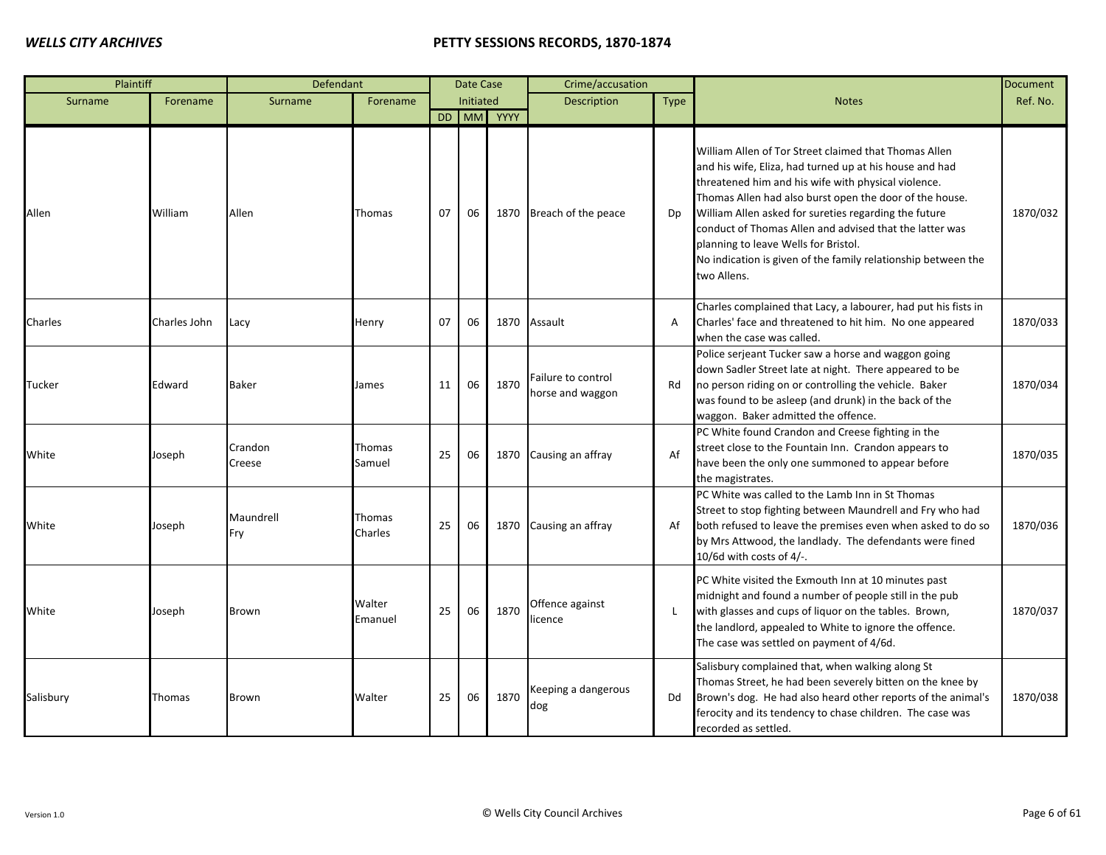| Plaintiff |              | Defendant         |                   |    | Date Case |            | Crime/accusation                       |             |                                                                                                                                                                                                                                                                                                                                                                                                                                                                                | <b>Document</b> |
|-----------|--------------|-------------------|-------------------|----|-----------|------------|----------------------------------------|-------------|--------------------------------------------------------------------------------------------------------------------------------------------------------------------------------------------------------------------------------------------------------------------------------------------------------------------------------------------------------------------------------------------------------------------------------------------------------------------------------|-----------------|
| Surname   | Forename     | Surname           | Forename          |    | Initiated |            | <b>Description</b>                     | <b>Type</b> | <b>Notes</b>                                                                                                                                                                                                                                                                                                                                                                                                                                                                   | Ref. No.        |
|           |              |                   |                   |    |           | DD MM YYYY |                                        |             |                                                                                                                                                                                                                                                                                                                                                                                                                                                                                |                 |
| Allen     | William      | Allen             | Thomas            | 07 | 06        | 1870       | Breach of the peace                    | Dp          | William Allen of Tor Street claimed that Thomas Allen<br>and his wife, Eliza, had turned up at his house and had<br>threatened him and his wife with physical violence.<br>Thomas Allen had also burst open the door of the house.<br>William Allen asked for sureties regarding the future<br>conduct of Thomas Allen and advised that the latter was<br>planning to leave Wells for Bristol.<br>No indication is given of the family relationship between the<br>two Allens. | 1870/032        |
| Charles   | Charles John | Lacy              | Henry             | 07 | 06        | 1870       | Assault                                | A           | Charles complained that Lacy, a labourer, had put his fists in<br>Charles' face and threatened to hit him. No one appeared<br>when the case was called.                                                                                                                                                                                                                                                                                                                        | 1870/033        |
| Tucker    | Edward       | Baker             | James             | 11 | 06        | 1870       | Failure to control<br>horse and waggon | Rd          | Police serjeant Tucker saw a horse and waggon going<br>down Sadler Street late at night. There appeared to be<br>no person riding on or controlling the vehicle. Baker<br>was found to be asleep (and drunk) in the back of the<br>waggon. Baker admitted the offence.                                                                                                                                                                                                         | 1870/034        |
| White     | Joseph       | Crandon<br>Creese | Thomas<br>Samuel  | 25 | 06        | 1870       | Causing an affray                      | Af          | PC White found Crandon and Creese fighting in the<br>street close to the Fountain Inn. Crandon appears to<br>have been the only one summoned to appear before<br>the magistrates.                                                                                                                                                                                                                                                                                              | 1870/035        |
| White     | Joseph       | Maundrell<br>Fry  | Thomas<br>Charles | 25 | 06        | 1870       | Causing an affray                      | Af          | PC White was called to the Lamb Inn in St Thomas<br>Street to stop fighting between Maundrell and Fry who had<br>both refused to leave the premises even when asked to do so<br>by Mrs Attwood, the landlady. The defendants were fined<br>10/6d with costs of 4/-.                                                                                                                                                                                                            | 1870/036        |
| White     | Joseph       | Brown             | Walter<br>Emanuel | 25 | 06        | 1870       | Offence against<br>licence             | L           | PC White visited the Exmouth Inn at 10 minutes past<br>midnight and found a number of people still in the pub<br>with glasses and cups of liquor on the tables. Brown,<br>the landlord, appealed to White to ignore the offence.<br>The case was settled on payment of 4/6d.                                                                                                                                                                                                   | 1870/037        |
| Salisbury | Thomas       | Brown             | Walter            | 25 | 06        | 1870       | Keeping a dangerous<br>dog             | Dd          | Salisbury complained that, when walking along St<br>Thomas Street, he had been severely bitten on the knee by<br>Brown's dog. He had also heard other reports of the animal's<br>ferocity and its tendency to chase children. The case was<br>recorded as settled.                                                                                                                                                                                                             | 1870/038        |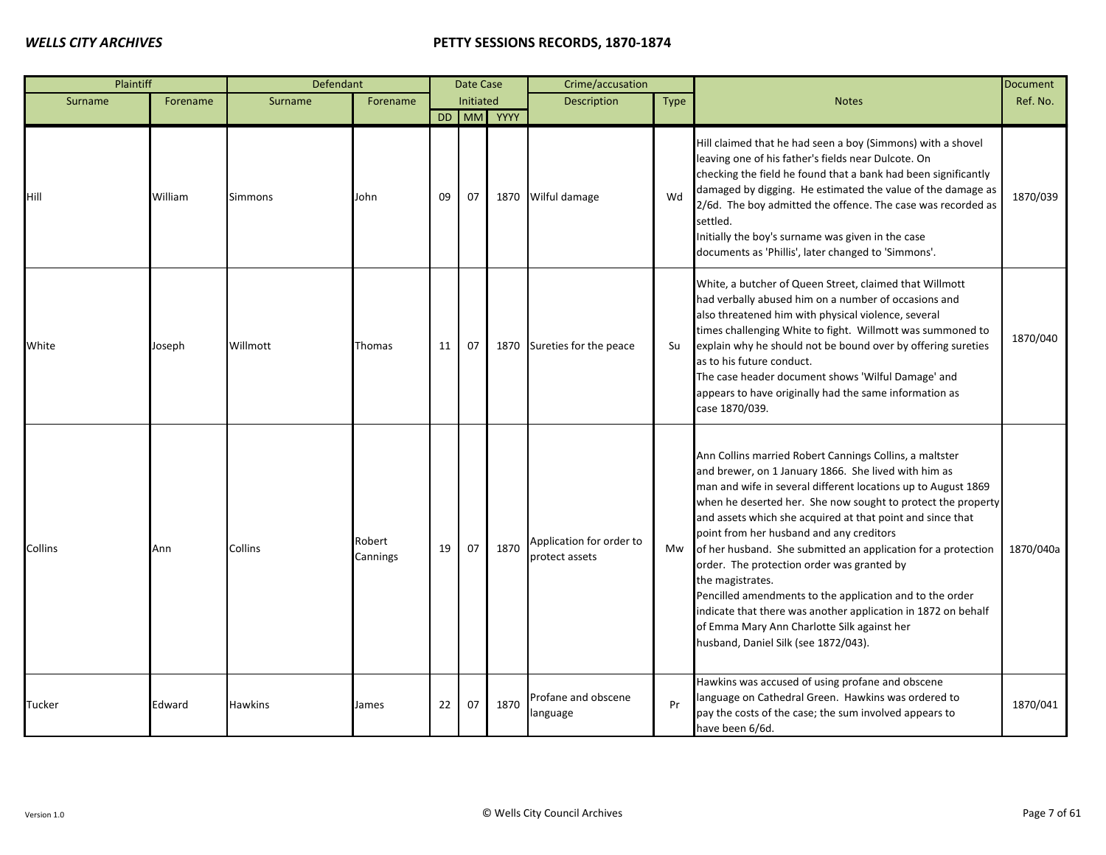| Plaintiff     |          | Defendant      |                    |    | Date Case |            | Crime/accusation                           |             |                                                                                                                                                                                                                                                                                                                                                                                                                                                                                                                                                                                                                                                                                                                   | <b>Document</b> |
|---------------|----------|----------------|--------------------|----|-----------|------------|--------------------------------------------|-------------|-------------------------------------------------------------------------------------------------------------------------------------------------------------------------------------------------------------------------------------------------------------------------------------------------------------------------------------------------------------------------------------------------------------------------------------------------------------------------------------------------------------------------------------------------------------------------------------------------------------------------------------------------------------------------------------------------------------------|-----------------|
| Surname       | Forename | Surname        | Forename           |    | Initiated |            | <b>Description</b>                         | <b>Type</b> | <b>Notes</b>                                                                                                                                                                                                                                                                                                                                                                                                                                                                                                                                                                                                                                                                                                      | Ref. No.        |
|               |          |                |                    |    |           | DD MM YYYY |                                            |             |                                                                                                                                                                                                                                                                                                                                                                                                                                                                                                                                                                                                                                                                                                                   |                 |
| Hill          | William  | <b>Simmons</b> | John               | 09 | 07        |            | 1870 Wilful damage                         | Wd          | Hill claimed that he had seen a boy (Simmons) with a shovel<br>leaving one of his father's fields near Dulcote. On<br>checking the field he found that a bank had been significantly<br>damaged by digging. He estimated the value of the damage as<br>2/6d. The boy admitted the offence. The case was recorded as<br>settled.<br>Initially the boy's surname was given in the case<br>documents as 'Phillis', later changed to 'Simmons'.                                                                                                                                                                                                                                                                       | 1870/039        |
| White         | Joseph   | Willmott       | Thomas             | 11 | 07        | 1870       | Sureties for the peace                     | Su          | White, a butcher of Queen Street, claimed that Willmott<br>had verbally abused him on a number of occasions and<br>also threatened him with physical violence, several<br>times challenging White to fight. Willmott was summoned to<br>explain why he should not be bound over by offering sureties<br>as to his future conduct.<br>The case header document shows 'Wilful Damage' and<br>appears to have originally had the same information as<br>case 1870/039.                                                                                                                                                                                                                                               | 1870/040        |
| Collins       | Ann      | Collins        | Robert<br>Cannings | 19 | 07        | 1870       | Application for order to<br>protect assets | Mw          | Ann Collins married Robert Cannings Collins, a maltster<br>and brewer, on 1 January 1866. She lived with him as<br>man and wife in several different locations up to August 1869<br>when he deserted her. She now sought to protect the property<br>and assets which she acquired at that point and since that<br>point from her husband and any creditors<br>of her husband. She submitted an application for a protection<br>order. The protection order was granted by<br>the magistrates.<br>Pencilled amendments to the application and to the order<br>indicate that there was another application in 1872 on behalf<br>of Emma Mary Ann Charlotte Silk against her<br>husband, Daniel Silk (see 1872/043). | 1870/040a       |
| <b>Tucker</b> | Edward   | <b>Hawkins</b> | James              | 22 | 07        | 1870       | Profane and obscene<br>language            | Pr          | Hawkins was accused of using profane and obscene<br>language on Cathedral Green. Hawkins was ordered to<br>pay the costs of the case; the sum involved appears to<br>have been 6/6d.                                                                                                                                                                                                                                                                                                                                                                                                                                                                                                                              | 1870/041        |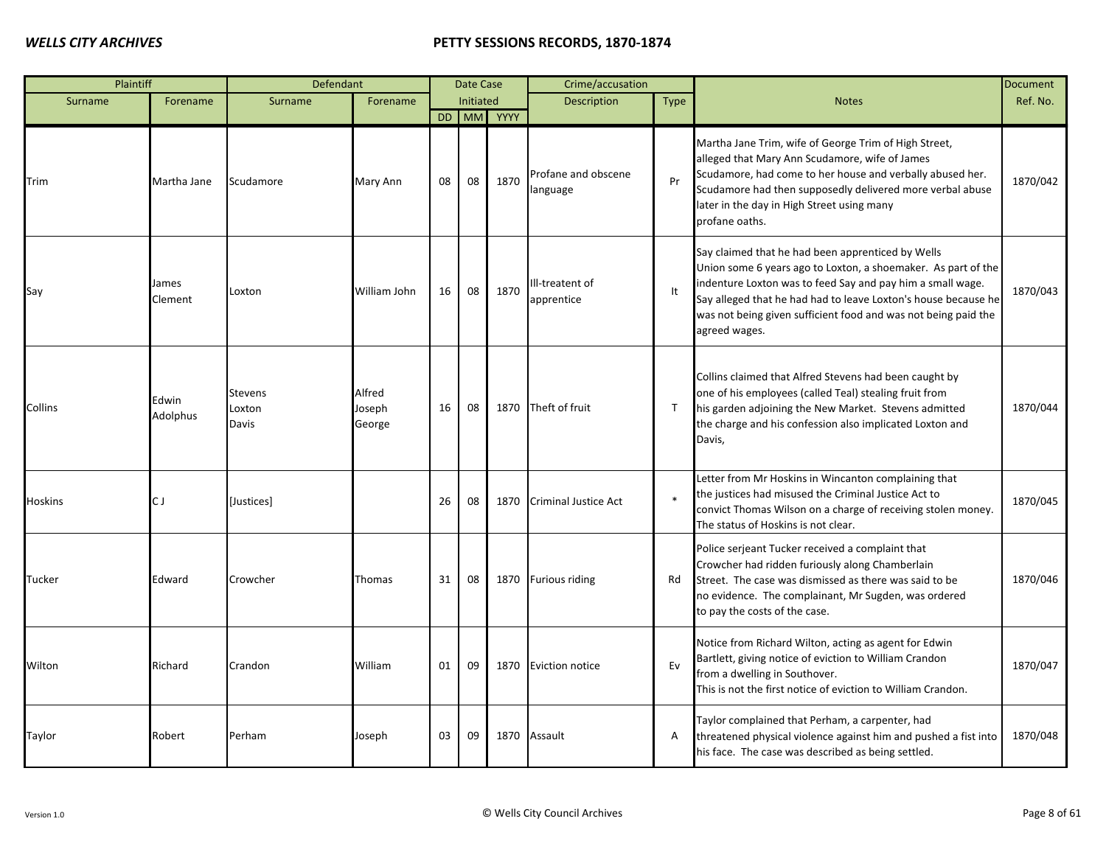| Plaintiff      |                   | Defendant                         |                            |    | Date Case |            | Crime/accusation                |              |                                                                                                                                                                                                                                                                                                                                       | Document |
|----------------|-------------------|-----------------------------------|----------------------------|----|-----------|------------|---------------------------------|--------------|---------------------------------------------------------------------------------------------------------------------------------------------------------------------------------------------------------------------------------------------------------------------------------------------------------------------------------------|----------|
| Surname        | Forename          | Surname                           | Forename                   |    | Initiated |            | <b>Description</b>              | <b>Type</b>  | <b>Notes</b>                                                                                                                                                                                                                                                                                                                          | Ref. No. |
|                |                   |                                   |                            |    |           | DD MM YYYY |                                 |              |                                                                                                                                                                                                                                                                                                                                       |          |
| Trim           | Martha Jane       | Scudamore                         | Mary Ann                   | 08 | 08        | 1870       | Profane and obscene<br>language | Pr           | Martha Jane Trim, wife of George Trim of High Street,<br>alleged that Mary Ann Scudamore, wife of James<br>Scudamore, had come to her house and verbally abused her.<br>Scudamore had then supposedly delivered more verbal abuse<br>later in the day in High Street using many<br>profane oaths.                                     | 1870/042 |
| Say            | James<br>Clement  | Loxton                            | William John               | 16 | 08        | 1870       | Ill-treatent of<br>apprentice   | It           | Say claimed that he had been apprenticed by Wells<br>Union some 6 years ago to Loxton, a shoemaker. As part of the<br>indenture Loxton was to feed Say and pay him a small wage.<br>Say alleged that he had had to leave Loxton's house because he<br>was not being given sufficient food and was not being paid the<br>agreed wages. | 1870/043 |
| Collins        | Edwin<br>Adolphus | <b>Stevens</b><br>Loxton<br>Davis | Alfred<br>Joseph<br>George | 16 | 08        | 1870       | Theft of fruit                  | $\mathsf{T}$ | Collins claimed that Alfred Stevens had been caught by<br>one of his employees (called Teal) stealing fruit from<br>his garden adjoining the New Market. Stevens admitted<br>the charge and his confession also implicated Loxton and<br>Davis,                                                                                       | 1870/044 |
| <b>Hoskins</b> | C J               | [Justices]                        |                            | 26 | 08        | 1870       | <b>Criminal Justice Act</b>     |              | Letter from Mr Hoskins in Wincanton complaining that<br>the justices had misused the Criminal Justice Act to<br>convict Thomas Wilson on a charge of receiving stolen money.<br>The status of Hoskins is not clear.                                                                                                                   | 1870/045 |
| Tucker         | Edward            | Crowcher                          | Thomas                     | 31 | 08        |            | 1870 Furious riding             | Rd           | Police serjeant Tucker received a complaint that<br>Crowcher had ridden furiously along Chamberlain<br>Street. The case was dismissed as there was said to be<br>no evidence. The complainant, Mr Sugden, was ordered<br>to pay the costs of the case.                                                                                | 1870/046 |
| Wilton         | Richard           | Crandon                           | William                    | 01 | 09        | 1870       | <b>Eviction notice</b>          | Ev           | Notice from Richard Wilton, acting as agent for Edwin<br>Bartlett, giving notice of eviction to William Crandon<br>from a dwelling in Southover.<br>This is not the first notice of eviction to William Crandon.                                                                                                                      | 1870/047 |
| Taylor         | Robert            | Perham                            | Joseph                     | 03 | 09        | 1870       | Assault                         | Α            | Taylor complained that Perham, a carpenter, had<br>threatened physical violence against him and pushed a fist into<br>his face. The case was described as being settled.                                                                                                                                                              | 1870/048 |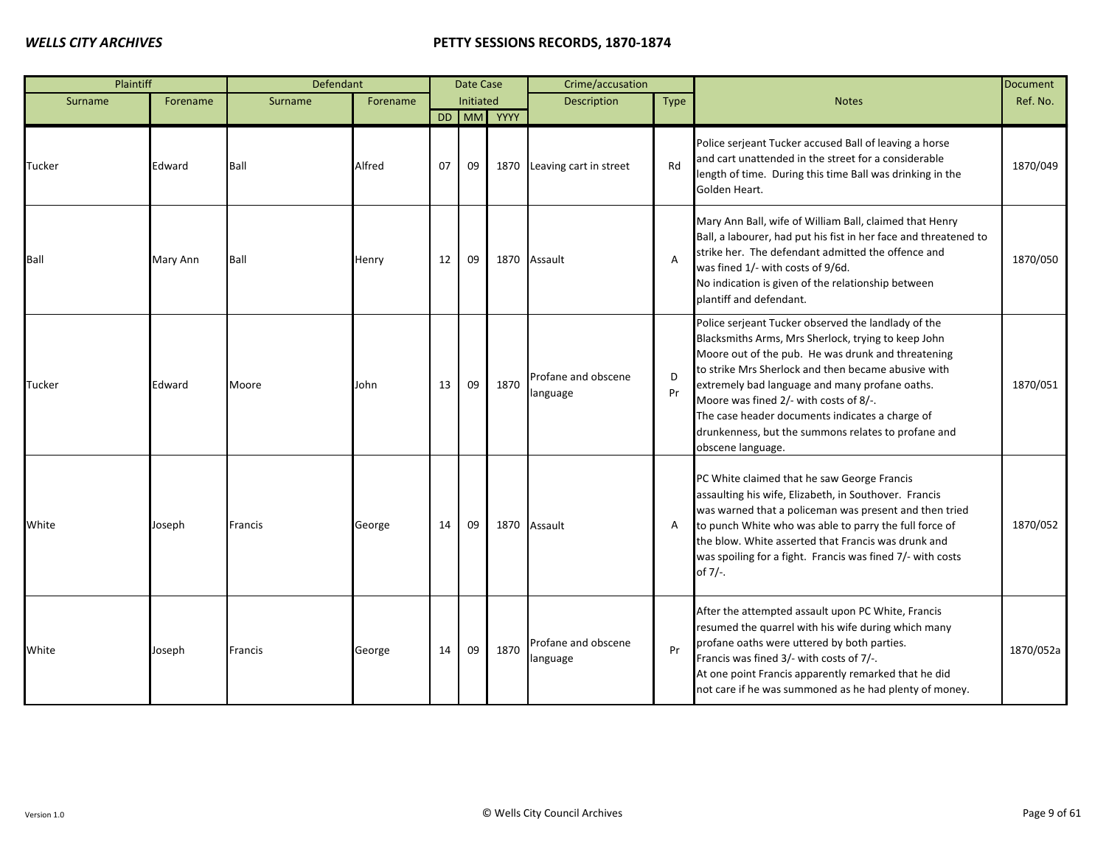| Plaintiff      |          | Defendant |          |    | Date Case |            | Crime/accusation                |                |                                                                                                                                                                                                                                                                                                                                                                                                                                                    | <b>Document</b> |
|----------------|----------|-----------|----------|----|-----------|------------|---------------------------------|----------------|----------------------------------------------------------------------------------------------------------------------------------------------------------------------------------------------------------------------------------------------------------------------------------------------------------------------------------------------------------------------------------------------------------------------------------------------------|-----------------|
| Surname        | Forename | Surname   | Forename |    | Initiated |            | <b>Description</b>              | <b>Type</b>    | <b>Notes</b>                                                                                                                                                                                                                                                                                                                                                                                                                                       | Ref. No.        |
|                |          |           |          |    |           | DD MM YYYY |                                 |                |                                                                                                                                                                                                                                                                                                                                                                                                                                                    |                 |
| Tucker         | Edward   | Ball      | Alfred   | 07 | 09        |            | 1870 Leaving cart in street     | Rd             | Police serjeant Tucker accused Ball of leaving a horse<br>and cart unattended in the street for a considerable<br>length of time. During this time Ball was drinking in the<br>Golden Heart.                                                                                                                                                                                                                                                       | 1870/049        |
| Ball           | Mary Ann | Ball      | Henry    | 12 | 09        |            | 1870 Assault                    | $\overline{A}$ | Mary Ann Ball, wife of William Ball, claimed that Henry<br>Ball, a labourer, had put his fist in her face and threatened to<br>strike her. The defendant admitted the offence and<br>was fined 1/- with costs of 9/6d.<br>No indication is given of the relationship between<br>plantiff and defendant.                                                                                                                                            | 1870/050        |
| <b>Tucker</b>  | Edward   | Moore     | John     | 13 | 09        | 1870       | Profane and obscene<br>language | D<br>Pr        | Police serjeant Tucker observed the landlady of the<br>Blacksmiths Arms, Mrs Sherlock, trying to keep John<br>Moore out of the pub. He was drunk and threatening<br>to strike Mrs Sherlock and then became abusive with<br>extremely bad language and many profane oaths.<br>Moore was fined 2/- with costs of 8/-.<br>The case header documents indicates a charge of<br>drunkenness, but the summons relates to profane and<br>obscene language. | 1870/051        |
| White          | Joseph   | Francis   | George   | 14 | 09        |            | 1870 Assault                    | A              | PC White claimed that he saw George Francis<br>assaulting his wife, Elizabeth, in Southover. Francis<br>was warned that a policeman was present and then tried<br>to punch White who was able to parry the full force of<br>the blow. White asserted that Francis was drunk and<br>was spoiling for a fight. Francis was fined 7/- with costs<br>of 7/-.                                                                                           | 1870/052        |
| <b>I</b> White | Joseph   | Francis   | George   | 14 | 09        | 1870       | Profane and obscene<br>language | Pr             | After the attempted assault upon PC White, Francis<br>resumed the quarrel with his wife during which many<br>profane oaths were uttered by both parties.<br>Francis was fined 3/- with costs of 7/-.<br>At one point Francis apparently remarked that he did<br>not care if he was summoned as he had plenty of money.                                                                                                                             | 1870/052a       |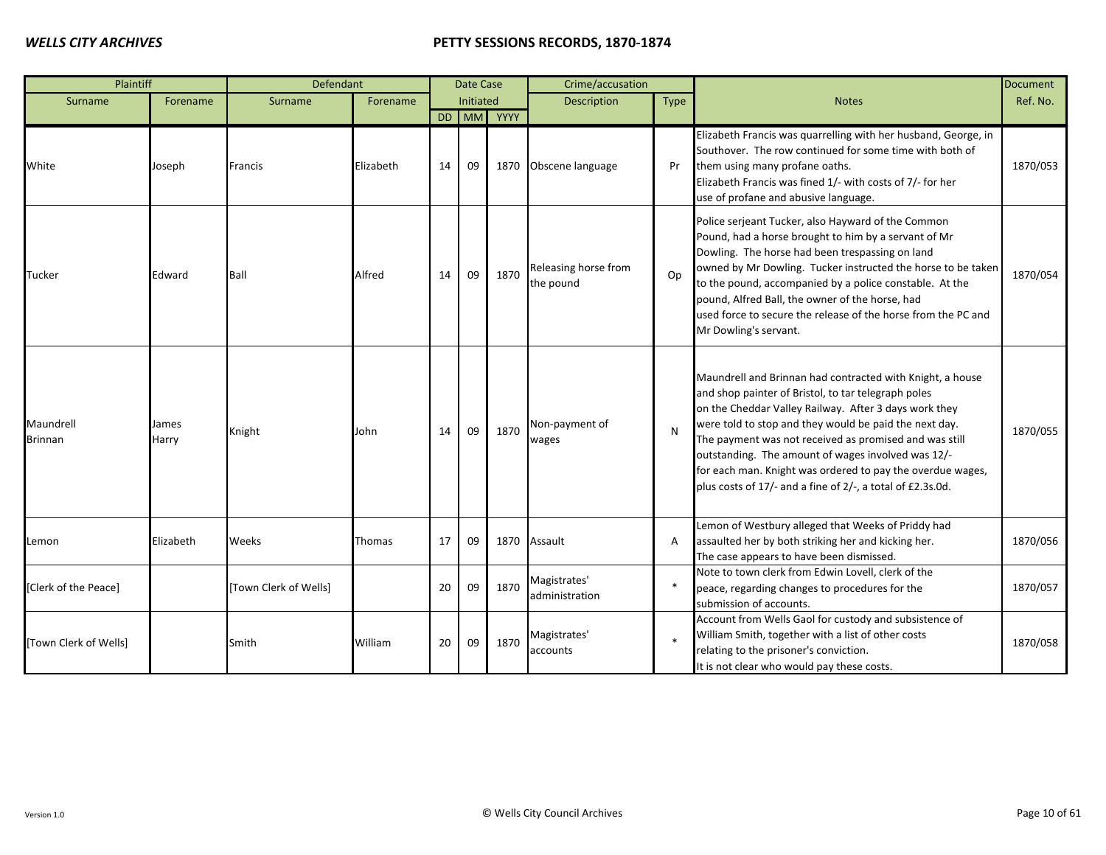| Plaintiff                   |                | Defendant             |           |    | Date Case |            | Crime/accusation                  |        |                                                                                                                                                                                                                                                                                                                                                                                                                                                                                 | <b>Document</b> |
|-----------------------------|----------------|-----------------------|-----------|----|-----------|------------|-----------------------------------|--------|---------------------------------------------------------------------------------------------------------------------------------------------------------------------------------------------------------------------------------------------------------------------------------------------------------------------------------------------------------------------------------------------------------------------------------------------------------------------------------|-----------------|
| Surname                     | Forename       | Surname               | Forename  |    | Initiated |            | <b>Description</b>                | Type   | <b>Notes</b>                                                                                                                                                                                                                                                                                                                                                                                                                                                                    | Ref. No.        |
|                             |                |                       |           |    |           | DD MM YYYY |                                   |        |                                                                                                                                                                                                                                                                                                                                                                                                                                                                                 |                 |
| White                       | Joseph         | Francis               | Elizabeth | 14 | 09        | 1870       | Obscene language                  | Pr     | Elizabeth Francis was quarrelling with her husband, George, in<br>Southover. The row continued for some time with both of<br>them using many profane oaths.<br>Elizabeth Francis was fined 1/- with costs of 7/- for her<br>use of profane and abusive language.                                                                                                                                                                                                                | 1870/053        |
| Tucker                      | Edward         | Ball                  | Alfred    | 14 | 09        | 1870       | Releasing horse from<br>the pound | Op     | Police serjeant Tucker, also Hayward of the Common<br>Pound, had a horse brought to him by a servant of Mr<br>Dowling. The horse had been trespassing on land<br>owned by Mr Dowling. Tucker instructed the horse to be taken<br>to the pound, accompanied by a police constable. At the<br>pound, Alfred Ball, the owner of the horse, had<br>used force to secure the release of the horse from the PC and<br>Mr Dowling's servant.                                           | 1870/054        |
| Maundrell<br><b>Brinnan</b> | James<br>Harry | Knight                | John      | 14 | 09        | 1870       | Non-payment of<br>wages           | N      | Maundrell and Brinnan had contracted with Knight, a house<br>and shop painter of Bristol, to tar telegraph poles<br>on the Cheddar Valley Railway. After 3 days work they<br>were told to stop and they would be paid the next day.<br>The payment was not received as promised and was still<br>outstanding. The amount of wages involved was 12/-<br>for each man. Knight was ordered to pay the overdue wages,<br>plus costs of 17/- and a fine of 2/-, a total of £2.3s.0d. | 1870/055        |
| Lemon                       | Elizabeth      | Weeks                 | Thomas    | 17 | 09        | 1870       | Assault                           | A      | Lemon of Westbury alleged that Weeks of Priddy had<br>assaulted her by both striking her and kicking her.<br>The case appears to have been dismissed.                                                                                                                                                                                                                                                                                                                           | 1870/056        |
| [Clerk of the Peace]        |                | [Town Clerk of Wells] |           | 20 | 09        | 1870       | Magistrates'<br>administration    | $\ast$ | Note to town clerk from Edwin Lovell, clerk of the<br>peace, regarding changes to procedures for the<br>submission of accounts.                                                                                                                                                                                                                                                                                                                                                 | 1870/057        |
| [Town Clerk of Wells]       |                | Smith                 | William   | 20 | 09        | 1870       | Magistrates'<br>accounts          |        | Account from Wells Gaol for custody and subsistence of<br>William Smith, together with a list of other costs<br>relating to the prisoner's conviction.<br>It is not clear who would pay these costs.                                                                                                                                                                                                                                                                            | 1870/058        |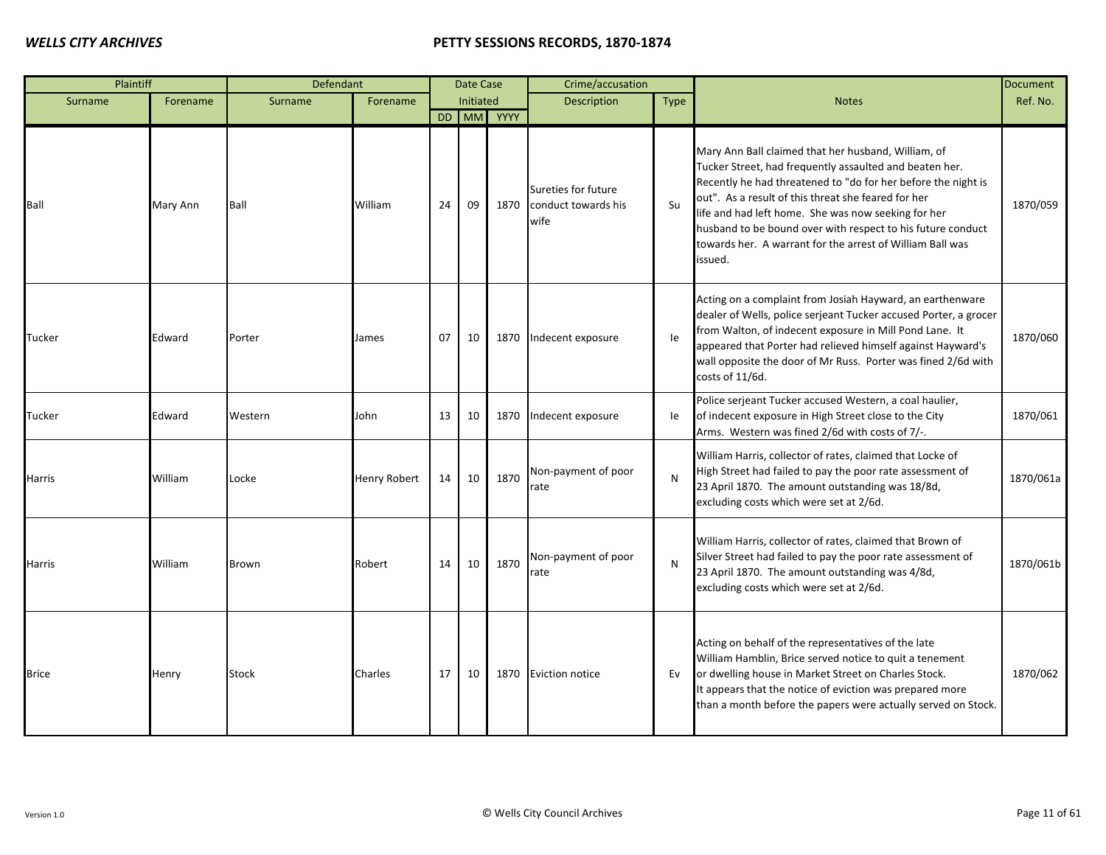| Plaintiff    |          | Defendant    |                     |    | Date Case |            | Crime/accusation                                   |              |                                                                                                                                                                                                                                                                                                                                                                                                                                      | <b>Document</b> |
|--------------|----------|--------------|---------------------|----|-----------|------------|----------------------------------------------------|--------------|--------------------------------------------------------------------------------------------------------------------------------------------------------------------------------------------------------------------------------------------------------------------------------------------------------------------------------------------------------------------------------------------------------------------------------------|-----------------|
| Surname      | Forename | Surname      | Forename            |    | Initiated |            | <b>Description</b>                                 | <b>Type</b>  | <b>Notes</b>                                                                                                                                                                                                                                                                                                                                                                                                                         | Ref. No.        |
|              |          |              |                     |    |           | DD MM YYYY |                                                    |              |                                                                                                                                                                                                                                                                                                                                                                                                                                      |                 |
| Ball         | Mary Ann | Ball         | William             | 24 | 09        | 1870       | Sureties for future<br>conduct towards his<br>wife | Su           | Mary Ann Ball claimed that her husband, William, of<br>Tucker Street, had frequently assaulted and beaten her.<br>Recently he had threatened to "do for her before the night is<br>out". As a result of this threat she feared for her<br>life and had left home. She was now seeking for her<br>husband to be bound over with respect to his future conduct<br>towards her. A warrant for the arrest of William Ball was<br>issued. | 1870/059        |
| Tucker       | Edward   | Porter       | James               | 07 | 10        | 1870       | Indecent exposure                                  | le           | Acting on a complaint from Josiah Hayward, an earthenware<br>dealer of Wells, police serjeant Tucker accused Porter, a grocer<br>from Walton, of indecent exposure in Mill Pond Lane. It<br>appeared that Porter had relieved himself against Hayward's<br>wall opposite the door of Mr Russ. Porter was fined 2/6d with<br>costs of 11/6d.                                                                                          | 1870/060        |
| Tucker       | Edward   | Western      | John                | 13 | 10        | 1870       | Indecent exposure                                  | le           | Police serjeant Tucker accused Western, a coal haulier,<br>of indecent exposure in High Street close to the City<br>Arms. Western was fined 2/6d with costs of 7/-.                                                                                                                                                                                                                                                                  | 1870/061        |
| Harris       | William  | Locke        | <b>Henry Robert</b> | 14 | 10        | 1870       | Non-payment of poor<br>rate                        | $\mathsf{N}$ | William Harris, collector of rates, claimed that Locke of<br>High Street had failed to pay the poor rate assessment of<br>23 April 1870. The amount outstanding was 18/8d,<br>excluding costs which were set at 2/6d.                                                                                                                                                                                                                | 1870/061a       |
| Harris       | William  | Brown        | Robert              | 14 | 10        | 1870       | Non-payment of poor<br>rate                        | N            | William Harris, collector of rates, claimed that Brown of<br>Silver Street had failed to pay the poor rate assessment of<br>23 April 1870. The amount outstanding was 4/8d,<br>excluding costs which were set at 2/6d.                                                                                                                                                                                                               | 1870/061b       |
| <b>Brice</b> | Henry    | <b>Stock</b> | Charles             | 17 | 10        |            | 1870 Eviction notice                               | Ev           | Acting on behalf of the representatives of the late<br>William Hamblin, Brice served notice to quit a tenement<br>or dwelling house in Market Street on Charles Stock.<br>It appears that the notice of eviction was prepared more<br>than a month before the papers were actually served on Stock.                                                                                                                                  | 1870/062        |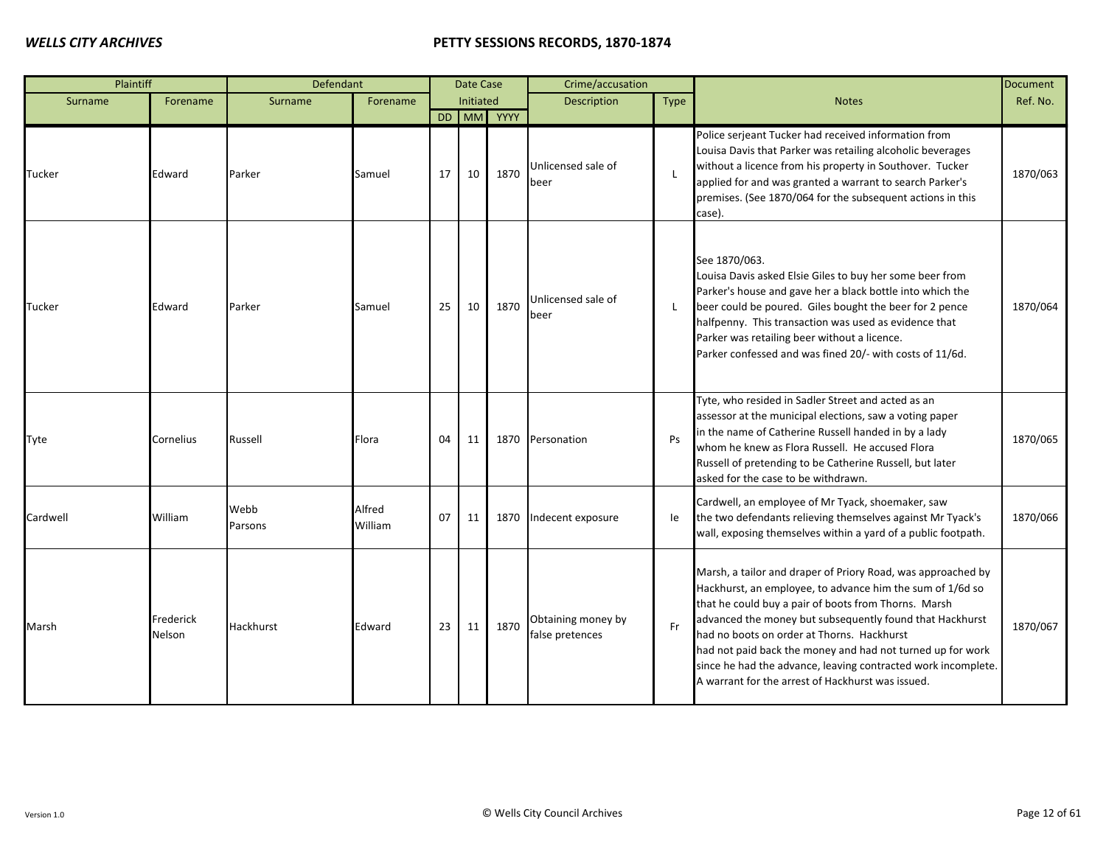| Plaintiff |                     | Defendant       |                   |    | Date Case |            | Crime/accusation                      |                |                                                                                                                                                                                                                                                                                                                                                                                                                                                                                 | <b>Document</b> |
|-----------|---------------------|-----------------|-------------------|----|-----------|------------|---------------------------------------|----------------|---------------------------------------------------------------------------------------------------------------------------------------------------------------------------------------------------------------------------------------------------------------------------------------------------------------------------------------------------------------------------------------------------------------------------------------------------------------------------------|-----------------|
| Surname   | Forename            | Surname         | Forename          |    | Initiated |            | Description                           | Type           | <b>Notes</b>                                                                                                                                                                                                                                                                                                                                                                                                                                                                    | Ref. No.        |
|           |                     |                 |                   |    |           | DD MM YYYY |                                       |                |                                                                                                                                                                                                                                                                                                                                                                                                                                                                                 |                 |
| Tucker    | Edward              | Parker          | Samuel            | 17 | 10        | 1870       | Unlicensed sale of<br>beer            | $\blacksquare$ | Police serjeant Tucker had received information from<br>Louisa Davis that Parker was retailing alcoholic beverages<br>without a licence from his property in Southover. Tucker<br>applied for and was granted a warrant to search Parker's<br>premises. (See 1870/064 for the subsequent actions in this<br>case).                                                                                                                                                              | 1870/063        |
| Tucker    | Edward              | Parker          | Samuel            | 25 | 10        | 1870       | Unlicensed sale of<br>beer            | L              | See 1870/063.<br>Louisa Davis asked Elsie Giles to buy her some beer from<br>Parker's house and gave her a black bottle into which the<br>beer could be poured. Giles bought the beer for 2 pence<br>halfpenny. This transaction was used as evidence that<br>Parker was retailing beer without a licence.<br>Parker confessed and was fined 20/- with costs of 11/6d.                                                                                                          | 1870/064        |
| Tyte      | Cornelius           | Russell         | Flora             | 04 | 11        |            | 1870 Personation                      | Ps             | Tyte, who resided in Sadler Street and acted as an<br>assessor at the municipal elections, saw a voting paper<br>in the name of Catherine Russell handed in by a lady<br>whom he knew as Flora Russell. He accused Flora<br>Russell of pretending to be Catherine Russell, but later<br>asked for the case to be withdrawn.                                                                                                                                                     | 1870/065        |
| Cardwell  | William             | Webb<br>Parsons | Alfred<br>William | 07 | 11        | 1870       | Indecent exposure                     | le             | Cardwell, an employee of Mr Tyack, shoemaker, saw<br>the two defendants relieving themselves against Mr Tyack's<br>wall, exposing themselves within a yard of a public footpath.                                                                                                                                                                                                                                                                                                | 1870/066        |
| Marsh     | Frederick<br>Nelson | Hackhurst       | Edward            | 23 | 11        | 1870       | Obtaining money by<br>false pretences | Fr             | Marsh, a tailor and draper of Priory Road, was approached by<br>Hackhurst, an employee, to advance him the sum of 1/6d so<br>that he could buy a pair of boots from Thorns. Marsh<br>advanced the money but subsequently found that Hackhurst<br>had no boots on order at Thorns. Hackhurst<br>had not paid back the money and had not turned up for work<br>since he had the advance, leaving contracted work incomplete.<br>A warrant for the arrest of Hackhurst was issued. | 1870/067        |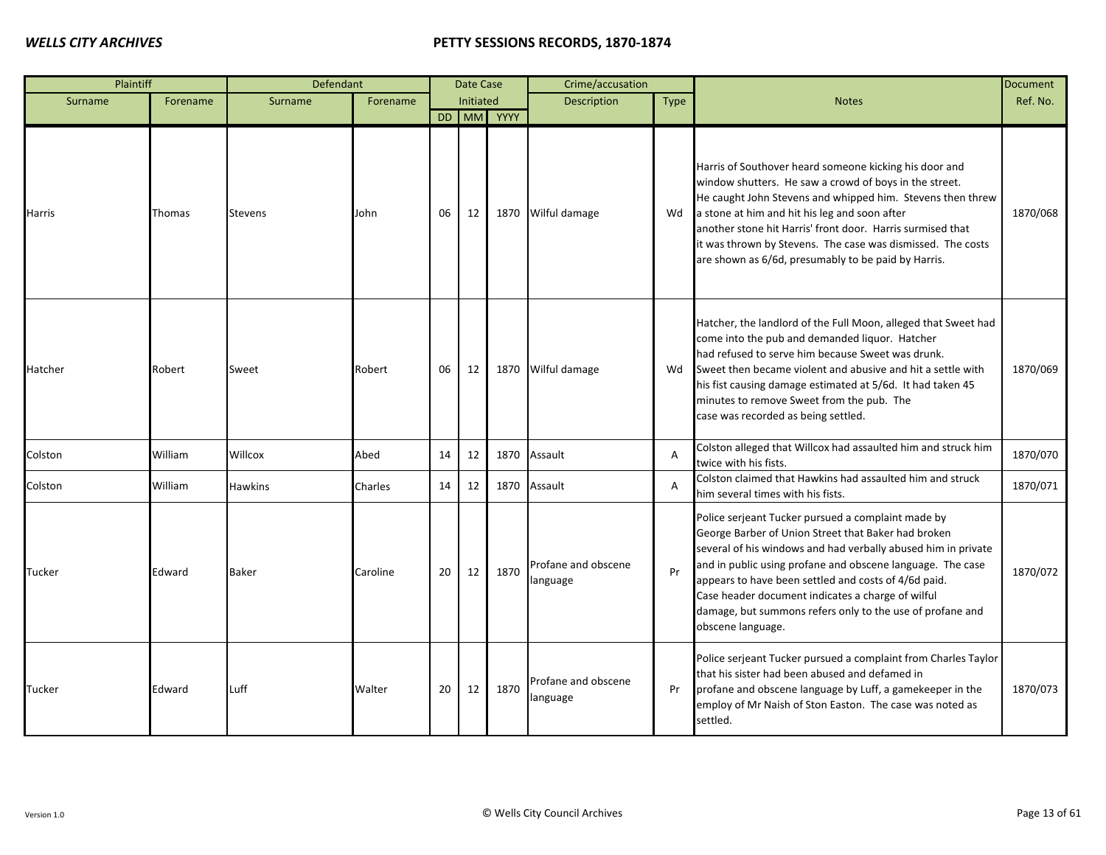| Plaintiff |          | Defendant      |          |    | Date Case |            | Crime/accusation                |                |                                                                                                                                                                                                                                                                                                                                                                                                                                         | <b>Document</b> |
|-----------|----------|----------------|----------|----|-----------|------------|---------------------------------|----------------|-----------------------------------------------------------------------------------------------------------------------------------------------------------------------------------------------------------------------------------------------------------------------------------------------------------------------------------------------------------------------------------------------------------------------------------------|-----------------|
| Surname   | Forename | Surname        | Forename |    | Initiated |            | Description                     | <b>Type</b>    | <b>Notes</b>                                                                                                                                                                                                                                                                                                                                                                                                                            | Ref. No.        |
|           |          |                |          |    |           | DD MM YYYY |                                 |                |                                                                                                                                                                                                                                                                                                                                                                                                                                         |                 |
| Harris    | Thomas   | <b>Stevens</b> | John     | 06 | 12        |            | 1870 Wilful damage              | Wd             | Harris of Southover heard someone kicking his door and<br>window shutters. He saw a crowd of boys in the street.<br>He caught John Stevens and whipped him. Stevens then threw<br>a stone at him and hit his leg and soon after<br>another stone hit Harris' front door. Harris surmised that<br>it was thrown by Stevens. The case was dismissed. The costs<br>are shown as 6/6d, presumably to be paid by Harris.                     | 1870/068        |
| Hatcher   | Robert   | Sweet          | Robert   | 06 | 12        |            | 1870 Wilful damage              | Wd             | Hatcher, the landlord of the Full Moon, alleged that Sweet had<br>come into the pub and demanded liquor. Hatcher<br>had refused to serve him because Sweet was drunk.<br>Sweet then became violent and abusive and hit a settle with<br>his fist causing damage estimated at 5/6d. It had taken 45<br>minutes to remove Sweet from the pub. The<br>case was recorded as being settled.                                                  | 1870/069        |
| Colston   | William  | Willcox        | Abed     | 14 | 12        |            | 1870 Assault                    | $\overline{A}$ | Colston alleged that Willcox had assaulted him and struck him<br>twice with his fists.                                                                                                                                                                                                                                                                                                                                                  | 1870/070        |
| Colston   | William  | <b>Hawkins</b> | Charles  | 14 | 12        |            | 1870 Assault                    | $\overline{A}$ | Colston claimed that Hawkins had assaulted him and struck<br>him several times with his fists.                                                                                                                                                                                                                                                                                                                                          | 1870/071        |
| Tucker    | Edward   | <b>Baker</b>   | Caroline | 20 | 12        | 1870       | Profane and obscene<br>language | Pr             | Police serjeant Tucker pursued a complaint made by<br>George Barber of Union Street that Baker had broken<br>several of his windows and had verbally abused him in private<br>and in public using profane and obscene language. The case<br>appears to have been settled and costs of 4/6d paid.<br>Case header document indicates a charge of wilful<br>damage, but summons refers only to the use of profane and<br>obscene language. | 1870/072        |
| Tucker    | Edward   | Luff           | Walter   | 20 | 12        | 1870       | Profane and obscene<br>language | Pr             | Police serjeant Tucker pursued a complaint from Charles Taylor<br>that his sister had been abused and defamed in<br>profane and obscene language by Luff, a gamekeeper in the<br>employ of Mr Naish of Ston Easton. The case was noted as<br>settled.                                                                                                                                                                                   | 1870/073        |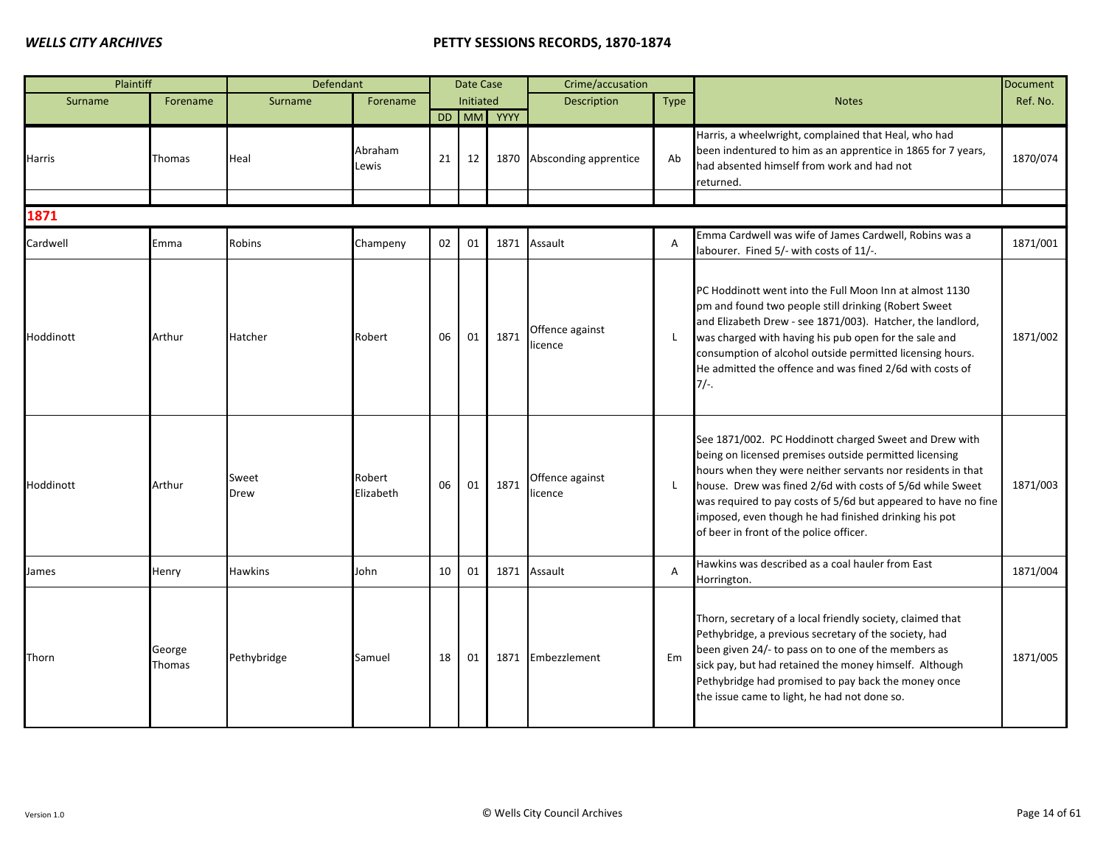| Plaintiff |                  | Defendant      |                     |    | Date Case |            | Crime/accusation           |                |                                                                                                                                                                                                                                                                                                                                                                                                                    | <b>Document</b> |
|-----------|------------------|----------------|---------------------|----|-----------|------------|----------------------------|----------------|--------------------------------------------------------------------------------------------------------------------------------------------------------------------------------------------------------------------------------------------------------------------------------------------------------------------------------------------------------------------------------------------------------------------|-----------------|
| Surname   | Forename         | Surname        | Forename            |    | Initiated |            | Description                | Type           | <b>Notes</b>                                                                                                                                                                                                                                                                                                                                                                                                       | Ref. No.        |
|           |                  |                |                     |    |           | DD MM YYYY |                            |                |                                                                                                                                                                                                                                                                                                                                                                                                                    |                 |
| Harris    | Thomas           | Heal           | Abraham<br>Lewis    | 21 | 12        | 1870       | Absconding apprentice      | Ab             | Harris, a wheelwright, complained that Heal, who had<br>been indentured to him as an apprentice in 1865 for 7 years,<br>had absented himself from work and had not<br>returned.                                                                                                                                                                                                                                    | 1870/074        |
|           |                  |                |                     |    |           |            |                            |                |                                                                                                                                                                                                                                                                                                                                                                                                                    |                 |
| 1871      |                  |                |                     |    |           |            |                            |                |                                                                                                                                                                                                                                                                                                                                                                                                                    |                 |
| Cardwell  | Emma             | Robins         | Champeny            | 02 | 01        | 1871       | Assault                    | $\overline{A}$ | Emma Cardwell was wife of James Cardwell, Robins was a<br>labourer. Fined 5/- with costs of 11/-.                                                                                                                                                                                                                                                                                                                  | 1871/001        |
| Hoddinott | Arthur           | Hatcher        | Robert              | 06 | 01        | 1871       | Offence against<br>licence |                | PC Hoddinott went into the Full Moon Inn at almost 1130<br>pm and found two people still drinking (Robert Sweet<br>and Elizabeth Drew - see 1871/003). Hatcher, the landlord,<br>was charged with having his pub open for the sale and<br>consumption of alcohol outside permitted licensing hours.<br>He admitted the offence and was fined 2/6d with costs of<br>$7/-$ .                                         | 1871/002        |
| Hoddinott | Arthur           | Sweet<br>Drew  | Robert<br>Elizabeth | 06 | 01        | 1871       | Offence against<br>licence |                | See 1871/002. PC Hoddinott charged Sweet and Drew with<br>being on licensed premises outside permitted licensing<br>hours when they were neither servants nor residents in that<br>house. Drew was fined 2/6d with costs of 5/6d while Sweet<br>was required to pay costs of 5/6d but appeared to have no fine<br>imposed, even though he had finished drinking his pot<br>of beer in front of the police officer. | 1871/003        |
| James     | Henry            | <b>Hawkins</b> | John                | 10 | 01        |            | 1871 Assault               | A              | Hawkins was described as a coal hauler from East<br>Horrington.                                                                                                                                                                                                                                                                                                                                                    | 1871/004        |
| Thorn     | George<br>Thomas | Pethybridge    | Samuel              | 18 | 01        | 1871       | Embezzlement               | Em             | Thorn, secretary of a local friendly society, claimed that<br>Pethybridge, a previous secretary of the society, had<br>been given 24/- to pass on to one of the members as<br>sick pay, but had retained the money himself. Although<br>Pethybridge had promised to pay back the money once<br>the issue came to light, he had not done so.                                                                        | 1871/005        |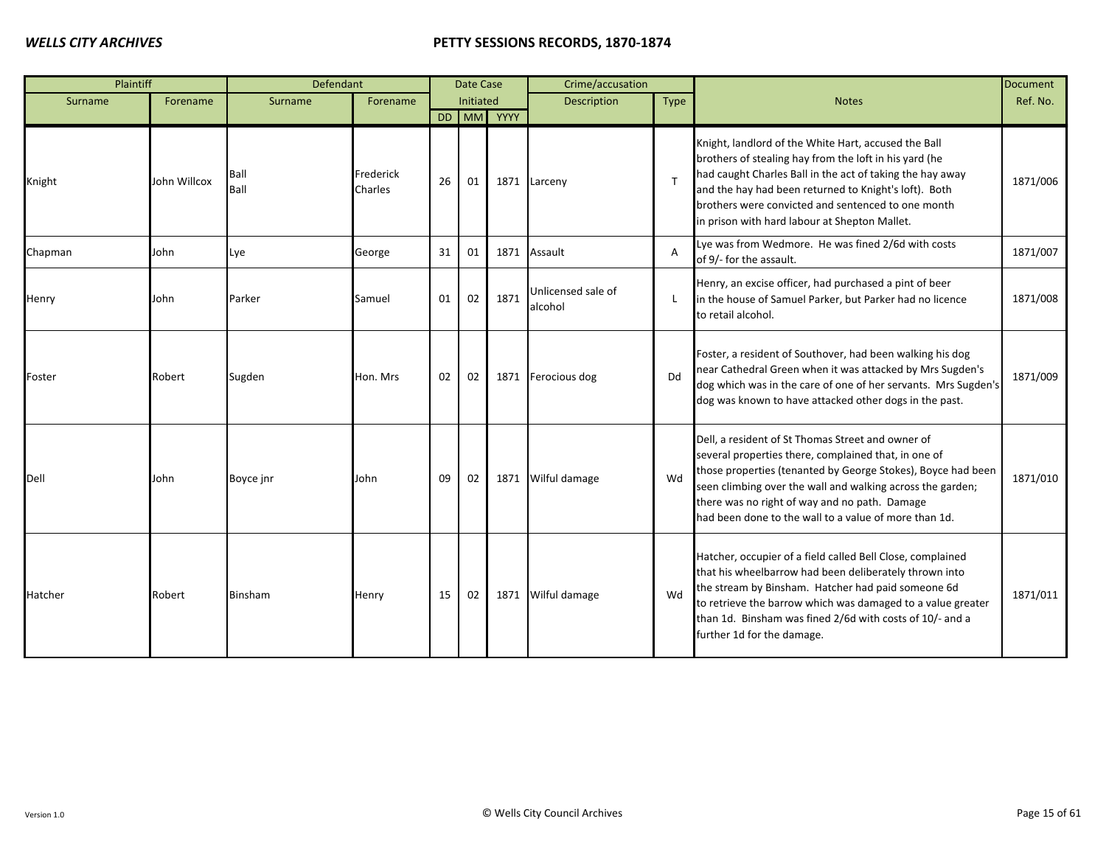| Plaintiff |              | Defendant    |                      |    | Date Case |            | Crime/accusation              |                |                                                                                                                                                                                                                                                                                                                                                   | <b>Document</b> |
|-----------|--------------|--------------|----------------------|----|-----------|------------|-------------------------------|----------------|---------------------------------------------------------------------------------------------------------------------------------------------------------------------------------------------------------------------------------------------------------------------------------------------------------------------------------------------------|-----------------|
| Surname   | Forename     | Surname      | Forename             |    | Initiated |            | Description                   | Type           | <b>Notes</b>                                                                                                                                                                                                                                                                                                                                      | Ref. No.        |
|           |              |              |                      |    |           | DD MM YYYY |                               |                |                                                                                                                                                                                                                                                                                                                                                   |                 |
| Knight    | John Willcox | Ball<br>Ball | Frederick<br>Charles | 26 | 01        |            | 1871 Larceny                  | T              | Knight, landlord of the White Hart, accused the Ball<br>brothers of stealing hay from the loft in his yard (he<br>had caught Charles Ball in the act of taking the hay away<br>and the hay had been returned to Knight's loft). Both<br>brothers were convicted and sentenced to one month<br>in prison with hard labour at Shepton Mallet.       | 1871/006        |
| Chapman   | John         | Lye          | George               | 31 | 01        |            | 1871 Assault                  | $\overline{A}$ | Lye was from Wedmore. He was fined 2/6d with costs<br>of 9/- for the assault.                                                                                                                                                                                                                                                                     | 1871/007        |
| Henry     | John         | Parker       | Samuel               | 01 | 02        | 1871       | Unlicensed sale of<br>alcohol | L              | Henry, an excise officer, had purchased a pint of beer<br>in the house of Samuel Parker, but Parker had no licence<br>to retail alcohol.                                                                                                                                                                                                          | 1871/008        |
| Foster    | Robert       | Sugden       | Hon. Mrs             | 02 | 02        |            | 1871 Ferocious dog            | Dd             | Foster, a resident of Southover, had been walking his dog<br>near Cathedral Green when it was attacked by Mrs Sugden's<br>dog which was in the care of one of her servants. Mrs Sugden's<br>dog was known to have attacked other dogs in the past.                                                                                                | 1871/009        |
| Dell      | John         | Boyce jnr    | John                 | 09 | 02        |            | 1871 Wilful damage            | Wd             | Dell, a resident of St Thomas Street and owner of<br>several properties there, complained that, in one of<br>those properties (tenanted by George Stokes), Boyce had been<br>seen climbing over the wall and walking across the garden;<br>there was no right of way and no path. Damage<br>had been done to the wall to a value of more than 1d. | 1871/010        |
| Hatcher   | Robert       | Binsham      | Henry                | 15 | 02        |            | 1871 Wilful damage            | Wd             | Hatcher, occupier of a field called Bell Close, complained<br>that his wheelbarrow had been deliberately thrown into<br>the stream by Binsham. Hatcher had paid someone 6d<br>to retrieve the barrow which was damaged to a value greater<br>than 1d. Binsham was fined 2/6d with costs of 10/- and a<br>further 1d for the damage.               | 1871/011        |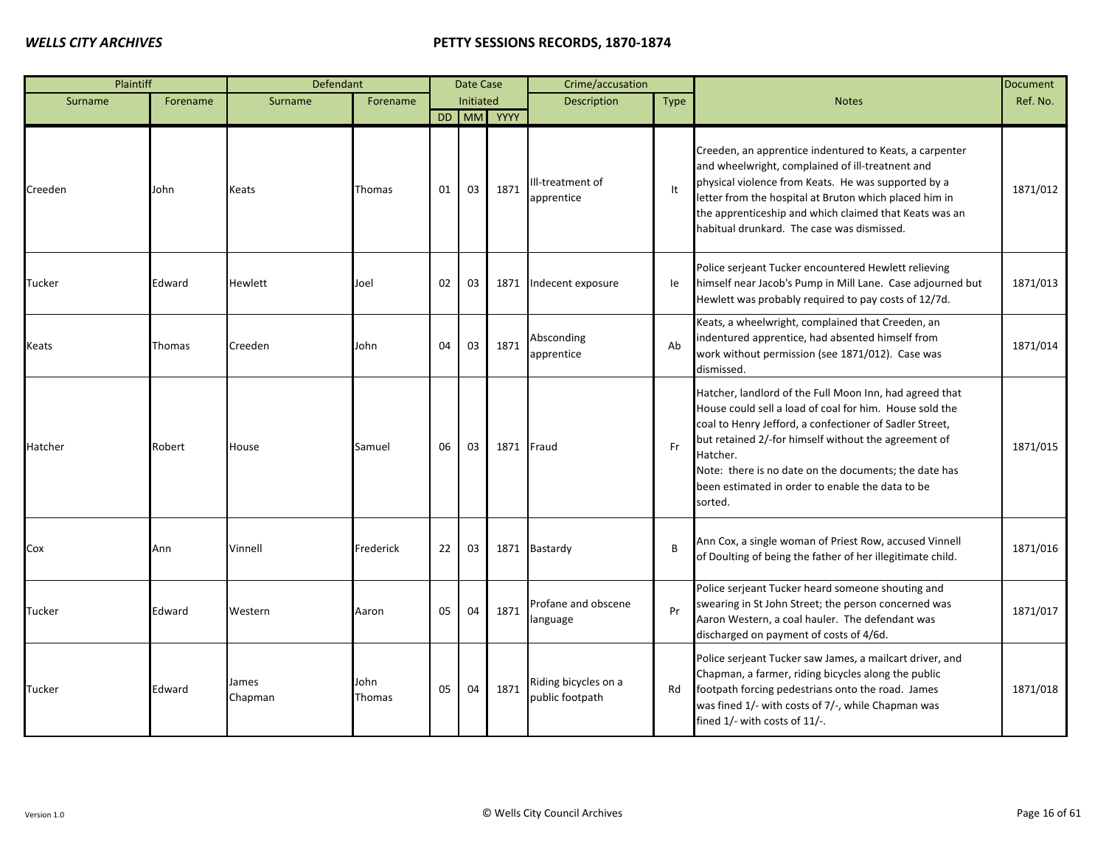| Plaintiff |          | Defendant        |                       |    | Date Case |            | Crime/accusation                        |      |                                                                                                                                                                                                                                                                                                                                                                           | <b>Document</b> |
|-----------|----------|------------------|-----------------------|----|-----------|------------|-----------------------------------------|------|---------------------------------------------------------------------------------------------------------------------------------------------------------------------------------------------------------------------------------------------------------------------------------------------------------------------------------------------------------------------------|-----------------|
| Surname   | Forename | Surname          | Forename              |    | Initiated |            | Description                             | Type | <b>Notes</b>                                                                                                                                                                                                                                                                                                                                                              | Ref. No.        |
|           |          |                  |                       |    |           | DD MM YYYY |                                         |      |                                                                                                                                                                                                                                                                                                                                                                           |                 |
| Creeden   | John     | Keats            | Thomas                | 01 | 03        | 1871       | Ill-treatment of<br>apprentice          | It   | Creeden, an apprentice indentured to Keats, a carpenter<br>and wheelwright, complained of ill-treatnent and<br>physical violence from Keats. He was supported by a<br>letter from the hospital at Bruton which placed him in<br>the apprenticeship and which claimed that Keats was an<br>habitual drunkard. The case was dismissed.                                      | 1871/012        |
| Tucker    | Edward   | <b>Hewlett</b>   | Joel                  | 02 | 03        | 1871       | Indecent exposure                       | le   | Police serjeant Tucker encountered Hewlett relieving<br>himself near Jacob's Pump in Mill Lane. Case adjourned but<br>Hewlett was probably required to pay costs of 12/7d.                                                                                                                                                                                                | 1871/013        |
| Keats     | Thomas   | Creeden          | John                  | 04 | 03        | 1871       | Absconding<br>apprentice                | Ab   | Keats, a wheelwright, complained that Creeden, an<br>indentured apprentice, had absented himself from<br>work without permission (see 1871/012). Case was<br>dismissed.                                                                                                                                                                                                   | 1871/014        |
| Hatcher   | Robert   | House            | Samuel                | 06 | 03        | 1871       | Fraud                                   | Fr   | Hatcher, landlord of the Full Moon Inn, had agreed that<br>House could sell a load of coal for him. House sold the<br>coal to Henry Jefford, a confectioner of Sadler Street,<br>but retained 2/-for himself without the agreement of<br>Hatcher.<br>Note: there is no date on the documents; the date has<br>been estimated in order to enable the data to be<br>sorted. | 1871/015        |
| Cox       | Ann      | Vinnell          | Frederick             | 22 | 03        |            | 1871 Bastardy                           | B    | Ann Cox, a single woman of Priest Row, accused Vinnell<br>of Doulting of being the father of her illegitimate child.                                                                                                                                                                                                                                                      | 1871/016        |
| Tucker    | Edward   | Western          | Aaron                 | 05 | 04        | 1871       | Profane and obscene<br>language         | Pr   | Police serjeant Tucker heard someone shouting and<br>swearing in St John Street; the person concerned was<br>Aaron Western, a coal hauler. The defendant was<br>discharged on payment of costs of 4/6d.                                                                                                                                                                   | 1871/017        |
| Tucker    | Edward   | James<br>Chapman | John<br><b>Thomas</b> | 05 | 04        | 1871       | Riding bicycles on a<br>public footpath | Rd   | Police serjeant Tucker saw James, a mailcart driver, and<br>Chapman, a farmer, riding bicycles along the public<br>footpath forcing pedestrians onto the road. James<br>was fined 1/- with costs of 7/-, while Chapman was<br>fined 1/- with costs of 11/-.                                                                                                               | 1871/018        |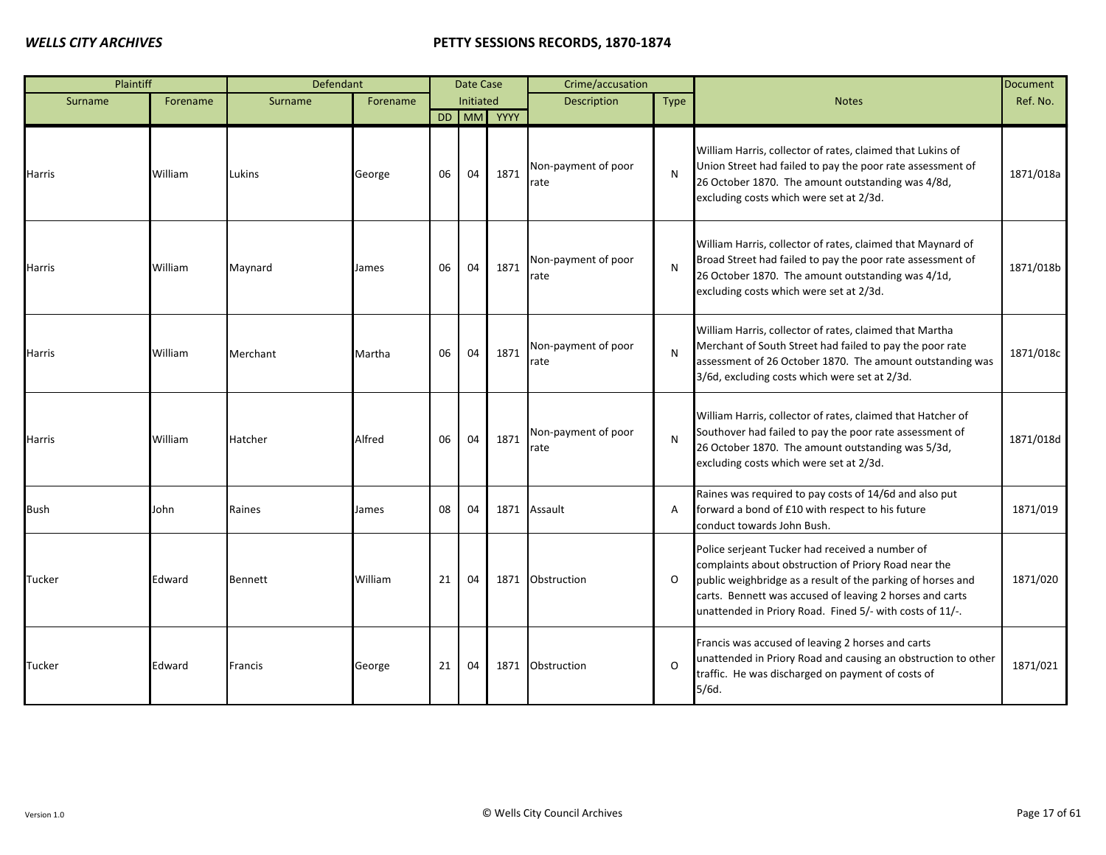| Plaintiff   |          | Defendant      |          |    | Date Case |            | Crime/accusation            |             |                                                                                                                                                                                                                                                                                                | <b>Document</b> |
|-------------|----------|----------------|----------|----|-----------|------------|-----------------------------|-------------|------------------------------------------------------------------------------------------------------------------------------------------------------------------------------------------------------------------------------------------------------------------------------------------------|-----------------|
| Surname     | Forename | Surname        | Forename |    | Initiated |            | <b>Description</b>          | <b>Type</b> | <b>Notes</b>                                                                                                                                                                                                                                                                                   | Ref. No.        |
|             |          |                |          |    |           | DD MM YYYY |                             |             |                                                                                                                                                                                                                                                                                                |                 |
| Harris      | William  | Lukins         | George   | 06 | 04        | 1871       | Non-payment of poor<br>rate | N           | William Harris, collector of rates, claimed that Lukins of<br>Union Street had failed to pay the poor rate assessment of<br>26 October 1870. The amount outstanding was 4/8d,<br>excluding costs which were set at 2/3d.                                                                       | 1871/018a       |
| Harris      | William  | Maynard        | James    | 06 | 04        | 1871       | Non-payment of poor<br>rate | N           | William Harris, collector of rates, claimed that Maynard of<br>Broad Street had failed to pay the poor rate assessment of<br>26 October 1870. The amount outstanding was 4/1d,<br>excluding costs which were set at 2/3d.                                                                      | 1871/018b       |
| Harris      | William  | Merchant       | Martha   | 06 | 04        | 1871       | Non-payment of poor<br>rate | N           | William Harris, collector of rates, claimed that Martha<br>Merchant of South Street had failed to pay the poor rate<br>assessment of 26 October 1870. The amount outstanding was<br>3/6d, excluding costs which were set at 2/3d.                                                              | 1871/018c       |
| Harris      | William  | Hatcher        | Alfred   | 06 | 04        | 1871       | Non-payment of poor<br>rate | N           | William Harris, collector of rates, claimed that Hatcher of<br>Southover had failed to pay the poor rate assessment of<br>26 October 1870. The amount outstanding was 5/3d,<br>excluding costs which were set at 2/3d.                                                                         | 1871/018d       |
| <b>Bush</b> | John     | Raines         | James    | 08 | 04        |            | 1871 Assault                | A           | Raines was required to pay costs of 14/6d and also put<br>forward a bond of £10 with respect to his future<br>conduct towards John Bush.                                                                                                                                                       | 1871/019        |
| Tucker      | Edward   | <b>Bennett</b> | William  | 21 | 04        | 1871       | Obstruction                 | O           | Police serjeant Tucker had received a number of<br>complaints about obstruction of Priory Road near the<br>public weighbridge as a result of the parking of horses and<br>carts. Bennett was accused of leaving 2 horses and carts<br>unattended in Priory Road. Fined 5/- with costs of 11/-. | 1871/020        |
| Tucker      | Edward   | <b>Francis</b> | George   | 21 | 04        | 1871       | Obstruction                 | $\Omega$    | Francis was accused of leaving 2 horses and carts<br>unattended in Priory Road and causing an obstruction to other<br>traffic. He was discharged on payment of costs of<br>$5/6d$ .                                                                                                            | 1871/021        |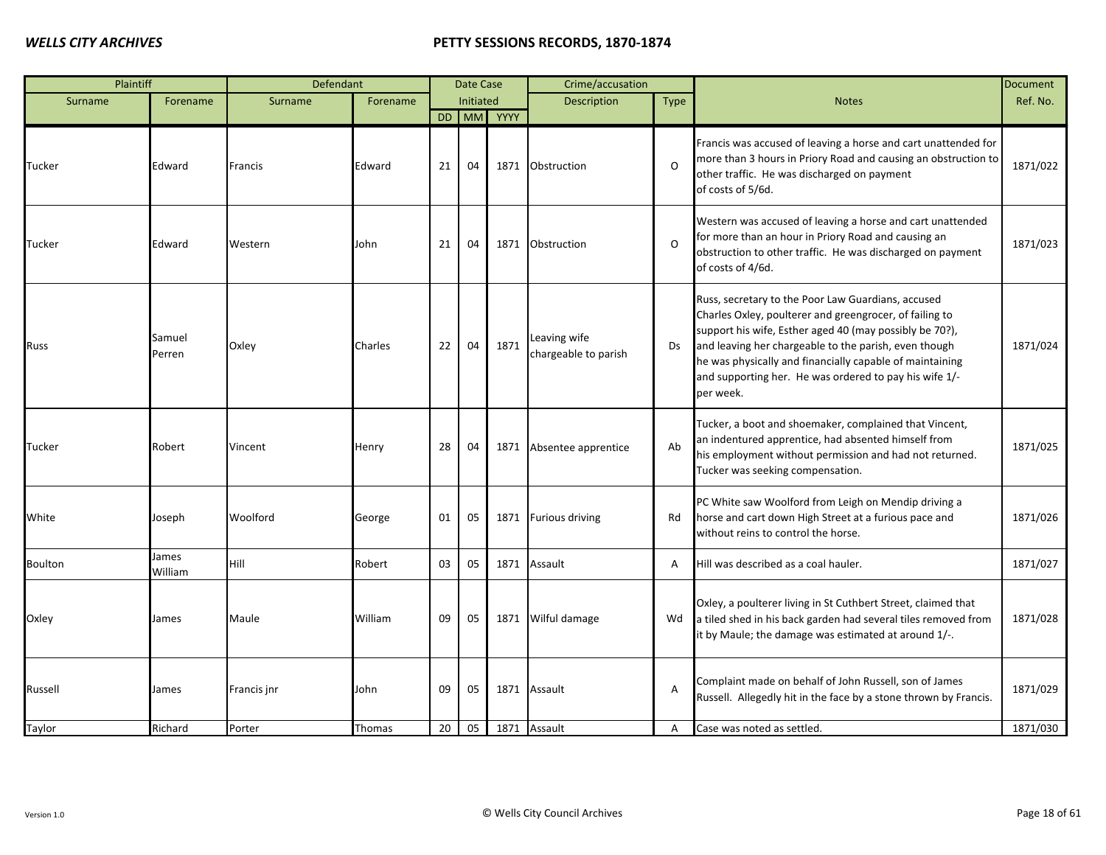| Plaintiff      |                  | Defendant   |          |    | <b>Date Case</b> |            | Crime/accusation                     |                |                                                                                                                                                                                                                                                                                                                                                                      | <b>Document</b> |
|----------------|------------------|-------------|----------|----|------------------|------------|--------------------------------------|----------------|----------------------------------------------------------------------------------------------------------------------------------------------------------------------------------------------------------------------------------------------------------------------------------------------------------------------------------------------------------------------|-----------------|
| Surname        | Forename         | Surname     | Forename |    | Initiated        |            | Description                          | <b>Type</b>    | <b>Notes</b>                                                                                                                                                                                                                                                                                                                                                         | Ref. No.        |
|                |                  |             |          |    |                  | DD MM YYYY |                                      |                |                                                                                                                                                                                                                                                                                                                                                                      |                 |
| Tucker         | Edward           | Francis     | Edward   | 21 | 04               | 1871       | Obstruction                          | $\Omega$       | Francis was accused of leaving a horse and cart unattended for<br>more than 3 hours in Priory Road and causing an obstruction to<br>other traffic. He was discharged on payment<br>of costs of 5/6d.                                                                                                                                                                 | 1871/022        |
| Tucker         | Edward           | Western     | John     | 21 | 04               | 1871       | Obstruction                          | $\Omega$       | Western was accused of leaving a horse and cart unattended<br>for more than an hour in Priory Road and causing an<br>obstruction to other traffic. He was discharged on payment<br>of costs of 4/6d.                                                                                                                                                                 | 1871/023        |
| Russ           | Samuel<br>Perren | Oxley       | Charles  | 22 | 04               | 1871       | Leaving wife<br>chargeable to parish | Ds             | Russ, secretary to the Poor Law Guardians, accused<br>Charles Oxley, poulterer and greengrocer, of failing to<br>support his wife, Esther aged 40 (may possibly be 70?),<br>and leaving her chargeable to the parish, even though<br>he was physically and financially capable of maintaining<br>and supporting her. He was ordered to pay his wife 1/-<br>per week. | 1871/024        |
| Tucker         | Robert           | Vincent     | Henry    | 28 | 04               | 1871       | Absentee apprentice                  | Ab             | Tucker, a boot and shoemaker, complained that Vincent,<br>an indentured apprentice, had absented himself from<br>his employment without permission and had not returned.<br>Tucker was seeking compensation.                                                                                                                                                         | 1871/025        |
| White          | Joseph           | Woolford    | George   | 01 | 05               | 1871       | <b>Furious driving</b>               | Rd             | PC White saw Woolford from Leigh on Mendip driving a<br>horse and cart down High Street at a furious pace and<br>without reins to control the horse.                                                                                                                                                                                                                 | 1871/026        |
| <b>Boulton</b> | James<br>William | Hill        | Robert   | 03 | 05               | 1871       | Assault                              | A              | Hill was described as a coal hauler.                                                                                                                                                                                                                                                                                                                                 | 1871/027        |
| Oxley          | James            | Maule       | William  | 09 | 05               | 1871       | Wilful damage                        | Wd             | Oxley, a poulterer living in St Cuthbert Street, claimed that<br>a tiled shed in his back garden had several tiles removed from<br>it by Maule; the damage was estimated at around 1/-.                                                                                                                                                                              | 1871/028        |
| Russell        | James            | Francis jnr | John     | 09 | 05               | 1871       | Assault                              | Α              | Complaint made on behalf of John Russell, son of James<br>Russell. Allegedly hit in the face by a stone thrown by Francis.                                                                                                                                                                                                                                           | 1871/029        |
| Taylor         | Richard          | Porter      | Thomas   | 20 | 05               | 1871       | Assault                              | $\overline{A}$ | Case was noted as settled.                                                                                                                                                                                                                                                                                                                                           | 1871/030        |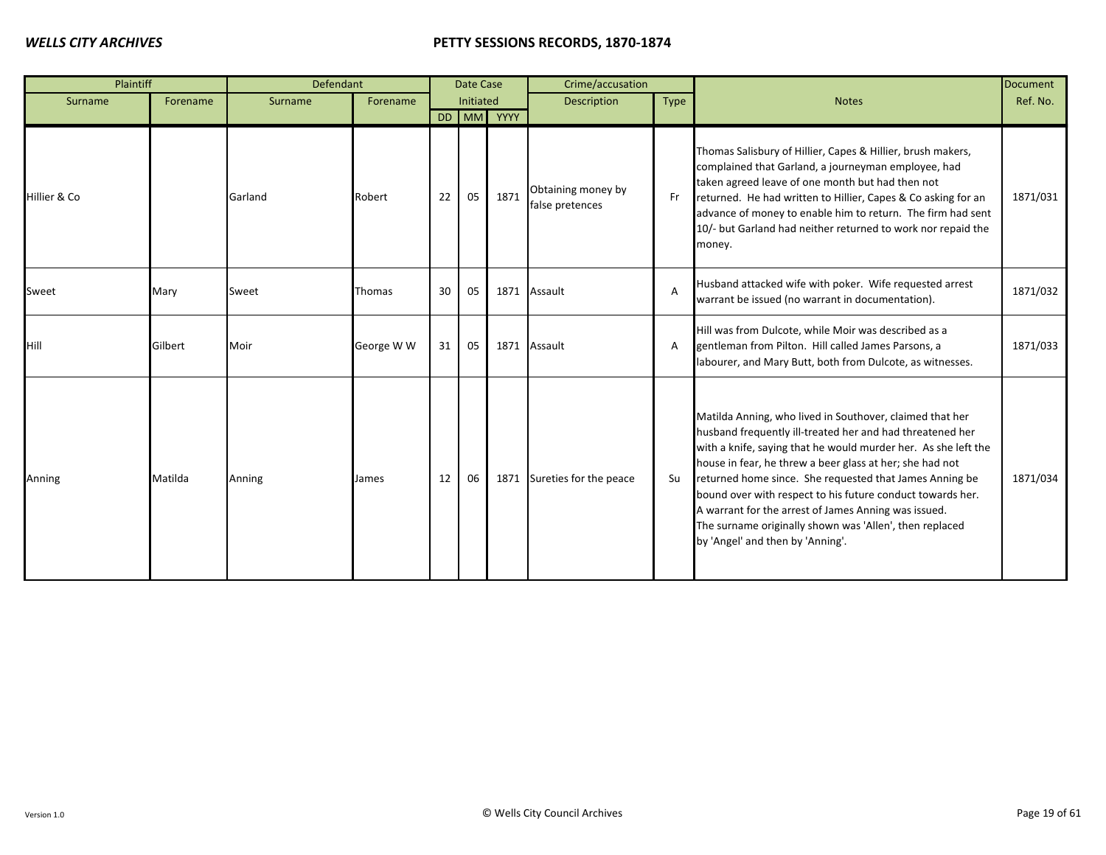| Plaintiff    |          | Defendant |            |    | Date Case |            | Crime/accusation                      |           |                                                                                                                                                                                                                                                                                                                                                                                                                                                                                                                                     | Document |
|--------------|----------|-----------|------------|----|-----------|------------|---------------------------------------|-----------|-------------------------------------------------------------------------------------------------------------------------------------------------------------------------------------------------------------------------------------------------------------------------------------------------------------------------------------------------------------------------------------------------------------------------------------------------------------------------------------------------------------------------------------|----------|
| Surname      | Forename | Surname   | Forename   |    | Initiated |            | Description                           | Type      | <b>Notes</b>                                                                                                                                                                                                                                                                                                                                                                                                                                                                                                                        | Ref. No. |
|              |          |           |            |    |           | DD MM YYYY |                                       |           |                                                                                                                                                                                                                                                                                                                                                                                                                                                                                                                                     |          |
| Hillier & Co |          | Garland   | Robert     | 22 | 05        | 1871       | Obtaining money by<br>false pretences | <b>Fr</b> | Thomas Salisbury of Hillier, Capes & Hillier, brush makers,<br>complained that Garland, a journeyman employee, had<br>taken agreed leave of one month but had then not<br>returned. He had written to Hillier, Capes & Co asking for an<br>advance of money to enable him to return. The firm had sent<br>10/- but Garland had neither returned to work nor repaid the<br>money.                                                                                                                                                    | 1871/031 |
| Sweet        | Mary     | Sweet     | Thomas     | 30 | 05        | 1871       | Assault                               | A         | Husband attacked wife with poker. Wife requested arrest<br>warrant be issued (no warrant in documentation).                                                                                                                                                                                                                                                                                                                                                                                                                         | 1871/032 |
| Hill         | Gilbert  | Moir      | George W W | 31 | 05        | 1871       | Assault                               | A         | Hill was from Dulcote, while Moir was described as a<br>gentleman from Pilton. Hill called James Parsons, a<br>labourer, and Mary Butt, both from Dulcote, as witnesses.                                                                                                                                                                                                                                                                                                                                                            | 1871/033 |
| Anning       | Matilda  | Anning    | James      | 12 | 06        | 1871       | Sureties for the peace                | Su        | Matilda Anning, who lived in Southover, claimed that her<br>husband frequently ill-treated her and had threatened her<br>with a knife, saying that he would murder her. As she left the<br>house in fear, he threw a beer glass at her; she had not<br>returned home since. She requested that James Anning be<br>bound over with respect to his future conduct towards her.<br>A warrant for the arrest of James Anning was issued.<br>The surname originally shown was 'Allen', then replaced<br>by 'Angel' and then by 'Anning'. | 1871/034 |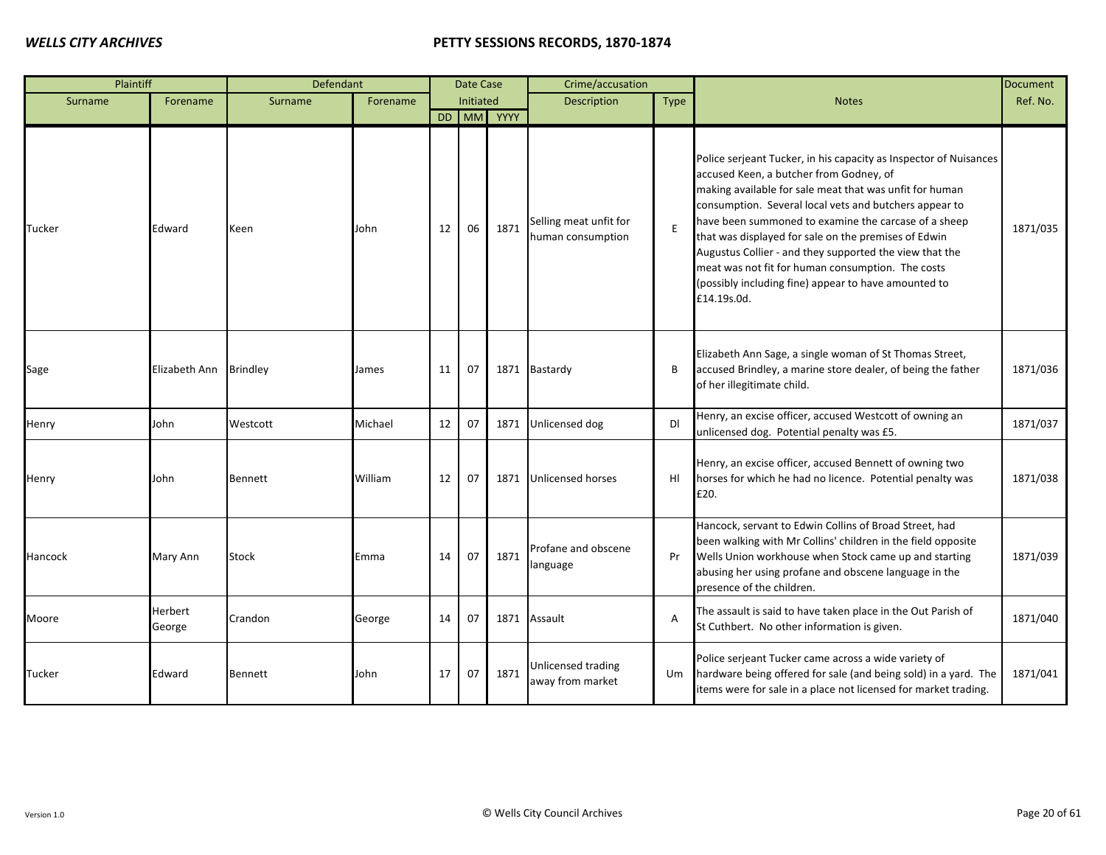| Plaintiff |                   | Defendant      |          |    | Date Case |            | Crime/accusation                            |                |                                                                                                                                                                                                                                                                                                                                                                                                                                                                                                                                          | <b>Document</b> |
|-----------|-------------------|----------------|----------|----|-----------|------------|---------------------------------------------|----------------|------------------------------------------------------------------------------------------------------------------------------------------------------------------------------------------------------------------------------------------------------------------------------------------------------------------------------------------------------------------------------------------------------------------------------------------------------------------------------------------------------------------------------------------|-----------------|
| Surname   | Forename          | Surname        | Forename |    | Initiated |            | <b>Description</b>                          | Type           | <b>Notes</b>                                                                                                                                                                                                                                                                                                                                                                                                                                                                                                                             | Ref. No.        |
|           |                   |                |          |    |           | DD MM YYYY |                                             |                |                                                                                                                                                                                                                                                                                                                                                                                                                                                                                                                                          |                 |
| Tucker    | Edward            | Keen           | John     | 12 | 06        | 1871       | Selling meat unfit for<br>human consumption | E              | Police serjeant Tucker, in his capacity as Inspector of Nuisances<br>accused Keen, a butcher from Godney, of<br>making available for sale meat that was unfit for human<br>consumption. Several local vets and butchers appear to<br>have been summoned to examine the carcase of a sheep<br>that was displayed for sale on the premises of Edwin<br>Augustus Collier - and they supported the view that the<br>meat was not fit for human consumption. The costs<br>(possibly including fine) appear to have amounted to<br>£14.19s.0d. | 1871/035        |
| Sage      | Elizabeth Ann     | Brindley       | James    | 11 | 07        |            | 1871 Bastardy                               | B              | Elizabeth Ann Sage, a single woman of St Thomas Street,<br>accused Brindley, a marine store dealer, of being the father<br>of her illegitimate child.                                                                                                                                                                                                                                                                                                                                                                                    | 1871/036        |
| Henry     | John              | Westcott       | Michael  | 12 | 07        |            | 1871 Unlicensed dog                         | <b>DI</b>      | Henry, an excise officer, accused Westcott of owning an<br>unlicensed dog. Potential penalty was £5.                                                                                                                                                                                                                                                                                                                                                                                                                                     | 1871/037        |
| Henry     | John              | Bennett        | William  | 12 | 07        |            | 1871 Unlicensed horses                      | HI             | Henry, an excise officer, accused Bennett of owning two<br>horses for which he had no licence. Potential penalty was<br>£20.                                                                                                                                                                                                                                                                                                                                                                                                             | 1871/038        |
| Hancock   | Mary Ann          | Stock          | Emma     | 14 | 07        | 1871       | Profane and obscene<br>language             | Pr             | Hancock, servant to Edwin Collins of Broad Street, had<br>been walking with Mr Collins' children in the field opposite<br>Wells Union workhouse when Stock came up and starting<br>abusing her using profane and obscene language in the<br>presence of the children.                                                                                                                                                                                                                                                                    | 1871/039        |
| Moore     | Herbert<br>George | Crandon        | George   | 14 | 07        |            | 1871 Assault                                | $\overline{A}$ | The assault is said to have taken place in the Out Parish of<br>St Cuthbert. No other information is given.                                                                                                                                                                                                                                                                                                                                                                                                                              | 1871/040        |
| Tucker    | Edward            | <b>Bennett</b> | John     | 17 | 07        | 1871       | Unlicensed trading<br>away from market      | Um             | Police serjeant Tucker came across a wide variety of<br>hardware being offered for sale (and being sold) in a yard. The<br>items were for sale in a place not licensed for market trading.                                                                                                                                                                                                                                                                                                                                               | 1871/041        |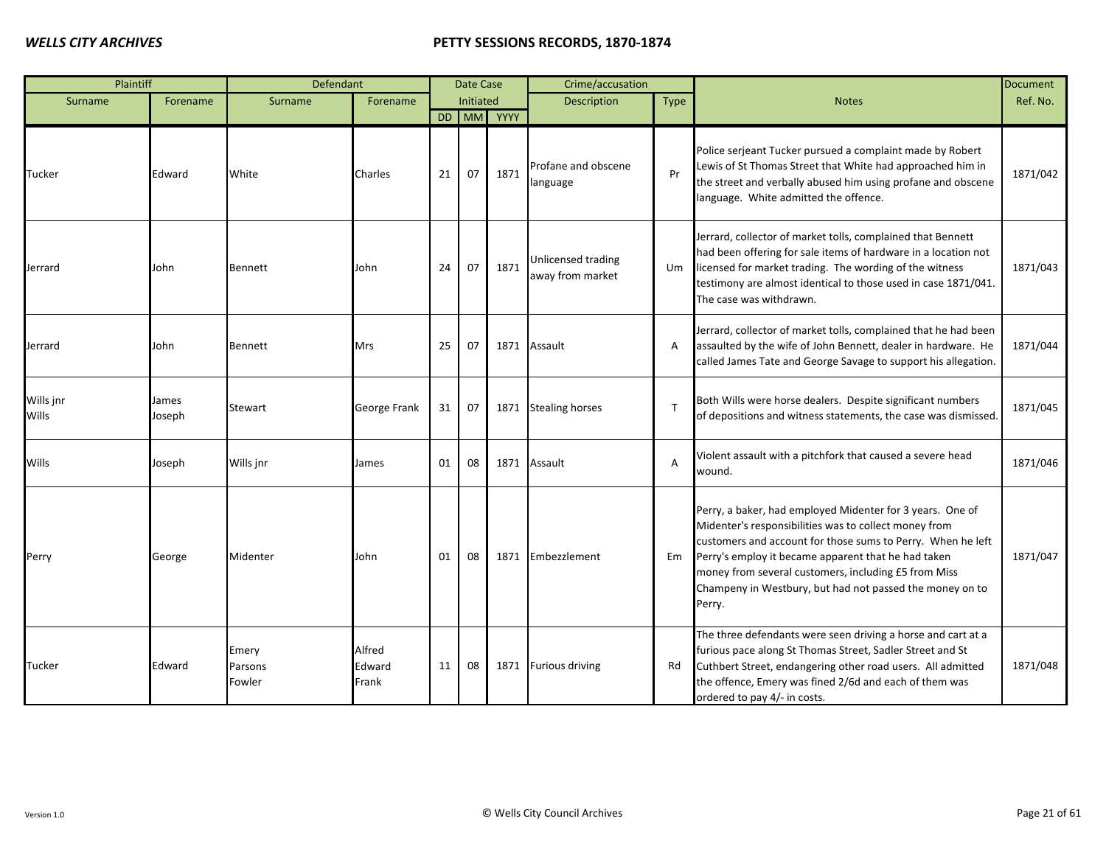| Plaintiff                 |                 | Defendant                  |                           |    | Date Case |            | Crime/accusation                       |                |                                                                                                                                                                                                                                                                                                                                                                        | <b>Document</b> |
|---------------------------|-----------------|----------------------------|---------------------------|----|-----------|------------|----------------------------------------|----------------|------------------------------------------------------------------------------------------------------------------------------------------------------------------------------------------------------------------------------------------------------------------------------------------------------------------------------------------------------------------------|-----------------|
| Surname                   | Forename        | Surname                    | Forename                  |    | Initiated |            | <b>Description</b>                     | <b>Type</b>    | <b>Notes</b>                                                                                                                                                                                                                                                                                                                                                           | Ref. No.        |
|                           |                 |                            |                           |    |           | DD MM YYYY |                                        |                |                                                                                                                                                                                                                                                                                                                                                                        |                 |
| Tucker                    | Edward          | White                      | Charles                   | 21 | 07        | 1871       | Profane and obscene<br>language        | Pr             | Police serjeant Tucker pursued a complaint made by Robert<br>Lewis of St Thomas Street that White had approached him in<br>the street and verbally abused him using profane and obscene<br>language. White admitted the offence.                                                                                                                                       | 1871/042        |
| Jerrard                   | John            | <b>Bennett</b>             | John                      | 24 | 07        | 1871       | Unlicensed trading<br>away from market | Um             | Jerrard, collector of market tolls, complained that Bennett<br>had been offering for sale items of hardware in a location not<br>licensed for market trading. The wording of the witness<br>testimony are almost identical to those used in case 1871/041.<br>The case was withdrawn.                                                                                  | 1871/043        |
| Jerrard                   | John            | <b>Bennett</b>             | <b>Mrs</b>                | 25 | 07        | 1871       | Assault                                | $\overline{A}$ | Jerrard, collector of market tolls, complained that he had been<br>assaulted by the wife of John Bennett, dealer in hardware. He<br>called James Tate and George Savage to support his allegation.                                                                                                                                                                     | 1871/044        |
| Wills jnr<br><b>Wills</b> | James<br>Joseph | Stewart                    | George Frank              | 31 | 07        | 1871       | <b>Stealing horses</b>                 | $\mathsf{T}$   | Both Wills were horse dealers. Despite significant numbers<br>of depositions and witness statements, the case was dismissed.                                                                                                                                                                                                                                           | 1871/045        |
| Wills                     | Joseph          | Wills jnr                  | James                     | 01 | 08        | 1871       | Assault                                | $\overline{A}$ | Violent assault with a pitchfork that caused a severe head<br>wound.                                                                                                                                                                                                                                                                                                   | 1871/046        |
| Perry                     | George          | Midenter                   | John                      | 01 | 08        |            | 1871 Embezzlement                      | Em             | Perry, a baker, had employed Midenter for 3 years. One of<br>Midenter's responsibilities was to collect money from<br>customers and account for those sums to Perry. When he left<br>Perry's employ it became apparent that he had taken<br>money from several customers, including £5 from Miss<br>Champeny in Westbury, but had not passed the money on to<br>Perry. | 1871/047        |
| Tucker                    | Edward          | Emery<br>Parsons<br>Fowler | Alfred<br>Edward<br>Frank | 11 | 08        |            | 1871 Furious driving                   | Rd             | The three defendants were seen driving a horse and cart at a<br>furious pace along St Thomas Street, Sadler Street and St<br>Cuthbert Street, endangering other road users. All admitted<br>the offence, Emery was fined 2/6d and each of them was<br>ordered to pay 4/- in costs.                                                                                     | 1871/048        |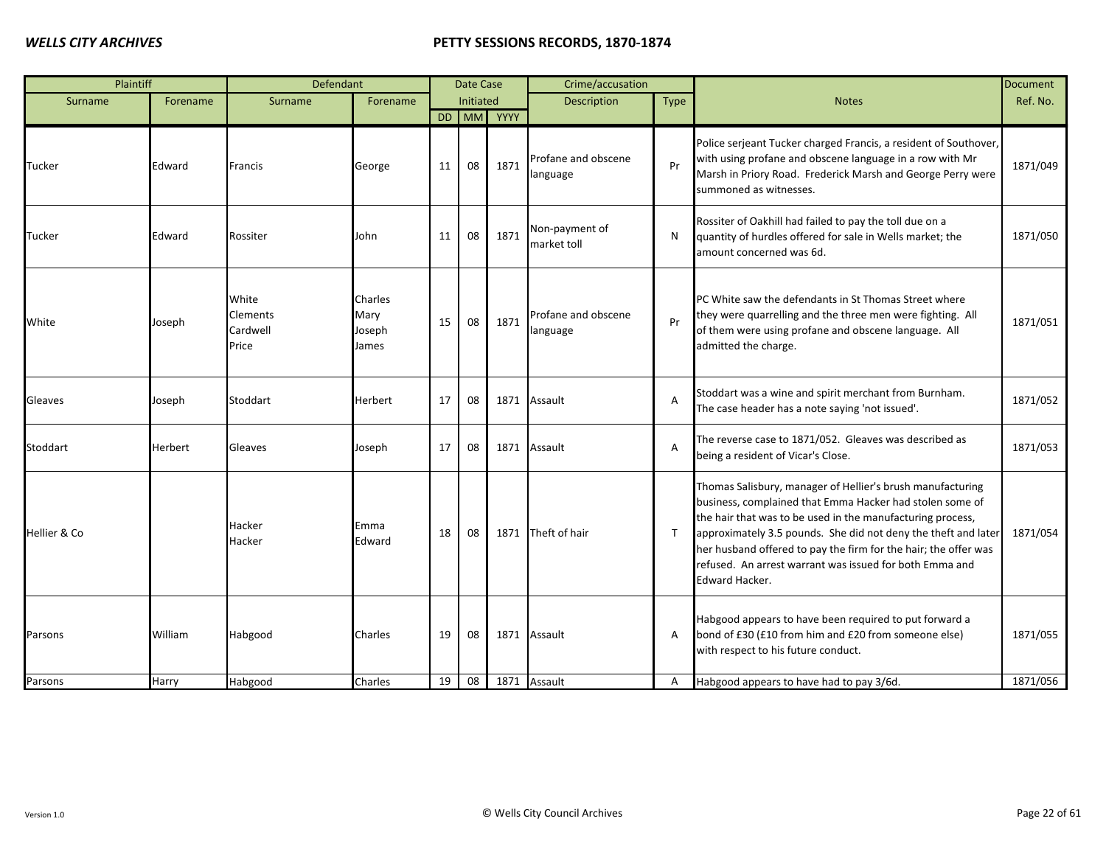| Plaintiff    |                  | Defendant                                     |                                    |          | Date Case |            | Crime/accusation                |                |                                                                                                                                                                                                                                                                                                                                                                                                        | <b>Document</b>      |
|--------------|------------------|-----------------------------------------------|------------------------------------|----------|-----------|------------|---------------------------------|----------------|--------------------------------------------------------------------------------------------------------------------------------------------------------------------------------------------------------------------------------------------------------------------------------------------------------------------------------------------------------------------------------------------------------|----------------------|
| Surname      | Forename         | Surname                                       | Forename                           |          | Initiated |            | <b>Description</b>              | Type           | <b>Notes</b>                                                                                                                                                                                                                                                                                                                                                                                           | Ref. No.             |
|              |                  |                                               |                                    |          |           | DD MM YYYY |                                 |                |                                                                                                                                                                                                                                                                                                                                                                                                        |                      |
| Tucker       | Edward           | Francis                                       | George                             | 11       | 08        | 1871       | Profane and obscene<br>language | Pr             | Police serjeant Tucker charged Francis, a resident of Southover,<br>with using profane and obscene language in a row with Mr<br>Marsh in Priory Road. Frederick Marsh and George Perry were<br>summoned as witnesses.                                                                                                                                                                                  | 1871/049             |
| Tucker       | Edward           | Rossiter                                      | John                               | 11       | 08        | 1871       | Non-payment of<br>market toll   | N              | Rossiter of Oakhill had failed to pay the toll due on a<br>quantity of hurdles offered for sale in Wells market; the<br>amount concerned was 6d.                                                                                                                                                                                                                                                       | 1871/050             |
| <b>White</b> | Joseph           | White<br><b>Clements</b><br>Cardwell<br>Price | Charles<br>Mary<br>Joseph<br>James | 15       | 08        | 1871       | Profane and obscene<br>language | Pr             | PC White saw the defendants in St Thomas Street where<br>they were quarrelling and the three men were fighting. All<br>of them were using profane and obscene language. All<br>admitted the charge.                                                                                                                                                                                                    | 1871/051             |
| Gleaves      | Joseph           | Stoddart                                      | Herbert                            | 17       | 08        | 1871       | Assault                         | $\overline{A}$ | Stoddart was a wine and spirit merchant from Burnham.<br>The case header has a note saying 'not issued'.                                                                                                                                                                                                                                                                                               | 1871/052             |
| Stoddart     | <b>Herbert</b>   | Gleaves                                       | Joseph                             | 17       | 08        |            | 1871 Assault                    | $\overline{A}$ | The reverse case to 1871/052. Gleaves was described as<br>being a resident of Vicar's Close.                                                                                                                                                                                                                                                                                                           | 1871/053             |
| Hellier & Co |                  | Hacker<br>Hacker                              | Emma<br>Edward                     | 18       | 08        |            | 1871 Theft of hair              | $\mathsf{T}$   | Thomas Salisbury, manager of Hellier's brush manufacturing<br>business, complained that Emma Hacker had stolen some of<br>the hair that was to be used in the manufacturing process,<br>approximately 3.5 pounds. She did not deny the theft and later<br>her husband offered to pay the firm for the hair; the offer was<br>refused. An arrest warrant was issued for both Emma and<br>Edward Hacker. | 1871/054             |
| Parsons      | William<br>Harry | Habgood                                       | Charles<br>Charles                 | 19<br>19 | 08<br>08  |            | 1871 Assault<br>1871 Assault    | A<br>Α         | Habgood appears to have been required to put forward a<br>bond of £30 (£10 from him and £20 from someone else)<br>with respect to his future conduct.                                                                                                                                                                                                                                                  | 1871/055<br>1871/056 |
| Parsons      |                  | Habgood                                       |                                    |          |           |            |                                 |                | Habgood appears to have had to pay 3/6d.                                                                                                                                                                                                                                                                                                                                                               |                      |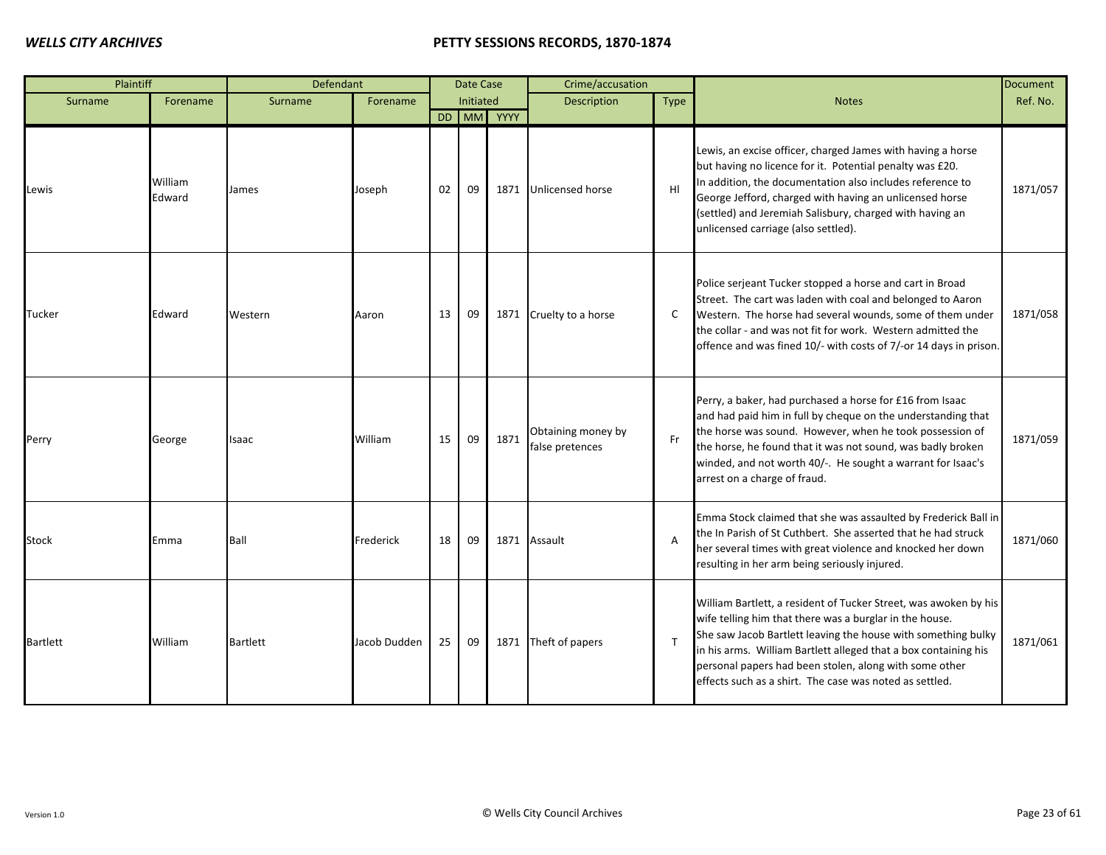| Plaintiff       |                   | Defendant       |              |    | Date Case |            | Crime/accusation                      |                |                                                                                                                                                                                                                                                                                                                                                                                      | Document |
|-----------------|-------------------|-----------------|--------------|----|-----------|------------|---------------------------------------|----------------|--------------------------------------------------------------------------------------------------------------------------------------------------------------------------------------------------------------------------------------------------------------------------------------------------------------------------------------------------------------------------------------|----------|
| Surname         | Forename          | Surname         | Forename     |    | Initiated |            | Description                           | Type           | <b>Notes</b>                                                                                                                                                                                                                                                                                                                                                                         | Ref. No. |
|                 |                   |                 |              |    |           | DD MM YYYY |                                       |                |                                                                                                                                                                                                                                                                                                                                                                                      |          |
| Lewis           | William<br>Edward | James           | Joseph       | 02 | 09        |            | 1871 Unlicensed horse                 | H <sub>l</sub> | Lewis, an excise officer, charged James with having a horse<br>but having no licence for it. Potential penalty was £20.<br>In addition, the documentation also includes reference to<br>George Jefford, charged with having an unlicensed horse<br>(settled) and Jeremiah Salisbury, charged with having an<br>unlicensed carriage (also settled).                                   | 1871/057 |
| Tucker          | Edward            | Western         | Aaron        | 13 | 09        | 1871       | Cruelty to a horse                    | C              | Police serjeant Tucker stopped a horse and cart in Broad<br>Street. The cart was laden with coal and belonged to Aaron<br>Western. The horse had several wounds, some of them under<br>the collar - and was not fit for work. Western admitted the<br>offence and was fined 10/- with costs of 7/-or 14 days in prison.                                                              | 1871/058 |
| Perry           | George            | Isaac           | William      | 15 | 09        | 1871       | Obtaining money by<br>false pretences | Fr             | Perry, a baker, had purchased a horse for £16 from Isaac<br>and had paid him in full by cheque on the understanding that<br>the horse was sound. However, when he took possession of<br>the horse, he found that it was not sound, was badly broken<br>winded, and not worth 40/-. He sought a warrant for Isaac's<br>arrest on a charge of fraud.                                   | 1871/059 |
| Stock           | Emma              | Ball            | Frederick    | 18 | 09        |            | 1871 Assault                          | A              | Emma Stock claimed that she was assaulted by Frederick Ball in<br>the In Parish of St Cuthbert. She asserted that he had struck<br>her several times with great violence and knocked her down<br>resulting in her arm being seriously injured.                                                                                                                                       | 1871/060 |
| <b>Bartlett</b> | William           | <b>Bartlett</b> | Jacob Dudden | 25 | 09        | 1871       | Theft of papers                       | $\mathsf{T}$   | William Bartlett, a resident of Tucker Street, was awoken by his<br>wife telling him that there was a burglar in the house.<br>She saw Jacob Bartlett leaving the house with something bulky<br>in his arms. William Bartlett alleged that a box containing his<br>personal papers had been stolen, along with some other<br>effects such as a shirt. The case was noted as settled. | 1871/061 |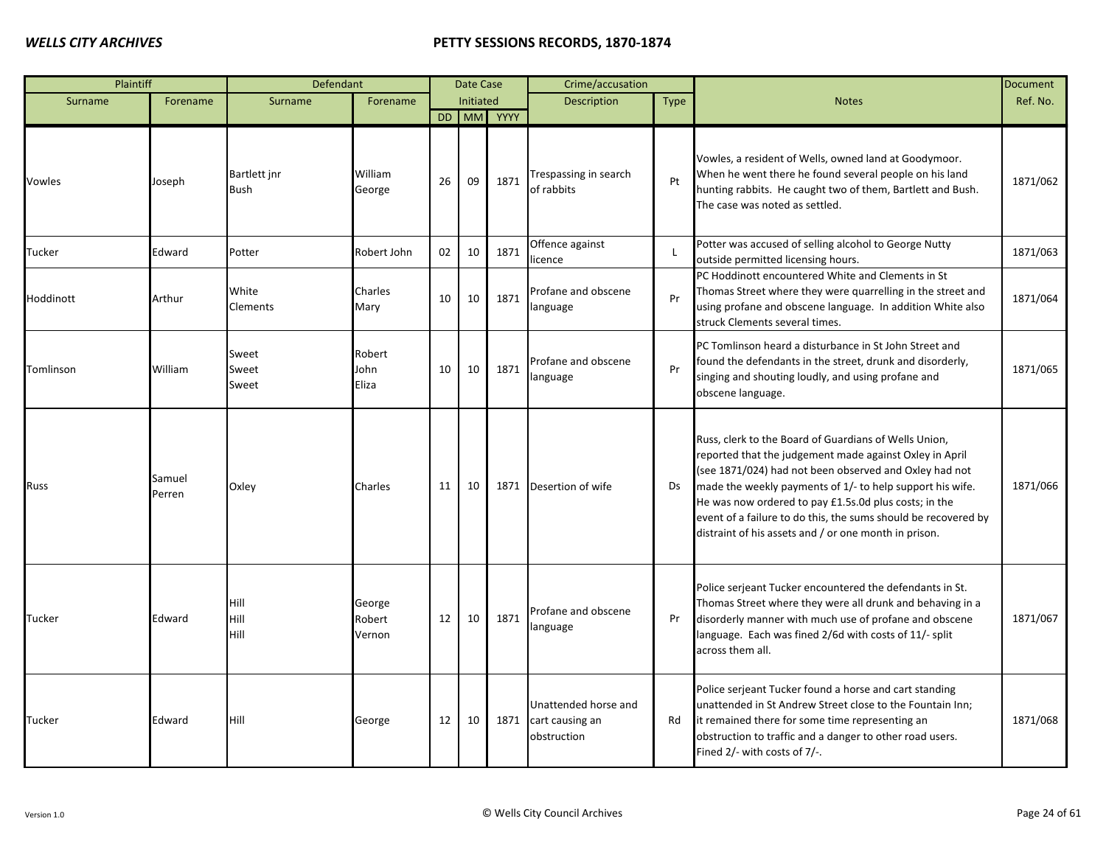| Plaintiff |                  | Defendant                   |                            |    | Date Case        |            | Crime/accusation                                       |                |                                                                                                                                                                                                                                                                                                                                                                                                                             | <b>Document</b> |
|-----------|------------------|-----------------------------|----------------------------|----|------------------|------------|--------------------------------------------------------|----------------|-----------------------------------------------------------------------------------------------------------------------------------------------------------------------------------------------------------------------------------------------------------------------------------------------------------------------------------------------------------------------------------------------------------------------------|-----------------|
| Surname   | Forename         | Surname                     | Forename                   |    | <b>Initiated</b> |            | Description                                            | Type           | <b>Notes</b>                                                                                                                                                                                                                                                                                                                                                                                                                | Ref. No.        |
|           |                  |                             |                            |    |                  | DD MM YYYY |                                                        |                |                                                                                                                                                                                                                                                                                                                                                                                                                             |                 |
| Vowles    | Joseph           | Bartlett jnr<br><b>Bush</b> | William<br>George          | 26 | 09               | 1871       | Trespassing in search<br>of rabbits                    | Pt             | Vowles, a resident of Wells, owned land at Goodymoor.<br>When he went there he found several people on his land<br>hunting rabbits. He caught two of them, Bartlett and Bush.<br>The case was noted as settled.                                                                                                                                                                                                             | 1871/062        |
| Tucker    | Edward           | Potter                      | Robert John                | 02 | 10               | 1871       | Offence against<br>icence                              | $\blacksquare$ | Potter was accused of selling alcohol to George Nutty<br>outside permitted licensing hours.                                                                                                                                                                                                                                                                                                                                 | 1871/063        |
| Hoddinott | Arthur           | White<br>Clements           | Charles<br>Mary            | 10 | 10               | 1871       | Profane and obscene<br>language                        | Pr             | PC Hoddinott encountered White and Clements in St<br>Thomas Street where they were quarrelling in the street and<br>using profane and obscene language. In addition White also<br>struck Clements several times.                                                                                                                                                                                                            | 1871/064        |
| Tomlinson | William          | Sweet<br>Sweet<br>Sweet     | Robert<br>John<br>Eliza    | 10 | 10               | 1871       | Profane and obscene<br>language                        | Pr             | PC Tomlinson heard a disturbance in St John Street and<br>found the defendants in the street, drunk and disorderly,<br>singing and shouting loudly, and using profane and<br>obscene language.                                                                                                                                                                                                                              | 1871/065        |
| Russ      | Samuel<br>Perren | Oxley                       | Charles                    | 11 | 10               | 1871       | Desertion of wife                                      | <b>Ds</b>      | Russ, clerk to the Board of Guardians of Wells Union,<br>reported that the judgement made against Oxley in April<br>(see 1871/024) had not been observed and Oxley had not<br>made the weekly payments of 1/- to help support his wife.<br>He was now ordered to pay £1.5s.0d plus costs; in the<br>event of a failure to do this, the sums should be recovered by<br>distraint of his assets and / or one month in prison. | 1871/066        |
| Tucker    | Edward           | Hill<br>Hill<br>Hill        | George<br>Robert<br>Vernon | 12 | 10               | 1871       | Profane and obscene<br>language                        | Pr             | Police serjeant Tucker encountered the defendants in St.<br>Thomas Street where they were all drunk and behaving in a<br>disorderly manner with much use of profane and obscene<br>language. Each was fined 2/6d with costs of 11/- split<br>across them all.                                                                                                                                                               | 1871/067        |
| Tucker    | Edward           | Hill                        | George                     | 12 | 10               | 1871       | Unattended horse and<br>cart causing an<br>obstruction | Rd             | Police serjeant Tucker found a horse and cart standing<br>unattended in St Andrew Street close to the Fountain Inn;<br>it remained there for some time representing an<br>obstruction to traffic and a danger to other road users.<br>Fined 2/- with costs of 7/-.                                                                                                                                                          | 1871/068        |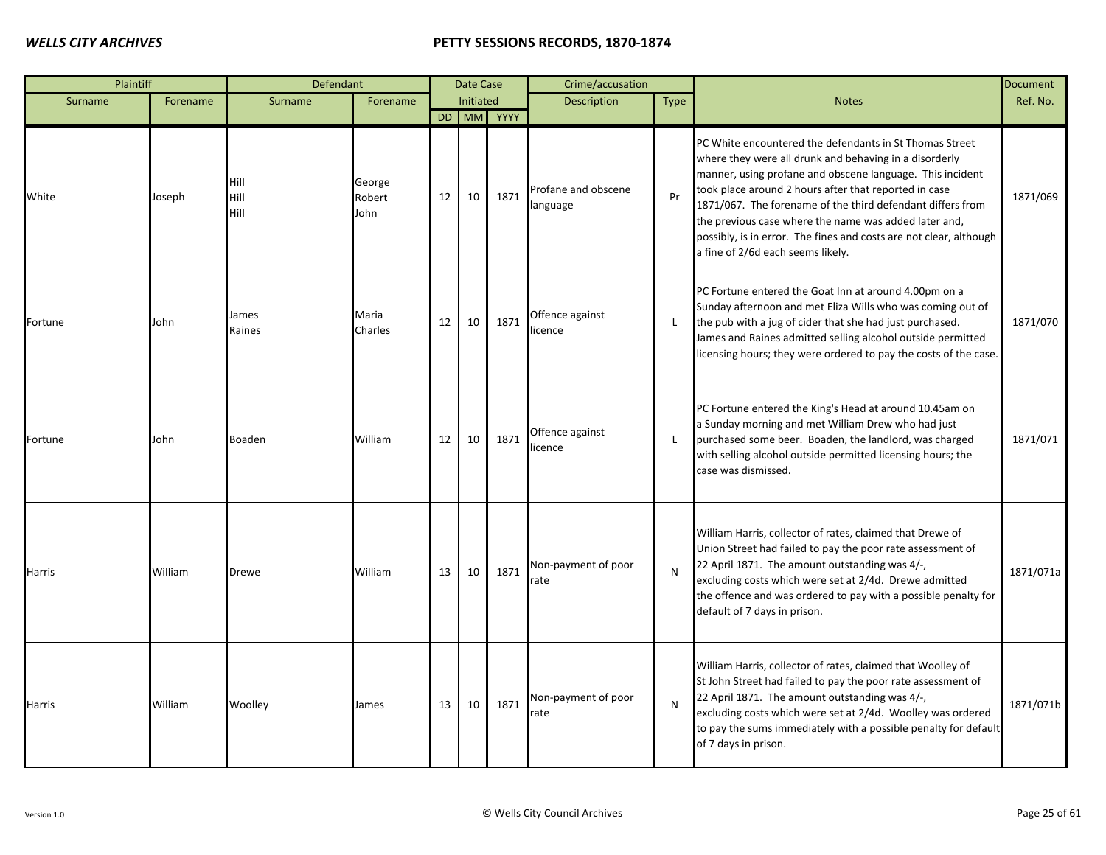| Plaintiff     |          | Defendant            |                          |    | <b>Date Case</b> |            | Crime/accusation                |      |                                                                                                                                                                                                                                                                                                                                                                                                                                                                           | <b>Document</b> |
|---------------|----------|----------------------|--------------------------|----|------------------|------------|---------------------------------|------|---------------------------------------------------------------------------------------------------------------------------------------------------------------------------------------------------------------------------------------------------------------------------------------------------------------------------------------------------------------------------------------------------------------------------------------------------------------------------|-----------------|
| Surname       | Forename | Surname              | Forename                 |    | Initiated        |            | Description                     | Type | <b>Notes</b>                                                                                                                                                                                                                                                                                                                                                                                                                                                              | Ref. No.        |
|               |          |                      |                          |    |                  | DD MM YYYY |                                 |      |                                                                                                                                                                                                                                                                                                                                                                                                                                                                           |                 |
| White         | Joseph   | Hill<br>Hill<br>Hill | George<br>Robert<br>John | 12 | 10               | 1871       | Profane and obscene<br>language | Pr   | PC White encountered the defendants in St Thomas Street<br>where they were all drunk and behaving in a disorderly<br>manner, using profane and obscene language. This incident<br>took place around 2 hours after that reported in case<br>1871/067. The forename of the third defendant differs from<br>the previous case where the name was added later and,<br>possibly, is in error. The fines and costs are not clear, although<br>a fine of 2/6d each seems likely. | 1871/069        |
| Fortune       | John     | James<br>Raines      | Maria<br>Charles         | 12 | 10               | 1871       | Offence against<br>licence      | -L   | PC Fortune entered the Goat Inn at around 4.00pm on a<br>Sunday afternoon and met Eliza Wills who was coming out of<br>the pub with a jug of cider that she had just purchased.<br>James and Raines admitted selling alcohol outside permitted<br>licensing hours; they were ordered to pay the costs of the case.                                                                                                                                                        | 1871/070        |
| Fortune       | John     | <b>Boaden</b>        | William                  | 12 | 10               | 1871       | Offence against<br>licence      | L.   | PC Fortune entered the King's Head at around 10.45am on<br>a Sunday morning and met William Drew who had just<br>purchased some beer. Boaden, the landlord, was charged<br>with selling alcohol outside permitted licensing hours; the<br>case was dismissed.                                                                                                                                                                                                             | 1871/071        |
| <b>Harris</b> | William  | <b>Drewe</b>         | William                  | 13 | 10               | 1871       | Non-payment of poor<br>rate     | N    | William Harris, collector of rates, claimed that Drewe of<br>Union Street had failed to pay the poor rate assessment of<br>22 April 1871. The amount outstanding was 4/-,<br>excluding costs which were set at 2/4d. Drewe admitted<br>the offence and was ordered to pay with a possible penalty for<br>default of 7 days in prison.                                                                                                                                     | 1871/071a       |
| <b>Harris</b> | William  | Woolley              | James                    | 13 | 10               | 1871       | Non-payment of poor<br>rate     | N    | William Harris, collector of rates, claimed that Woolley of<br>St John Street had failed to pay the poor rate assessment of<br>22 April 1871. The amount outstanding was 4/-,<br>excluding costs which were set at 2/4d. Woolley was ordered<br>to pay the sums immediately with a possible penalty for default<br>of 7 days in prison.                                                                                                                                   | 1871/071b       |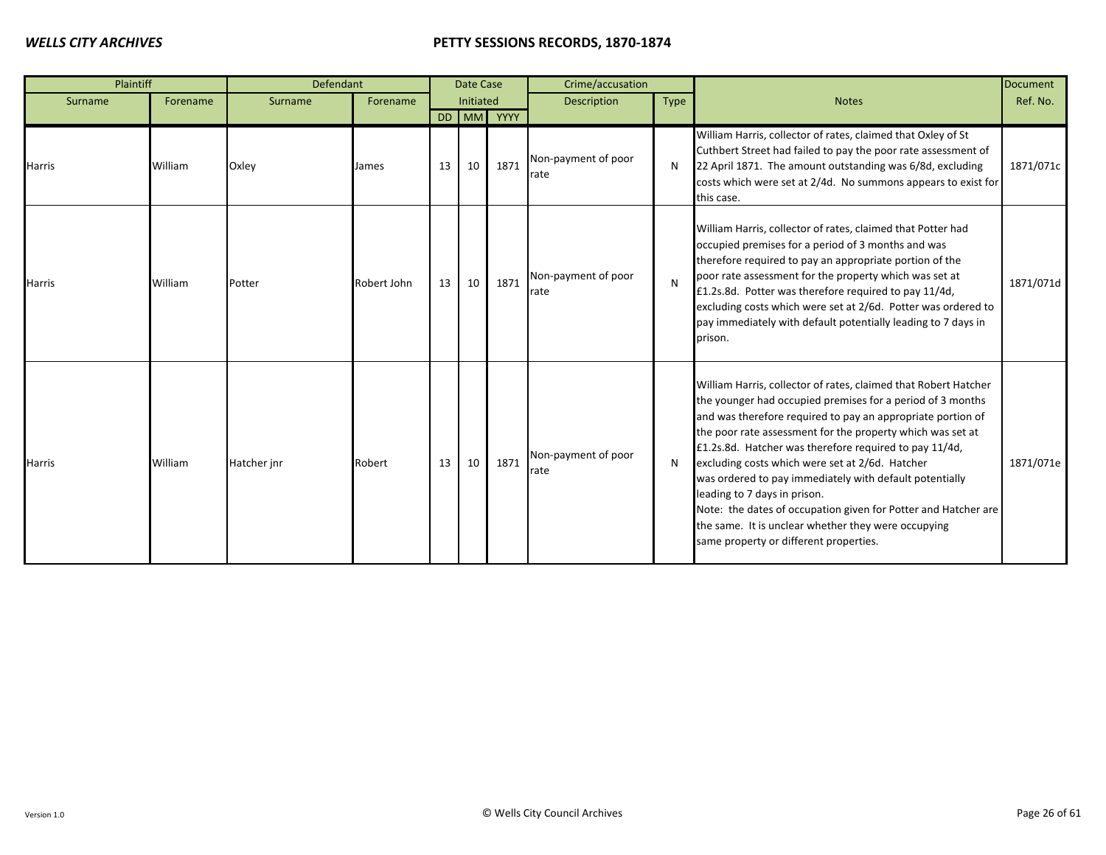| Plaintiff     |          | Defendant   |             |    | Date Case |            | Crime/accusation                     |             |                                                                                                                                                                                                                                                                                                                                                                                                                                                                                                                                                                                                                                       | Document  |
|---------------|----------|-------------|-------------|----|-----------|------------|--------------------------------------|-------------|---------------------------------------------------------------------------------------------------------------------------------------------------------------------------------------------------------------------------------------------------------------------------------------------------------------------------------------------------------------------------------------------------------------------------------------------------------------------------------------------------------------------------------------------------------------------------------------------------------------------------------------|-----------|
| Surname       | Forename | Surname     | Forename    |    | Initiated |            | Description                          | <b>Type</b> | <b>Notes</b>                                                                                                                                                                                                                                                                                                                                                                                                                                                                                                                                                                                                                          | Ref. No.  |
|               |          |             |             |    |           | DD MM YYYY |                                      |             |                                                                                                                                                                                                                                                                                                                                                                                                                                                                                                                                                                                                                                       |           |
| <b>Harris</b> | William  | Oxley       | James       | 13 | 10        | 1871       | Non-payment of poor<br>rate          | N           | William Harris, collector of rates, claimed that Oxley of St<br>Cuthbert Street had failed to pay the poor rate assessment of<br>22 April 1871. The amount outstanding was 6/8d, excluding<br>costs which were set at 2/4d. No summons appears to exist for<br>this case.                                                                                                                                                                                                                                                                                                                                                             | 1871/071c |
| <b>Harris</b> | William  | Potter      | Robert John | 13 | 10        | 1871       | Non-payment of poor<br><b>I</b> rate | N           | William Harris, collector of rates, claimed that Potter had<br>occupied premises for a period of 3 months and was<br>therefore required to pay an appropriate portion of the<br>poor rate assessment for the property which was set at<br>£1.2s.8d. Potter was therefore required to pay 11/4d,<br>excluding costs which were set at 2/6d. Potter was ordered to<br>pay immediately with default potentially leading to 7 days in<br>prison.                                                                                                                                                                                          | 1871/071d |
| <b>Harris</b> | William  | Hatcher jnr | Robert      | 13 | 10        | 1871       | Non-payment of poor<br>rate          | <b>N</b>    | William Harris, collector of rates, claimed that Robert Hatcher<br>the younger had occupied premises for a period of 3 months<br>and was therefore required to pay an appropriate portion of<br>the poor rate assessment for the property which was set at<br>£1.2s.8d. Hatcher was therefore required to pay 11/4d,<br>excluding costs which were set at 2/6d. Hatcher<br>was ordered to pay immediately with default potentially<br>leading to 7 days in prison.<br>Note: the dates of occupation given for Potter and Hatcher are<br>the same. It is unclear whether they were occupying<br>same property or different properties. | 1871/071e |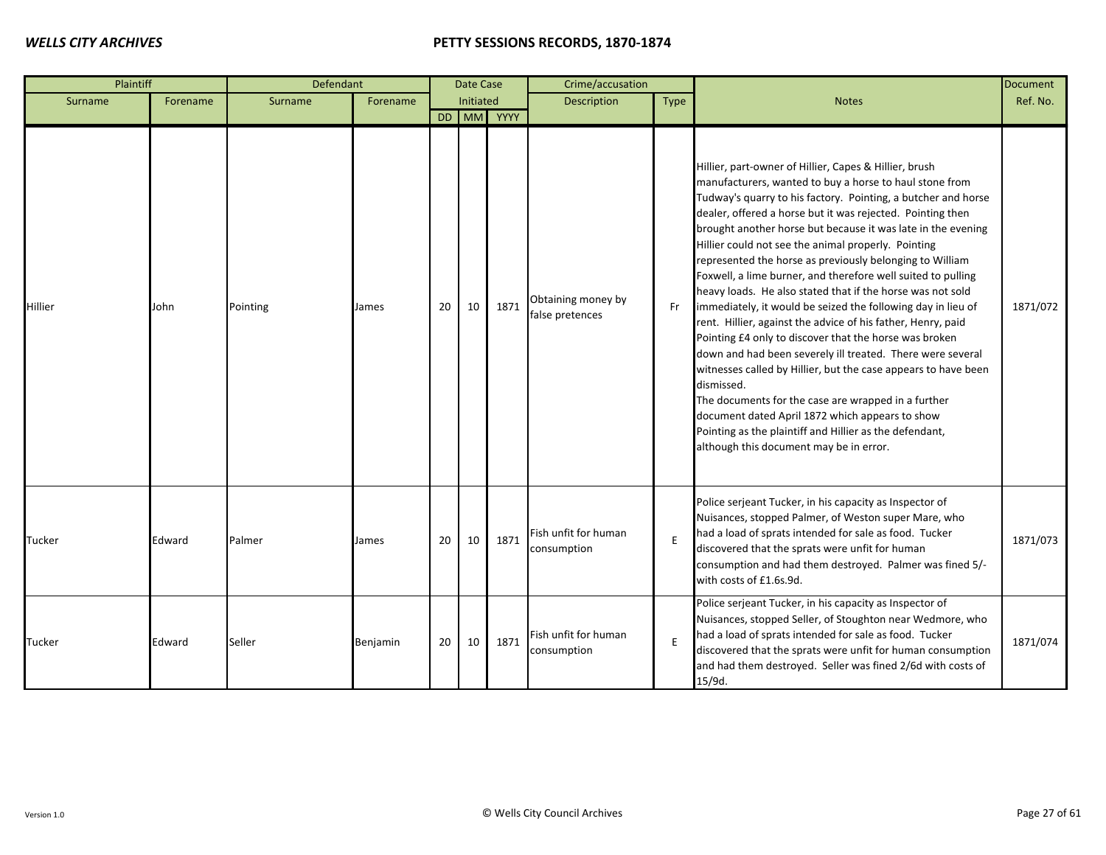| Plaintiff |          | Defendant |          |    | Date Case |            | Crime/accusation                      |      |                                                                                                                                                                                                                                                                                                                                                                                                                                                                                                                                                                                                                                                                                                                                                                                                                                                                                                                                                                                                                                                                                                                           | <b>Document</b> |
|-----------|----------|-----------|----------|----|-----------|------------|---------------------------------------|------|---------------------------------------------------------------------------------------------------------------------------------------------------------------------------------------------------------------------------------------------------------------------------------------------------------------------------------------------------------------------------------------------------------------------------------------------------------------------------------------------------------------------------------------------------------------------------------------------------------------------------------------------------------------------------------------------------------------------------------------------------------------------------------------------------------------------------------------------------------------------------------------------------------------------------------------------------------------------------------------------------------------------------------------------------------------------------------------------------------------------------|-----------------|
| Surname   | Forename | Surname   | Forename |    | Initiated |            | Description                           | Type | <b>Notes</b>                                                                                                                                                                                                                                                                                                                                                                                                                                                                                                                                                                                                                                                                                                                                                                                                                                                                                                                                                                                                                                                                                                              | Ref. No.        |
|           |          |           |          |    |           | DD MM YYYY |                                       |      |                                                                                                                                                                                                                                                                                                                                                                                                                                                                                                                                                                                                                                                                                                                                                                                                                                                                                                                                                                                                                                                                                                                           |                 |
| Hillier   | John     | Pointing  | James    | 20 | 10        | 1871       | Obtaining money by<br>false pretences | Fr   | Hillier, part-owner of Hillier, Capes & Hillier, brush<br>manufacturers, wanted to buy a horse to haul stone from<br>Tudway's quarry to his factory. Pointing, a butcher and horse<br>dealer, offered a horse but it was rejected. Pointing then<br>brought another horse but because it was late in the evening<br>Hillier could not see the animal properly. Pointing<br>represented the horse as previously belonging to William<br>Foxwell, a lime burner, and therefore well suited to pulling<br>heavy loads. He also stated that if the horse was not sold<br>immediately, it would be seized the following day in lieu of<br>rent. Hillier, against the advice of his father, Henry, paid<br>Pointing £4 only to discover that the horse was broken<br>down and had been severely ill treated. There were several<br>witnesses called by Hillier, but the case appears to have been<br>dismissed.<br>The documents for the case are wrapped in a further<br>document dated April 1872 which appears to show<br>Pointing as the plaintiff and Hillier as the defendant,<br>although this document may be in error. | 1871/072        |
| Tucker    | Edward   | Palmer    | James    | 20 | 10        | 1871       | Fish unfit for human<br>consumption   | E    | Police serjeant Tucker, in his capacity as Inspector of<br>Nuisances, stopped Palmer, of Weston super Mare, who<br>had a load of sprats intended for sale as food. Tucker<br>discovered that the sprats were unfit for human<br>consumption and had them destroyed. Palmer was fined 5/-<br>with costs of £1.6s.9d.                                                                                                                                                                                                                                                                                                                                                                                                                                                                                                                                                                                                                                                                                                                                                                                                       | 1871/073        |
| Tucker    | Edward   | Seller    | Benjamin | 20 | 10        | 1871       | Fish unfit for human<br>consumption   | E    | Police serjeant Tucker, in his capacity as Inspector of<br>Nuisances, stopped Seller, of Stoughton near Wedmore, who<br>had a load of sprats intended for sale as food. Tucker<br>discovered that the sprats were unfit for human consumption<br>and had them destroyed. Seller was fined 2/6d with costs of<br>15/9d.                                                                                                                                                                                                                                                                                                                                                                                                                                                                                                                                                                                                                                                                                                                                                                                                    | 1871/074        |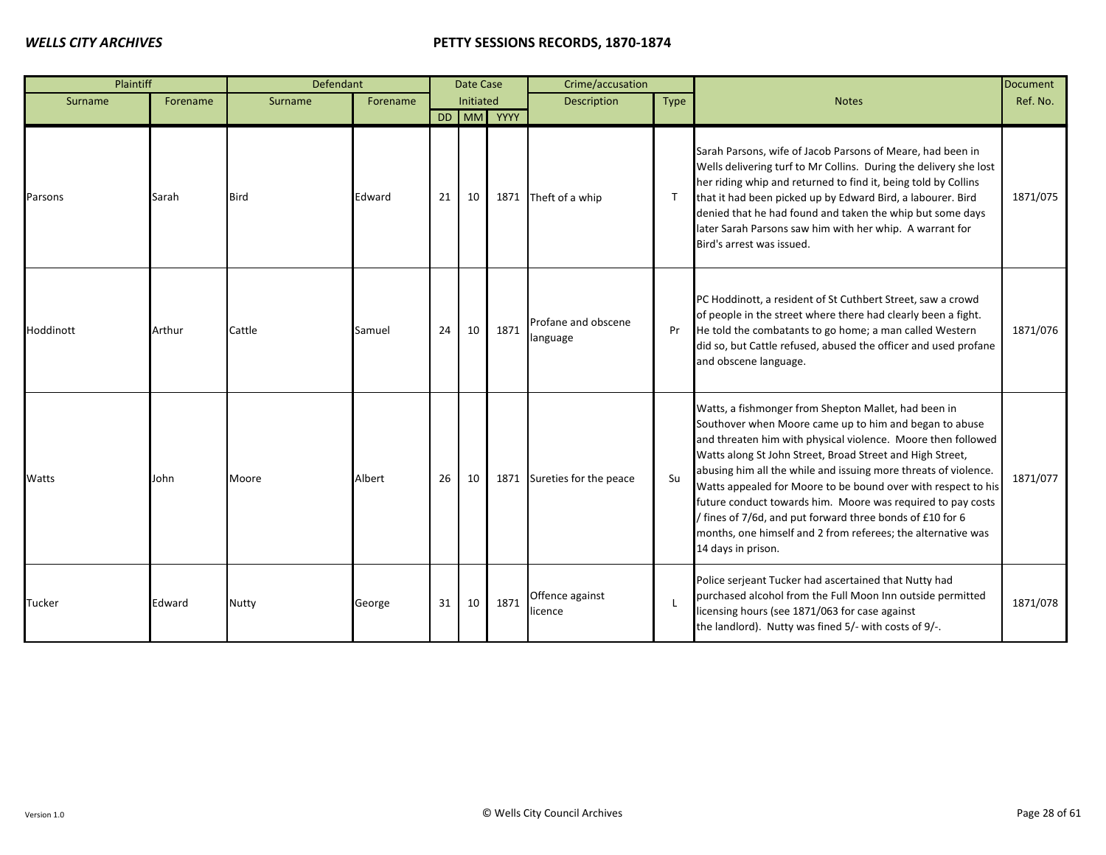| Plaintiff |          | <b>Defendant</b> |          |    | Date Case |            | Crime/accusation                |              |                                                                                                                                                                                                                                                                                                                                                                                                                                                                                                                                                                                                   | <b>Document</b> |
|-----------|----------|------------------|----------|----|-----------|------------|---------------------------------|--------------|---------------------------------------------------------------------------------------------------------------------------------------------------------------------------------------------------------------------------------------------------------------------------------------------------------------------------------------------------------------------------------------------------------------------------------------------------------------------------------------------------------------------------------------------------------------------------------------------------|-----------------|
| Surname   | Forename | Surname          | Forename |    | Initiated |            | Description                     | Type         | <b>Notes</b>                                                                                                                                                                                                                                                                                                                                                                                                                                                                                                                                                                                      | Ref. No.        |
|           |          |                  |          |    |           | DD MM YYYY |                                 |              |                                                                                                                                                                                                                                                                                                                                                                                                                                                                                                                                                                                                   |                 |
| Parsons   | Sarah    | Bird             | Edward   | 21 | 10        | 1871       | Theft of a whip                 | $\mathsf{T}$ | Sarah Parsons, wife of Jacob Parsons of Meare, had been in<br>Wells delivering turf to Mr Collins. During the delivery she lost<br>her riding whip and returned to find it, being told by Collins<br>that it had been picked up by Edward Bird, a labourer. Bird<br>denied that he had found and taken the whip but some days<br>later Sarah Parsons saw him with her whip. A warrant for<br>Bird's arrest was issued.                                                                                                                                                                            | 1871/075        |
| Hoddinott | Arthur   | Cattle           | Samuel   | 24 | 10        | 1871       | Profane and obscene<br>language | Pr           | PC Hoddinott, a resident of St Cuthbert Street, saw a crowd<br>of people in the street where there had clearly been a fight.<br>He told the combatants to go home; a man called Western<br>did so, but Cattle refused, abused the officer and used profane<br>and obscene language.                                                                                                                                                                                                                                                                                                               | 1871/076        |
| Watts     | John     | Moore            | Albert   | 26 | 10        | 1871       | Sureties for the peace          | Su           | Watts, a fishmonger from Shepton Mallet, had been in<br>Southover when Moore came up to him and began to abuse<br>and threaten him with physical violence. Moore then followed<br>Watts along St John Street, Broad Street and High Street,<br>abusing him all the while and issuing more threats of violence.<br>Watts appealed for Moore to be bound over with respect to his<br>future conduct towards him. Moore was required to pay costs<br>/ fines of 7/6d, and put forward three bonds of £10 for 6<br>months, one himself and 2 from referees; the alternative was<br>14 days in prison. | 1871/077        |
| Tucker    | Edward   | <b>Nutty</b>     | George   | 31 | 10        | 1871       | Offence against<br>licence      | $\mathsf{L}$ | Police serjeant Tucker had ascertained that Nutty had<br>purchased alcohol from the Full Moon Inn outside permitted<br>licensing hours (see 1871/063 for case against<br>the landlord). Nutty was fined 5/- with costs of 9/-.                                                                                                                                                                                                                                                                                                                                                                    | 1871/078        |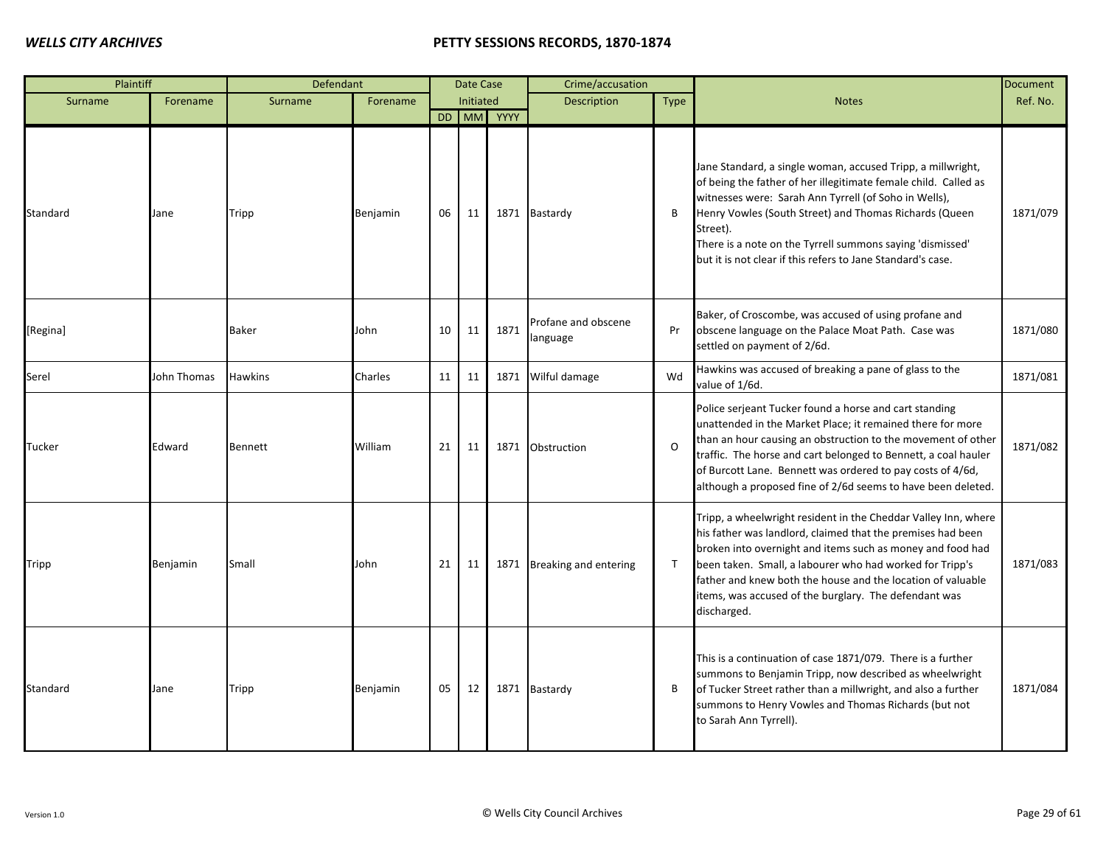| Plaintiff |             | Defendant      |          |    | Date Case |            | Crime/accusation                |              |                                                                                                                                                                                                                                                                                                                                                                                                | <b>Document</b> |
|-----------|-------------|----------------|----------|----|-----------|------------|---------------------------------|--------------|------------------------------------------------------------------------------------------------------------------------------------------------------------------------------------------------------------------------------------------------------------------------------------------------------------------------------------------------------------------------------------------------|-----------------|
| Surname   | Forename    | Surname        | Forename |    | Initiated |            | <b>Description</b>              | <b>Type</b>  | <b>Notes</b>                                                                                                                                                                                                                                                                                                                                                                                   | Ref. No.        |
|           |             |                |          |    |           | DD MM YYYY |                                 |              |                                                                                                                                                                                                                                                                                                                                                                                                |                 |
| Standard  | Jane        | Tripp          | Benjamin | 06 | 11        |            | 1871 Bastardy                   | B            | Jane Standard, a single woman, accused Tripp, a millwright,<br>of being the father of her illegitimate female child. Called as<br>witnesses were: Sarah Ann Tyrrell (of Soho in Wells),<br>Henry Vowles (South Street) and Thomas Richards (Queen<br>Street).<br>There is a note on the Tyrrell summons saying 'dismissed'<br>but it is not clear if this refers to Jane Standard's case.      | 1871/079        |
| [Regina]  |             | <b>Baker</b>   | John     | 10 | 11        | 1871       | Profane and obscene<br>language | Pr           | Baker, of Croscombe, was accused of using profane and<br>obscene language on the Palace Moat Path. Case was<br>settled on payment of 2/6d.                                                                                                                                                                                                                                                     | 1871/080        |
| Serel     | John Thomas | <b>Hawkins</b> | Charles  | 11 | 11        |            | 1871 Wilful damage              | Wd           | Hawkins was accused of breaking a pane of glass to the<br>value of 1/6d.                                                                                                                                                                                                                                                                                                                       | 1871/081        |
| Tucker    | Edward      | Bennett        | William  | 21 | 11        |            | 1871 Obstruction                | $\Omega$     | Police serjeant Tucker found a horse and cart standing<br>unattended in the Market Place; it remained there for more<br>than an hour causing an obstruction to the movement of other<br>traffic. The horse and cart belonged to Bennett, a coal hauler<br>of Burcott Lane. Bennett was ordered to pay costs of 4/6d,<br>although a proposed fine of 2/6d seems to have been deleted.           | 1871/082        |
| Tripp     | Benjamin    | Small          | John     | 21 | 11        |            | 1871 Breaking and entering      | $\mathsf{T}$ | Tripp, a wheelwright resident in the Cheddar Valley Inn, where<br>his father was landlord, claimed that the premises had been<br>broken into overnight and items such as money and food had<br>been taken. Small, a labourer who had worked for Tripp's<br>father and knew both the house and the location of valuable<br>items, was accused of the burglary. The defendant was<br>discharged. | 1871/083        |
| Standard  | Jane        | Tripp          | Benjamin | 05 | 12        |            | 1871 Bastardy                   | В            | This is a continuation of case 1871/079. There is a further<br>summons to Benjamin Tripp, now described as wheelwright<br>of Tucker Street rather than a millwright, and also a further<br>summons to Henry Vowles and Thomas Richards (but not<br>to Sarah Ann Tyrrell).                                                                                                                      | 1871/084        |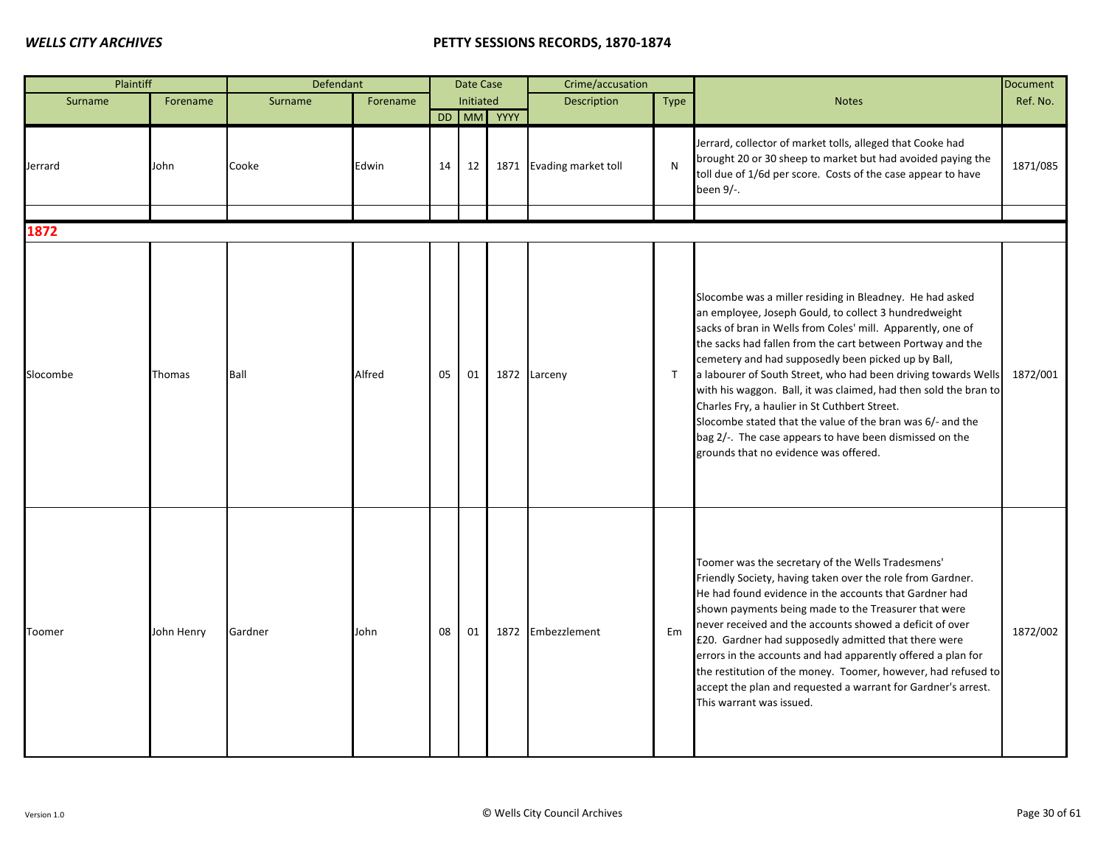| Plaintiff |            | Defendant |          |    | Date Case        |            | Crime/accusation         |              |                                                                                                                                                                                                                                                                                                                                                                                                                                                                                                                                                                                                                                                                | <b>Document</b> |
|-----------|------------|-----------|----------|----|------------------|------------|--------------------------|--------------|----------------------------------------------------------------------------------------------------------------------------------------------------------------------------------------------------------------------------------------------------------------------------------------------------------------------------------------------------------------------------------------------------------------------------------------------------------------------------------------------------------------------------------------------------------------------------------------------------------------------------------------------------------------|-----------------|
| Surname   | Forename   | Surname   | Forename |    | <b>Initiated</b> |            | <b>Description</b>       | Type         | <b>Notes</b>                                                                                                                                                                                                                                                                                                                                                                                                                                                                                                                                                                                                                                                   | Ref. No.        |
|           |            |           |          |    |                  | DD MM YYYY |                          |              |                                                                                                                                                                                                                                                                                                                                                                                                                                                                                                                                                                                                                                                                |                 |
| Jerrard   | John       | Cooke     | Edwin    | 14 | 12               |            | 1871 Evading market toll | N            | Jerrard, collector of market tolls, alleged that Cooke had<br>brought 20 or 30 sheep to market but had avoided paying the<br>toll due of 1/6d per score. Costs of the case appear to have<br>been 9/-.                                                                                                                                                                                                                                                                                                                                                                                                                                                         | 1871/085        |
| 1872      |            |           |          |    |                  |            |                          |              |                                                                                                                                                                                                                                                                                                                                                                                                                                                                                                                                                                                                                                                                |                 |
|           |            |           |          |    |                  |            |                          |              |                                                                                                                                                                                                                                                                                                                                                                                                                                                                                                                                                                                                                                                                |                 |
| Slocombe  | Thomas     | Ball      | Alfred   | 05 | 01               |            | 1872 Larceny             | $\mathsf{T}$ | Slocombe was a miller residing in Bleadney. He had asked<br>an employee, Joseph Gould, to collect 3 hundredweight<br>sacks of bran in Wells from Coles' mill. Apparently, one of<br>the sacks had fallen from the cart between Portway and the<br>cemetery and had supposedly been picked up by Ball,<br>a labourer of South Street, who had been driving towards Wells<br>with his waggon. Ball, it was claimed, had then sold the bran to<br>Charles Fry, a haulier in St Cuthbert Street.<br>Slocombe stated that the value of the bran was 6/- and the<br>bag 2/-. The case appears to have been dismissed on the<br>grounds that no evidence was offered. | 1872/001        |
| Toomer    | John Henry | Gardner   | John     | 08 | 01               |            | 1872 Embezzlement        | Em           | Toomer was the secretary of the Wells Tradesmens'<br>Friendly Society, having taken over the role from Gardner.<br>He had found evidence in the accounts that Gardner had<br>shown payments being made to the Treasurer that were<br>never received and the accounts showed a deficit of over<br>£20. Gardner had supposedly admitted that there were<br>errors in the accounts and had apparently offered a plan for<br>the restitution of the money. Toomer, however, had refused to<br>accept the plan and requested a warrant for Gardner's arrest.<br>This warrant was issued.                                                                            | 1872/002        |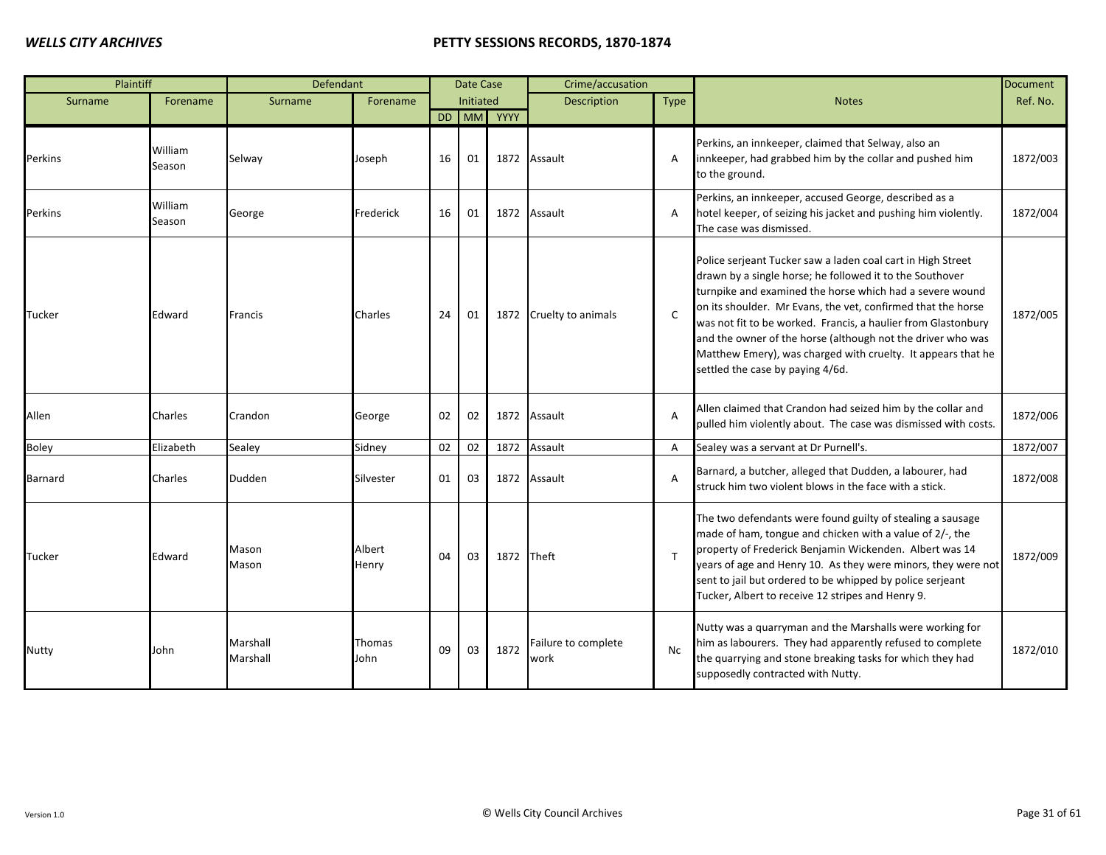| Plaintiff |                   | Defendant            |                 |    | <b>Date Case</b> |            | Crime/accusation            |                |                                                                                                                                                                                                                                                                                                                                                                                                                                                                                         | <b>Document</b> |
|-----------|-------------------|----------------------|-----------------|----|------------------|------------|-----------------------------|----------------|-----------------------------------------------------------------------------------------------------------------------------------------------------------------------------------------------------------------------------------------------------------------------------------------------------------------------------------------------------------------------------------------------------------------------------------------------------------------------------------------|-----------------|
| Surname   | Forename          | Surname              | Forename        |    | Initiated        |            | Description                 | Type           | <b>Notes</b>                                                                                                                                                                                                                                                                                                                                                                                                                                                                            | Ref. No.        |
|           |                   |                      |                 |    |                  | DD MM YYYY |                             |                |                                                                                                                                                                                                                                                                                                                                                                                                                                                                                         |                 |
| Perkins   | William<br>Season | Selway               | Joseph          | 16 | 01               | 1872       | Assault                     | A              | Perkins, an innkeeper, claimed that Selway, also an<br>innkeeper, had grabbed him by the collar and pushed him<br>to the ground.                                                                                                                                                                                                                                                                                                                                                        | 1872/003        |
| Perkins   | William<br>Season | George               | Frederick       | 16 | 01               |            | 1872 Assault                | A              | Perkins, an innkeeper, accused George, described as a<br>hotel keeper, of seizing his jacket and pushing him violently.<br>The case was dismissed.                                                                                                                                                                                                                                                                                                                                      | 1872/004        |
| Tucker    | Edward            | <b>Francis</b>       | Charles         | 24 | 01               | 1872       | Cruelty to animals          | C              | Police serjeant Tucker saw a laden coal cart in High Street<br>drawn by a single horse; he followed it to the Southover<br>turnpike and examined the horse which had a severe wound<br>on its shoulder. Mr Evans, the vet, confirmed that the horse<br>was not fit to be worked. Francis, a haulier from Glastonbury<br>and the owner of the horse (although not the driver who was<br>Matthew Emery), was charged with cruelty. It appears that he<br>settled the case by paying 4/6d. | 1872/005        |
| Allen     | Charles           | Crandon              | George          | 02 | 02               | 1872       | Assault                     | $\overline{A}$ | Allen claimed that Crandon had seized him by the collar and<br>pulled him violently about. The case was dismissed with costs.                                                                                                                                                                                                                                                                                                                                                           | 1872/006        |
| Boley     | Elizabeth         | Sealey               | Sidney          | 02 | 02               | 1872       | Assault                     | Α              | Sealey was a servant at Dr Purnell's.                                                                                                                                                                                                                                                                                                                                                                                                                                                   | 1872/007        |
| Barnard   | Charles           | Dudden               | Silvester       | 01 | 03               | 1872       | Assault                     | A              | Barnard, a butcher, alleged that Dudden, a labourer, had<br>struck him two violent blows in the face with a stick.                                                                                                                                                                                                                                                                                                                                                                      | 1872/008        |
| Tucker    | Edward            | Mason<br>Mason       | Albert<br>Henry | 04 | 03               | 1872 Theft |                             | T              | The two defendants were found guilty of stealing a sausage<br>made of ham, tongue and chicken with a value of 2/-, the<br>property of Frederick Benjamin Wickenden. Albert was 14<br>years of age and Henry 10. As they were minors, they were not<br>sent to jail but ordered to be whipped by police serjeant<br>Tucker, Albert to receive 12 stripes and Henry 9.                                                                                                                    | 1872/009        |
| Nutty     | John              | Marshall<br>Marshall | Thomas<br>John  | 09 | 03               | 1872       | Failure to complete<br>work | <b>Nc</b>      | Nutty was a quarryman and the Marshalls were working for<br>him as labourers. They had apparently refused to complete<br>the quarrying and stone breaking tasks for which they had<br>supposedly contracted with Nutty.                                                                                                                                                                                                                                                                 | 1872/010        |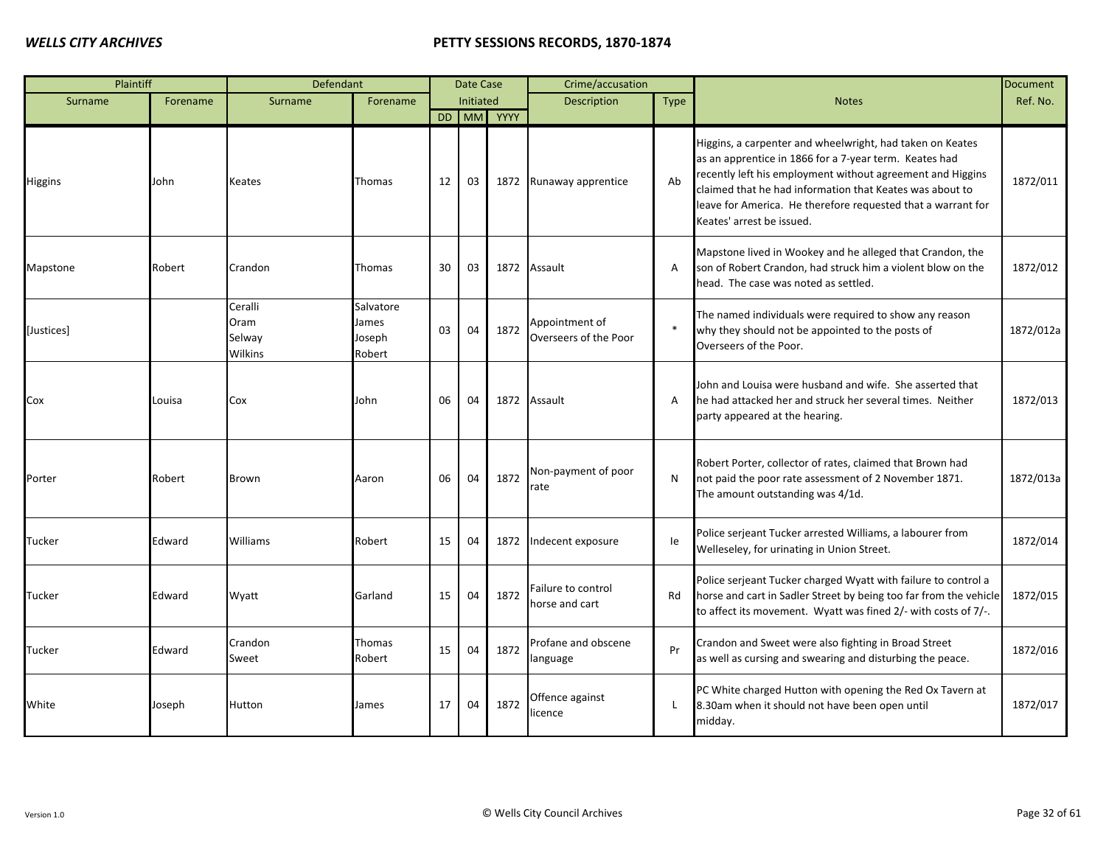| Plaintiff  |          | Defendant                            |                                        |    | Date Case |            | Crime/accusation                        |             |                                                                                                                                                                                                                                                                                                                                            | <b>Document</b> |
|------------|----------|--------------------------------------|----------------------------------------|----|-----------|------------|-----------------------------------------|-------------|--------------------------------------------------------------------------------------------------------------------------------------------------------------------------------------------------------------------------------------------------------------------------------------------------------------------------------------------|-----------------|
| Surname    | Forename | Surname                              | Forename                               |    | Initiated |            | <b>Description</b>                      | <b>Type</b> | <b>Notes</b>                                                                                                                                                                                                                                                                                                                               | Ref. No.        |
|            |          |                                      |                                        |    |           | DD MM YYYY |                                         |             |                                                                                                                                                                                                                                                                                                                                            |                 |
| Higgins    | John     | Keates                               | Thomas                                 | 12 | 03        |            | 1872 Runaway apprentice                 | Ab          | Higgins, a carpenter and wheelwright, had taken on Keates<br>as an apprentice in 1866 for a 7-year term. Keates had<br>recently left his employment without agreement and Higgins<br>claimed that he had information that Keates was about to<br>leave for America. He therefore requested that a warrant for<br>Keates' arrest be issued. | 1872/011        |
| Mapstone   | Robert   | Crandon                              | Thomas                                 | 30 | 03        |            | 1872 Assault                            | A           | Mapstone lived in Wookey and he alleged that Crandon, the<br>son of Robert Crandon, had struck him a violent blow on the<br>head. The case was noted as settled.                                                                                                                                                                           | 1872/012        |
| [Justices] |          | Ceralli<br>Oram<br>Selway<br>Wilkins | Salvatore<br>James<br>Joseph<br>Robert | 03 | 04        | 1872       | Appointment of<br>Overseers of the Poor | $\ast$      | The named individuals were required to show any reason<br>why they should not be appointed to the posts of<br>Overseers of the Poor.                                                                                                                                                                                                       | 1872/012a       |
| Cox        | Louisa   | Cox                                  | John                                   | 06 | 04        |            | 1872 Assault                            | A           | John and Louisa were husband and wife. She asserted that<br>he had attacked her and struck her several times. Neither<br>party appeared at the hearing.                                                                                                                                                                                    | 1872/013        |
| Porter     | Robert   | <b>Brown</b>                         | Aaron                                  | 06 | 04        | 1872       | Non-payment of poor<br>rate             | N           | Robert Porter, collector of rates, claimed that Brown had<br>not paid the poor rate assessment of 2 November 1871.<br>The amount outstanding was 4/1d.                                                                                                                                                                                     | 1872/013a       |
| Tucker     | Edward   | Williams                             | Robert                                 | 15 | 04        | 1872       | Indecent exposure                       | le          | Police serjeant Tucker arrested Williams, a labourer from<br>Welleseley, for urinating in Union Street.                                                                                                                                                                                                                                    | 1872/014        |
| Tucker     | Edward   | Wyatt                                | Garland                                | 15 | 04        | 1872       | Failure to control<br>horse and cart    | Rd          | Police serjeant Tucker charged Wyatt with failure to control a<br>horse and cart in Sadler Street by being too far from the vehicle<br>to affect its movement. Wyatt was fined 2/- with costs of 7/-.                                                                                                                                      | 1872/015        |
| Tucker     | Edward   | Crandon<br>Sweet                     | Thomas<br>Robert                       | 15 | 04        | 1872       | Profane and obscene<br>language         | Pr          | Crandon and Sweet were also fighting in Broad Street<br>as well as cursing and swearing and disturbing the peace.                                                                                                                                                                                                                          | 1872/016        |
| White      | Joseph   | Hutton                               | James                                  | 17 | 04        | 1872       | Offence against<br>licence              | L           | PC White charged Hutton with opening the Red Ox Tavern at<br>8.30am when it should not have been open until<br>midday.                                                                                                                                                                                                                     | 1872/017        |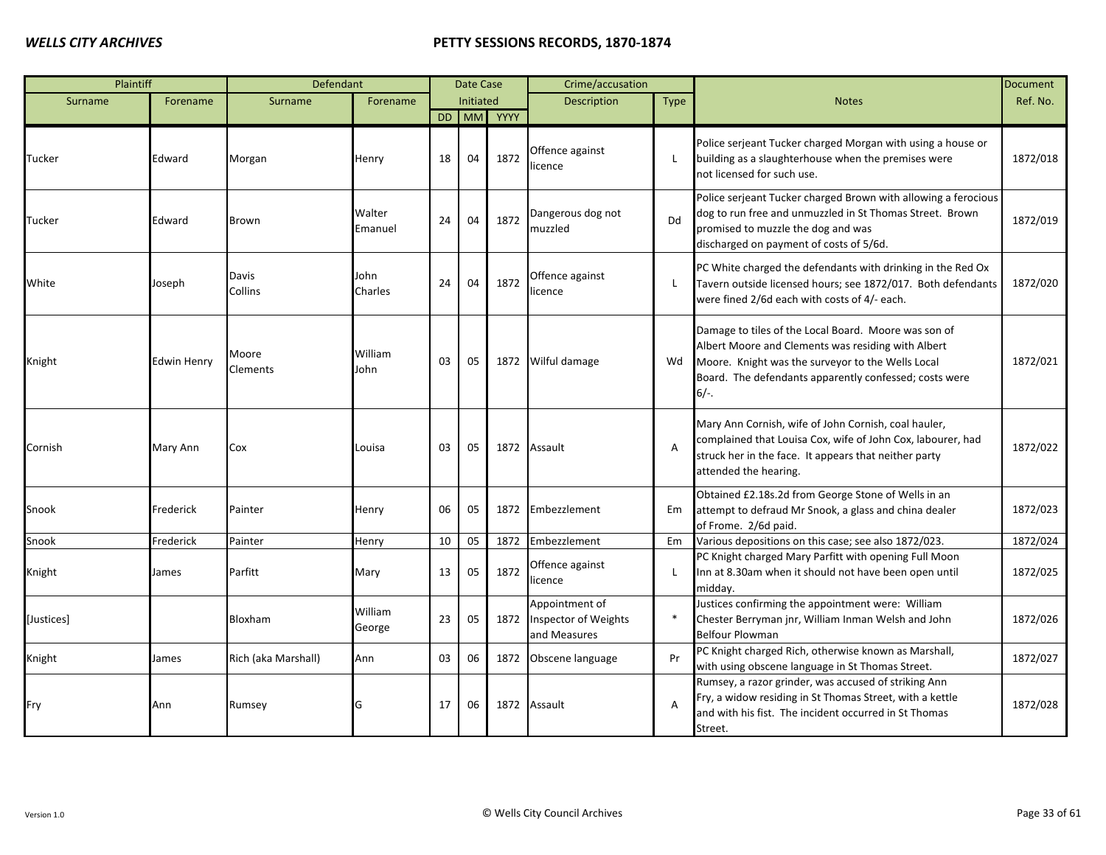| Plaintiff  |             | Defendant                |                   |    | Date Case |            | Crime/accusation                                       |                |                                                                                                                                                                                                                                      | <b>Document</b> |
|------------|-------------|--------------------------|-------------------|----|-----------|------------|--------------------------------------------------------|----------------|--------------------------------------------------------------------------------------------------------------------------------------------------------------------------------------------------------------------------------------|-----------------|
| Surname    | Forename    | Surname                  | Forename          |    | Initiated |            | Description                                            | <b>Type</b>    | <b>Notes</b>                                                                                                                                                                                                                         | Ref. No.        |
|            |             |                          |                   |    |           | DD MM YYYY |                                                        |                |                                                                                                                                                                                                                                      |                 |
| Tucker     | Edward      | Morgan                   | Henry             | 18 | 04        | 1872       | Offence against<br>icence                              | L              | Police serjeant Tucker charged Morgan with using a house or<br>building as a slaughterhouse when the premises were<br>not licensed for such use.                                                                                     | 1872/018        |
| Tucker     | Edward      | <b>Brown</b>             | Walter<br>Emanuel | 24 | 04        | 1872       | Dangerous dog not<br>muzzled                           | Dd             | Police serjeant Tucker charged Brown with allowing a ferocious<br>dog to run free and unmuzzled in St Thomas Street. Brown<br>promised to muzzle the dog and was<br>discharged on payment of costs of 5/6d.                          | 1872/019        |
| White      | Joseph      | Davis<br>Collins         | John<br>Charles   | 24 | 04        | 1872       | Offence against<br>icence                              | L              | PC White charged the defendants with drinking in the Red Ox<br>Tavern outside licensed hours; see 1872/017. Both defendants<br>were fined 2/6d each with costs of 4/- each.                                                          | 1872/020        |
| Knight     | Edwin Henry | Moore<br><b>Clements</b> | William<br>John   | 03 | 05        | 1872       | Wilful damage                                          | Wd             | Damage to tiles of the Local Board. Moore was son of<br>Albert Moore and Clements was residing with Albert<br>Moore. Knight was the surveyor to the Wells Local<br>Board. The defendants apparently confessed; costs were<br>$6/-$ . | 1872/021        |
| Cornish    | Mary Ann    | Cox                      | Louisa            | 03 | 05        | 1872       | Assault                                                | $\overline{A}$ | Mary Ann Cornish, wife of John Cornish, coal hauler,<br>complained that Louisa Cox, wife of John Cox, labourer, had<br>struck her in the face. It appears that neither party<br>attended the hearing.                                | 1872/022        |
| Snook      | Frederick   | Painter                  | Henry             | 06 | 05        | 1872       | Embezzlement                                           | Em             | Obtained £2.18s.2d from George Stone of Wells in an<br>attempt to defraud Mr Snook, a glass and china dealer<br>of Frome. 2/6d paid.                                                                                                 | 1872/023        |
| Snook      | Frederick   | Painter                  | Henry             | 10 | 05        | 1872       | Embezzlement                                           | Em             | Various depositions on this case; see also 1872/023.                                                                                                                                                                                 | 1872/024        |
| Knight     | James       | Parfitt                  | Mary              | 13 | 05        | 1872       | Offence against<br>icence                              | $\mathbf{I}$   | PC Knight charged Mary Parfitt with opening Full Moon<br>Inn at 8.30am when it should not have been open until<br>midday.                                                                                                            | 1872/025        |
| [Justices] |             | <b>Bloxham</b>           | William<br>George | 23 | 05        | 1872       | Appointment of<br>Inspector of Weights<br>and Measures | $\ast$         | Justices confirming the appointment were: William<br>Chester Berryman jnr, William Inman Welsh and John<br><b>Belfour Plowman</b>                                                                                                    | 1872/026        |
| Knight     | James       | Rich (aka Marshall)      | Ann               | 03 | 06        | 1872       | Obscene language                                       | Pr             | PC Knight charged Rich, otherwise known as Marshall,<br>with using obscene language in St Thomas Street.                                                                                                                             | 1872/027        |
| Fry        | Ann         | Rumsey                   | G                 | 17 | 06        | 1872       | Assault                                                | $\overline{A}$ | Rumsey, a razor grinder, was accused of striking Ann<br>Fry, a widow residing in St Thomas Street, with a kettle<br>and with his fist. The incident occurred in St Thomas<br>Street.                                                 | 1872/028        |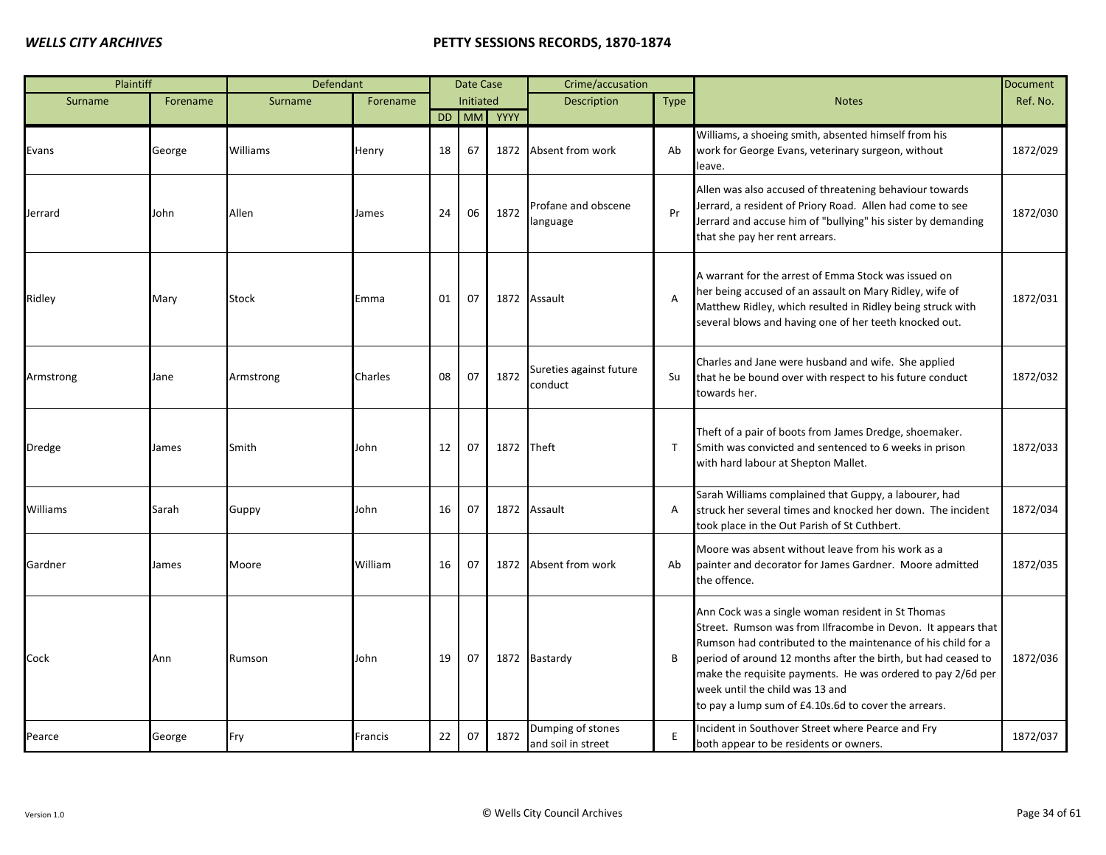| Plaintiff |          | Defendant |          |    | <b>Date Case</b> |            | Crime/accusation                        |              |                                                                                                                                                                                                                                                                                                                                                                                                              | Document |
|-----------|----------|-----------|----------|----|------------------|------------|-----------------------------------------|--------------|--------------------------------------------------------------------------------------------------------------------------------------------------------------------------------------------------------------------------------------------------------------------------------------------------------------------------------------------------------------------------------------------------------------|----------|
| Surname   | Forename | Surname   | Forename |    | Initiated        |            | <b>Description</b>                      | <b>Type</b>  | <b>Notes</b>                                                                                                                                                                                                                                                                                                                                                                                                 | Ref. No. |
|           |          |           |          |    |                  | DD MM YYYY |                                         |              |                                                                                                                                                                                                                                                                                                                                                                                                              |          |
| Evans     | George   | Williams  | Henry    | 18 | 67               | 1872       | Absent from work                        | Ab           | Williams, a shoeing smith, absented himself from his<br>work for George Evans, veterinary surgeon, without<br>leave.                                                                                                                                                                                                                                                                                         | 1872/029 |
| Jerrard   | John     | Allen     | James    | 24 | 06               | 1872       | Profane and obscene<br>language         | Pr           | Allen was also accused of threatening behaviour towards<br>Jerrard, a resident of Priory Road. Allen had come to see<br>Jerrard and accuse him of "bullying" his sister by demanding<br>that she pay her rent arrears.                                                                                                                                                                                       | 1872/030 |
| Ridley    | Mary     | Stock     | Emma     | 01 | 07               | 1872       | Assault                                 | A            | A warrant for the arrest of Emma Stock was issued on<br>her being accused of an assault on Mary Ridley, wife of<br>Matthew Ridley, which resulted in Ridley being struck with<br>several blows and having one of her teeth knocked out.                                                                                                                                                                      | 1872/031 |
| Armstrong | Jane     | Armstrong | Charles  | 08 | 07               | 1872       | Sureties against future<br>conduct      | Su           | Charles and Jane were husband and wife. She applied<br>that he be bound over with respect to his future conduct<br>towards her.                                                                                                                                                                                                                                                                              | 1872/032 |
| Dredge    | James    | Smith     | John     | 12 | 07               | 1872 Theft |                                         | $\mathsf{T}$ | Theft of a pair of boots from James Dredge, shoemaker.<br>Smith was convicted and sentenced to 6 weeks in prison<br>with hard labour at Shepton Mallet.                                                                                                                                                                                                                                                      | 1872/033 |
| Williams  | Sarah    | Guppy     | John     | 16 | 07               |            | 1872 Assault                            | A            | Sarah Williams complained that Guppy, a labourer, had<br>struck her several times and knocked her down. The incident<br>took place in the Out Parish of St Cuthbert.                                                                                                                                                                                                                                         | 1872/034 |
| Gardner   | James    | Moore     | William  | 16 | 07               | 1872       | Absent from work                        | Ab           | Moore was absent without leave from his work as a<br>painter and decorator for James Gardner. Moore admitted<br>the offence.                                                                                                                                                                                                                                                                                 | 1872/035 |
| Cock      | Ann      | Rumson    | John     | 19 | 07               |            | 1872 Bastardy                           | B            | Ann Cock was a single woman resident in St Thomas<br>Street. Rumson was from Ilfracombe in Devon. It appears that<br>Rumson had contributed to the maintenance of his child for a<br>period of around 12 months after the birth, but had ceased to<br>make the requisite payments. He was ordered to pay 2/6d per<br>week until the child was 13 and<br>to pay a lump sum of £4.10s.6d to cover the arrears. | 1872/036 |
| Pearce    | George   | Fry       | Francis  | 22 | 07               | 1872       | Dumping of stones<br>and soil in street | E            | Incident in Southover Street where Pearce and Fry<br>both appear to be residents or owners.                                                                                                                                                                                                                                                                                                                  | 1872/037 |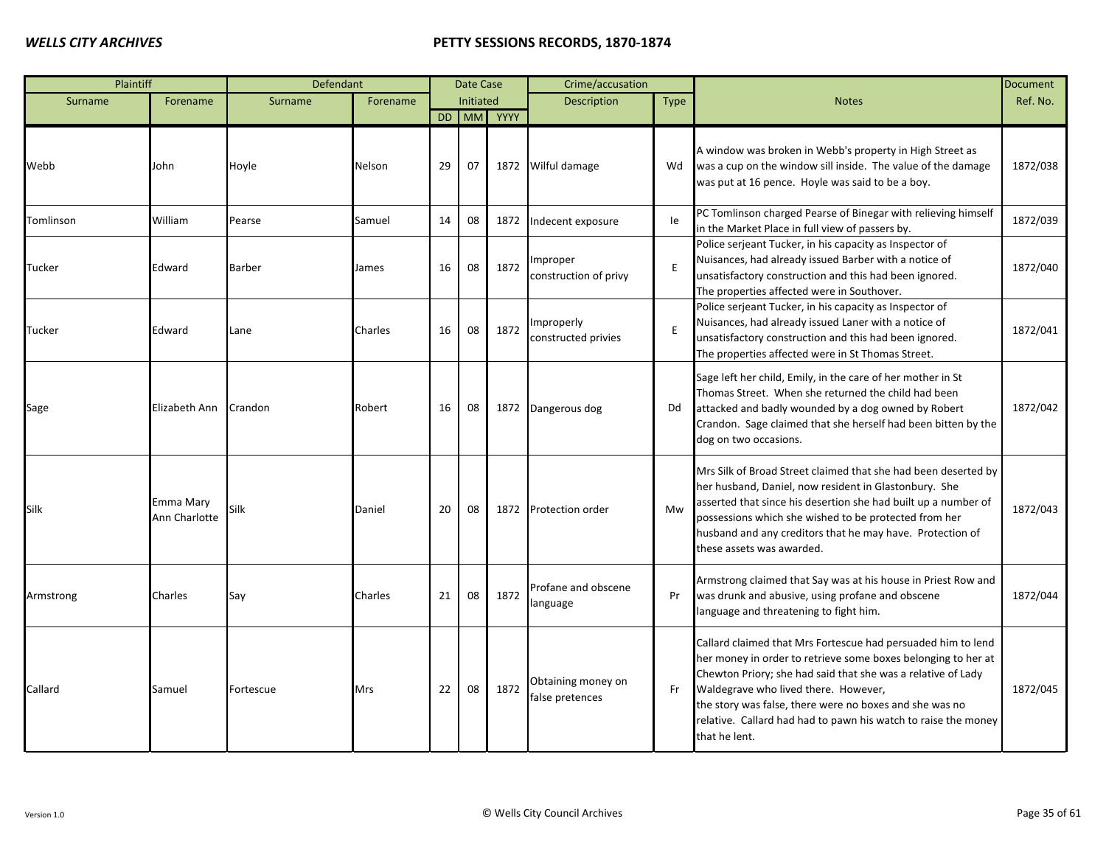| Plaintiff     |                            | Defendant |          |    | Date Case |            | Crime/accusation                      |      |                                                                                                                                                                                                                                                                                                                                                                                     | <b>Document</b> |
|---------------|----------------------------|-----------|----------|----|-----------|------------|---------------------------------------|------|-------------------------------------------------------------------------------------------------------------------------------------------------------------------------------------------------------------------------------------------------------------------------------------------------------------------------------------------------------------------------------------|-----------------|
| Surname       | Forename                   | Surname   | Forename |    | Initiated |            | <b>Description</b>                    | Type | <b>Notes</b>                                                                                                                                                                                                                                                                                                                                                                        | Ref. No.        |
|               |                            |           |          |    |           | DD MM YYYY |                                       |      |                                                                                                                                                                                                                                                                                                                                                                                     |                 |
| Webb          | John                       | Hoyle     | Nelson   | 29 | 07        |            | 1872 Wilful damage                    | Wd   | A window was broken in Webb's property in High Street as<br>was a cup on the window sill inside. The value of the damage<br>was put at 16 pence. Hoyle was said to be a boy.                                                                                                                                                                                                        | 1872/038        |
| Tomlinson     | William                    | Pearse    | Samuel   | 14 | 08        | 1872       | Indecent exposure                     | le   | PC Tomlinson charged Pearse of Binegar with relieving himself<br>in the Market Place in full view of passers by.                                                                                                                                                                                                                                                                    | 1872/039        |
| <b>Tucker</b> | Edward                     | Barber    | James    | 16 | 08        | 1872       | Improper<br>construction of privy     | E    | Police serjeant Tucker, in his capacity as Inspector of<br>Nuisances, had already issued Barber with a notice of<br>unsatisfactory construction and this had been ignored.<br>The properties affected were in Southover.                                                                                                                                                            | 1872/040        |
| Tucker        | Edward                     | Lane      | Charles  | 16 | 08        | 1872       | Improperly<br>constructed privies     | E    | Police serjeant Tucker, in his capacity as Inspector of<br>Nuisances, had already issued Laner with a notice of<br>unsatisfactory construction and this had been ignored.<br>The properties affected were in St Thomas Street.                                                                                                                                                      | 1872/041        |
| Sage          | Elizabeth Ann              | Crandon   | Robert   | 16 | 08        |            | 1872 Dangerous dog                    | Dd   | Sage left her child, Emily, in the care of her mother in St<br>Thomas Street. When she returned the child had been<br>attacked and badly wounded by a dog owned by Robert<br>Crandon. Sage claimed that she herself had been bitten by the<br>dog on two occasions.                                                                                                                 | 1872/042        |
| <b>Silk</b>   | Emma Mary<br>Ann Charlotte | Silk      | Daniel   | 20 | 08        |            | 1872 Protection order                 | Mw   | Mrs Silk of Broad Street claimed that she had been deserted by<br>her husband, Daniel, now resident in Glastonbury. She<br>asserted that since his desertion she had built up a number of<br>possessions which she wished to be protected from her<br>husband and any creditors that he may have. Protection of<br>these assets was awarded.                                        | 1872/043        |
| Armstrong     | Charles                    | Say       | Charles  | 21 | 08        | 1872       | Profane and obscene<br>language       | Pr   | Armstrong claimed that Say was at his house in Priest Row and<br>was drunk and abusive, using profane and obscene<br>language and threatening to fight him.                                                                                                                                                                                                                         | 1872/044        |
| Callard       | Samuel                     | Fortescue | Mrs      | 22 | 08        | 1872       | Obtaining money on<br>false pretences | Fr   | Callard claimed that Mrs Fortescue had persuaded him to lend<br>her money in order to retrieve some boxes belonging to her at<br>Chewton Priory; she had said that she was a relative of Lady<br>Waldegrave who lived there. However,<br>the story was false, there were no boxes and she was no<br>relative. Callard had had to pawn his watch to raise the money<br>that he lent. | 1872/045        |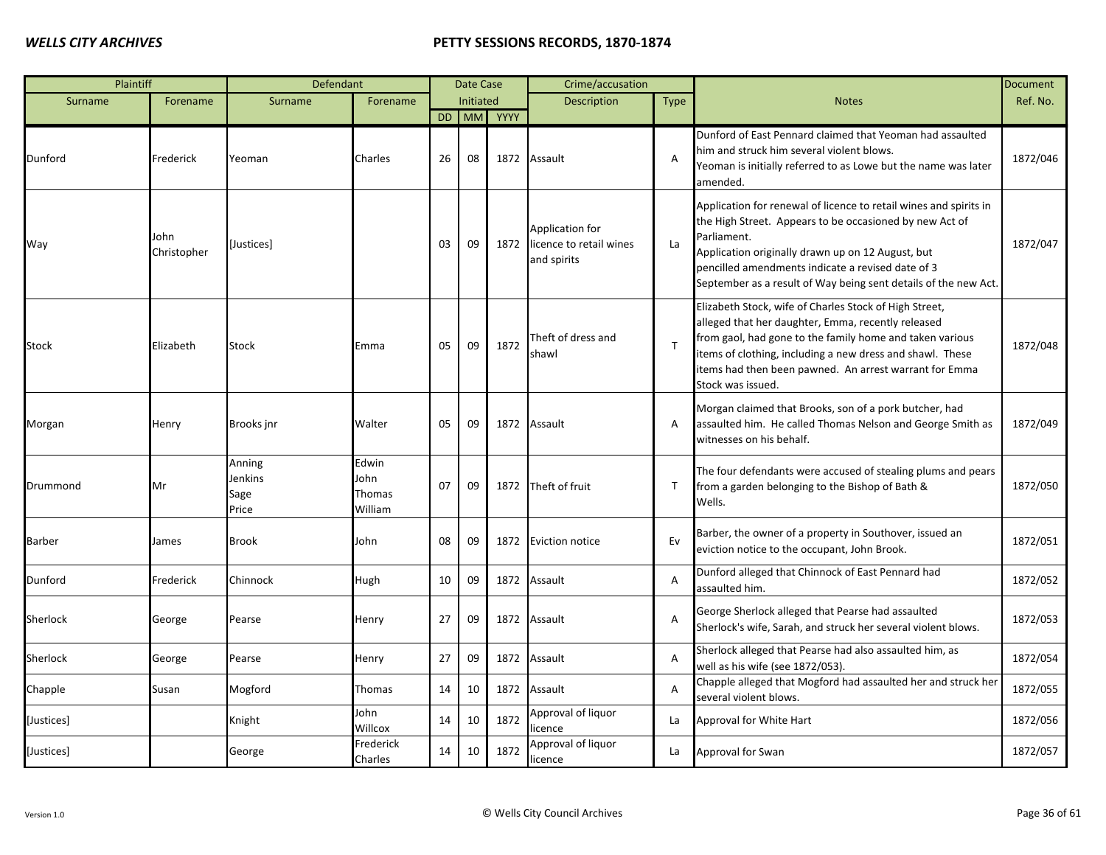| Plaintiff     |                     | Defendant                          |                                    |    | Date Case |         | Crime/accusation                                          |                |                                                                                                                                                                                                                                                                                                                          | <b>Document</b> |
|---------------|---------------------|------------------------------------|------------------------------------|----|-----------|---------|-----------------------------------------------------------|----------------|--------------------------------------------------------------------------------------------------------------------------------------------------------------------------------------------------------------------------------------------------------------------------------------------------------------------------|-----------------|
| Surname       | Forename            | Surname                            | Forename                           |    | Initiated |         | <b>Description</b>                                        | <b>Type</b>    | <b>Notes</b>                                                                                                                                                                                                                                                                                                             | Ref. No.        |
|               |                     |                                    |                                    | DD |           | MM YYYY |                                                           |                |                                                                                                                                                                                                                                                                                                                          |                 |
| Dunford       | Frederick           | Yeoman                             | Charles                            | 26 | 08        | 1872    | Assault                                                   | A              | Dunford of East Pennard claimed that Yeoman had assaulted<br>him and struck him several violent blows.<br>Yeoman is initially referred to as Lowe but the name was later<br>amended.                                                                                                                                     | 1872/046        |
| Way           | John<br>Christopher | [Justices]                         |                                    | 03 | 09        | 1872    | Application for<br>licence to retail wines<br>and spirits | La             | Application for renewal of licence to retail wines and spirits in<br>the High Street. Appears to be occasioned by new Act of<br>Parliament.<br>Application originally drawn up on 12 August, but<br>pencilled amendments indicate a revised date of 3<br>September as a result of Way being sent details of the new Act. | 1872/047        |
| Stock         | Elizabeth           | <b>Stock</b>                       | Emma                               | 05 | 09        | 1872    | Theft of dress and<br>shawl                               | $\mathsf{T}$   | Elizabeth Stock, wife of Charles Stock of High Street,<br>alleged that her daughter, Emma, recently released<br>from gaol, had gone to the family home and taken various<br>items of clothing, including a new dress and shawl. These<br>items had then been pawned. An arrest warrant for Emma<br>Stock was issued.     | 1872/048        |
| Morgan        | Henry               | Brooks inr                         | Walter                             | 05 | 09        | 1872    | Assault                                                   | A              | Morgan claimed that Brooks, son of a pork butcher, had<br>assaulted him. He called Thomas Nelson and George Smith as<br>witnesses on his behalf.                                                                                                                                                                         | 1872/049        |
| Drummond      | Mr                  | Anning<br>Jenkins<br>Sage<br>Price | Edwin<br>John<br>Thomas<br>William | 07 | 09        |         | 1872 Theft of fruit                                       | T              | The four defendants were accused of stealing plums and pears<br>from a garden belonging to the Bishop of Bath &<br>Wells.                                                                                                                                                                                                | 1872/050        |
| <b>Barber</b> | James               | <b>Brook</b>                       | John                               | 08 | 09        | 1872    | <b>Eviction notice</b>                                    | Ev             | Barber, the owner of a property in Southover, issued an<br>eviction notice to the occupant, John Brook.                                                                                                                                                                                                                  | 1872/051        |
| Dunford       | Frederick           | Chinnock                           | Hugh                               | 10 | 09        |         | 1872 Assault                                              | $\overline{A}$ | Dunford alleged that Chinnock of East Pennard had<br>assaulted him.                                                                                                                                                                                                                                                      | 1872/052        |
| Sherlock      | George              | Pearse                             | Henry                              | 27 | 09        |         | 1872 Assault                                              | $\overline{A}$ | George Sherlock alleged that Pearse had assaulted<br>Sherlock's wife, Sarah, and struck her several violent blows.                                                                                                                                                                                                       | 1872/053        |
| Sherlock      | George              | Pearse                             | Henry                              | 27 | 09        |         | 1872 Assault                                              | A              | Sherlock alleged that Pearse had also assaulted him, as<br>well as his wife (see 1872/053).                                                                                                                                                                                                                              | 1872/054        |
| Chapple       | Susan               | Mogford                            | Thomas                             | 14 | 10        | 1872    | Assault                                                   | A              | Chapple alleged that Mogford had assaulted her and struck her<br>several violent blows.                                                                                                                                                                                                                                  | 1872/055        |
| [Justices]    |                     | Knight                             | John<br>Willcox                    | 14 | 10        | 1872    | Approval of liquor<br>licence                             | La             | Approval for White Hart                                                                                                                                                                                                                                                                                                  | 1872/056        |
| [Justices]    |                     | George                             | Frederick<br>Charles               | 14 | 10        | 1872    | Approval of liquor<br>licence                             | La             | Approval for Swan                                                                                                                                                                                                                                                                                                        | 1872/057        |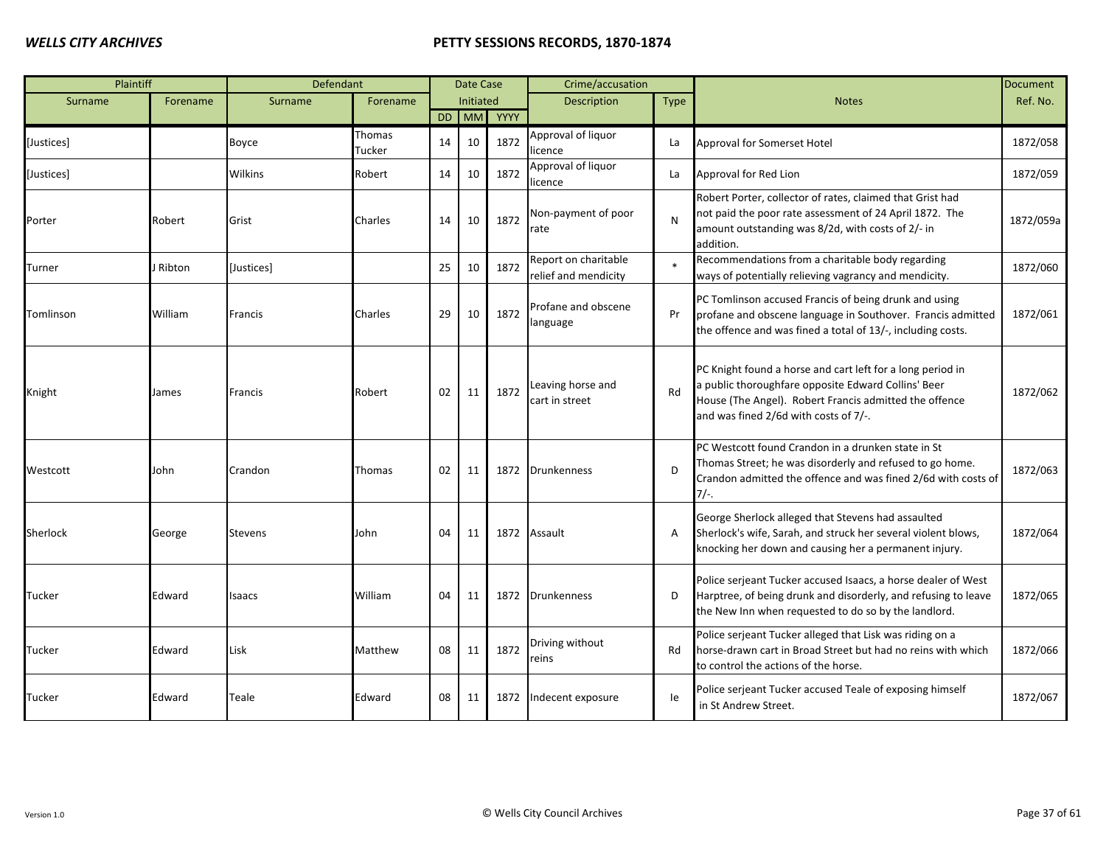| Plaintiff     |          | Defendant      |                  |    | Date Case        |      | Crime/accusation                             |             |                                                                                                                                                                                                                      | <b>Document</b> |
|---------------|----------|----------------|------------------|----|------------------|------|----------------------------------------------|-------------|----------------------------------------------------------------------------------------------------------------------------------------------------------------------------------------------------------------------|-----------------|
| Surname       | Forename | Surname        | Forename         |    | <b>Initiated</b> |      | <b>Description</b>                           | <b>Type</b> | <b>Notes</b>                                                                                                                                                                                                         | Ref. No.        |
|               |          |                |                  |    | DD MM            | YYYY |                                              |             |                                                                                                                                                                                                                      |                 |
| [Justices]    |          | Boyce          | Thomas<br>Tucker | 14 | 10               | 1872 | Approval of liquor<br>licence                | La          | Approval for Somerset Hotel                                                                                                                                                                                          | 1872/058        |
| [Justices]    |          | <b>Wilkins</b> | Robert           | 14 | 10               | 1872 | Approval of liquor<br>licence                | La          | Approval for Red Lion                                                                                                                                                                                                | 1872/059        |
| Porter        | Robert   | Grist          | Charles          | 14 | 10               | 1872 | Non-payment of poor<br>rate                  | N           | Robert Porter, collector of rates, claimed that Grist had<br>not paid the poor rate assessment of 24 April 1872. The<br>amount outstanding was 8/2d, with costs of 2/- in<br>addition.                               | 1872/059a       |
| Turner        | Ribton   | [Justices]     |                  | 25 | 10               | 1872 | Report on charitable<br>relief and mendicity |             | Recommendations from a charitable body regarding<br>ways of potentially relieving vagrancy and mendicity.                                                                                                            | 1872/060        |
| Tomlinson     | William  | Francis        | Charles          | 29 | 10               | 1872 | Profane and obscene<br>language              | Pr          | PC Tomlinson accused Francis of being drunk and using<br>profane and obscene language in Southover. Francis admitted<br>the offence and was fined a total of 13/-, including costs.                                  | 1872/061        |
| Knight        | James    | Francis        | Robert           | 02 | 11               | 1872 | Leaving horse and<br>cart in street          | Rd          | PC Knight found a horse and cart left for a long period in<br>a public thoroughfare opposite Edward Collins' Beer<br>House (The Angel). Robert Francis admitted the offence<br>and was fined 2/6d with costs of 7/-. | 1872/062        |
| Westcott      | John     | Crandon        | Thomas           | 02 | 11               |      | 1872 Drunkenness                             | D           | PC Westcott found Crandon in a drunken state in St<br>Thomas Street; he was disorderly and refused to go home.<br>Crandon admitted the offence and was fined 2/6d with costs of<br>$7/-$ .                           | 1872/063        |
| Sherlock      | George   | <b>Stevens</b> | John             | 04 | 11               |      | 1872 Assault                                 | A           | George Sherlock alleged that Stevens had assaulted<br>Sherlock's wife, Sarah, and struck her several violent blows,<br>knocking her down and causing her a permanent injury.                                         | 1872/064        |
| Tucker        | Edward   | Isaacs         | William          | 04 | 11               | 1872 | <b>Drunkenness</b>                           | D           | Police serjeant Tucker accused Isaacs, a horse dealer of West<br>Harptree, of being drunk and disorderly, and refusing to leave<br>the New Inn when requested to do so by the landlord.                              | 1872/065        |
| Tucker        | Edward   | Lisk           | Matthew          | 08 | 11               | 1872 | Driving without<br>reins                     | Rd          | Police serjeant Tucker alleged that Lisk was riding on a<br>horse-drawn cart in Broad Street but had no reins with which<br>to control the actions of the horse.                                                     | 1872/066        |
| <b>Tucker</b> | Edward   | Teale          | Edward           | 08 | 11               | 1872 | Indecent exposure                            | le          | Police serjeant Tucker accused Teale of exposing himself<br>in St Andrew Street.                                                                                                                                     | 1872/067        |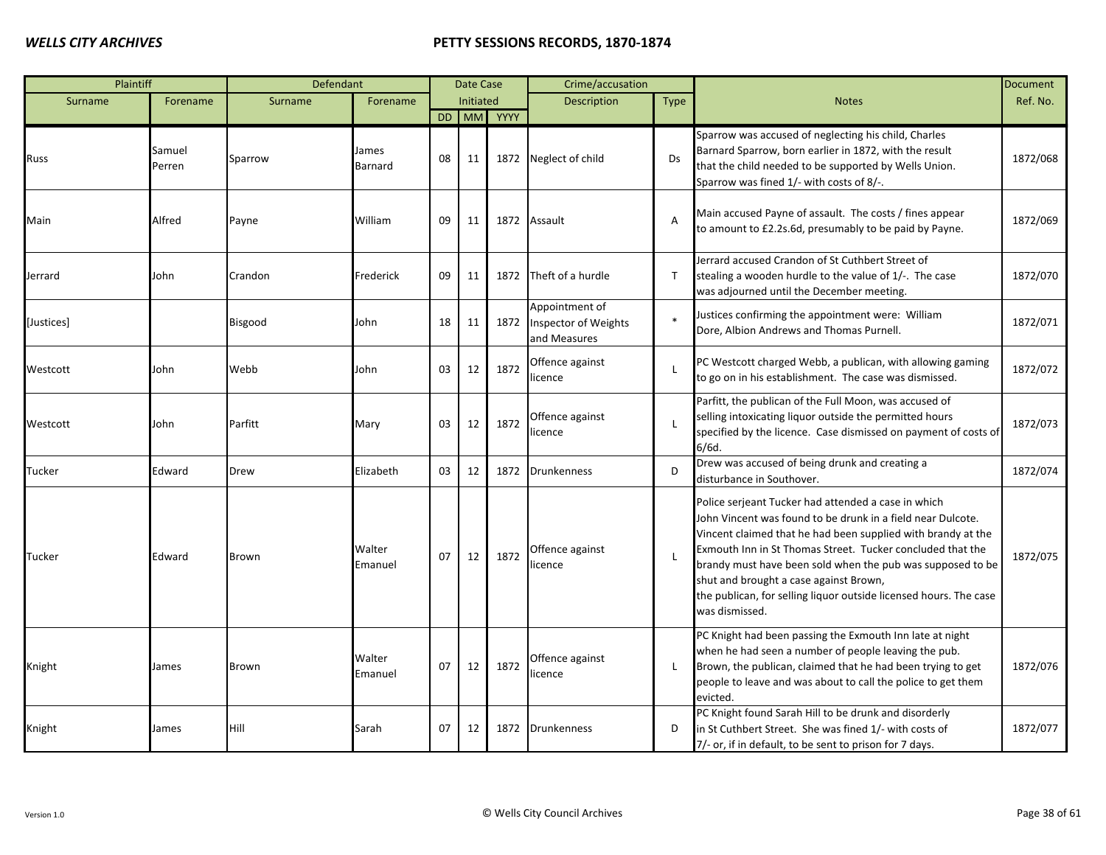| Plaintiff  |                  | Defendant   |                   |    | Date Case |            | Crime/accusation                                              |                |                                                                                                                                                                                                                                                                                                                                                                                                                                                 | Document |
|------------|------------------|-------------|-------------------|----|-----------|------------|---------------------------------------------------------------|----------------|-------------------------------------------------------------------------------------------------------------------------------------------------------------------------------------------------------------------------------------------------------------------------------------------------------------------------------------------------------------------------------------------------------------------------------------------------|----------|
| Surname    | Forename         | Surname     | Forename          |    | Initiated |            | <b>Description</b>                                            | <b>Type</b>    | <b>Notes</b>                                                                                                                                                                                                                                                                                                                                                                                                                                    | Ref. No. |
|            |                  |             |                   |    |           | DD MM YYYY |                                                               |                |                                                                                                                                                                                                                                                                                                                                                                                                                                                 |          |
| Russ       | Samuel<br>Perren | Sparrow     | James<br>Barnard  | 08 | 11        |            | 1872 Neglect of child                                         | Ds             | Sparrow was accused of neglecting his child, Charles<br>Barnard Sparrow, born earlier in 1872, with the result<br>that the child needed to be supported by Wells Union.<br>Sparrow was fined 1/- with costs of 8/-.                                                                                                                                                                                                                             | 1872/068 |
| Main       | Alfred           | Payne       | William           | 09 | 11        | 1872       | Assault                                                       | $\overline{A}$ | Main accused Payne of assault. The costs / fines appear<br>to amount to £2.2s.6d, presumably to be paid by Payne.                                                                                                                                                                                                                                                                                                                               | 1872/069 |
| Jerrard    | John             | Crandon     | Frederick         | 09 | 11        | 1872       | Theft of a hurdle                                             | $\mathsf{T}$   | Jerrard accused Crandon of St Cuthbert Street of<br>stealing a wooden hurdle to the value of 1/-. The case<br>was adjourned until the December meeting.                                                                                                                                                                                                                                                                                         | 1872/070 |
| [Justices] |                  | Bisgood     | John              | 18 | 11        | 1872       | Appointment of<br><b>Inspector of Weights</b><br>and Measures |                | Justices confirming the appointment were: William<br>Dore, Albion Andrews and Thomas Purnell.                                                                                                                                                                                                                                                                                                                                                   | 1872/071 |
| Westcott   | John             | Webb        | John              | 03 | 12        | 1872       | Offence against<br>licence                                    |                | PC Westcott charged Webb, a publican, with allowing gaming<br>to go on in his establishment. The case was dismissed.                                                                                                                                                                                                                                                                                                                            | 1872/072 |
| Westcott   | John             | Parfitt     | Mary              | 03 | 12        | 1872       | Offence against<br>licence                                    | $\mathbf{I}$   | Parfitt, the publican of the Full Moon, was accused of<br>selling intoxicating liquor outside the permitted hours<br>specified by the licence. Case dismissed on payment of costs of<br>6/6d.                                                                                                                                                                                                                                                   | 1872/073 |
| Tucker     | Edward           | <b>Drew</b> | Elizabeth         | 03 | 12        | 1872       | <b>Drunkenness</b>                                            | D              | Drew was accused of being drunk and creating a<br>disturbance in Southover.                                                                                                                                                                                                                                                                                                                                                                     | 1872/074 |
| Tucker     | Edward           | Brown       | Walter<br>Emanuel | 07 | 12        | 1872       | Offence against<br>licence                                    |                | Police serjeant Tucker had attended a case in which<br>John Vincent was found to be drunk in a field near Dulcote.<br>Vincent claimed that he had been supplied with brandy at the<br>Exmouth Inn in St Thomas Street. Tucker concluded that the<br>brandy must have been sold when the pub was supposed to be<br>shut and brought a case against Brown,<br>the publican, for selling liquor outside licensed hours. The case<br>was dismissed. | 1872/075 |
| Knight     | James            | Brown       | Walter<br>Emanuel | 07 | 12        | 1872       | Offence against<br>icence                                     |                | PC Knight had been passing the Exmouth Inn late at night<br>when he had seen a number of people leaving the pub.<br>Brown, the publican, claimed that he had been trying to get<br>people to leave and was about to call the police to get them<br>evicted.                                                                                                                                                                                     | 1872/076 |
| Knight     | James            | Hill        | Sarah             | 07 | 12        | 1872       | <b>Drunkenness</b>                                            | D              | PC Knight found Sarah Hill to be drunk and disorderly<br>in St Cuthbert Street. She was fined 1/- with costs of<br>7/- or, if in default, to be sent to prison for 7 days.                                                                                                                                                                                                                                                                      | 1872/077 |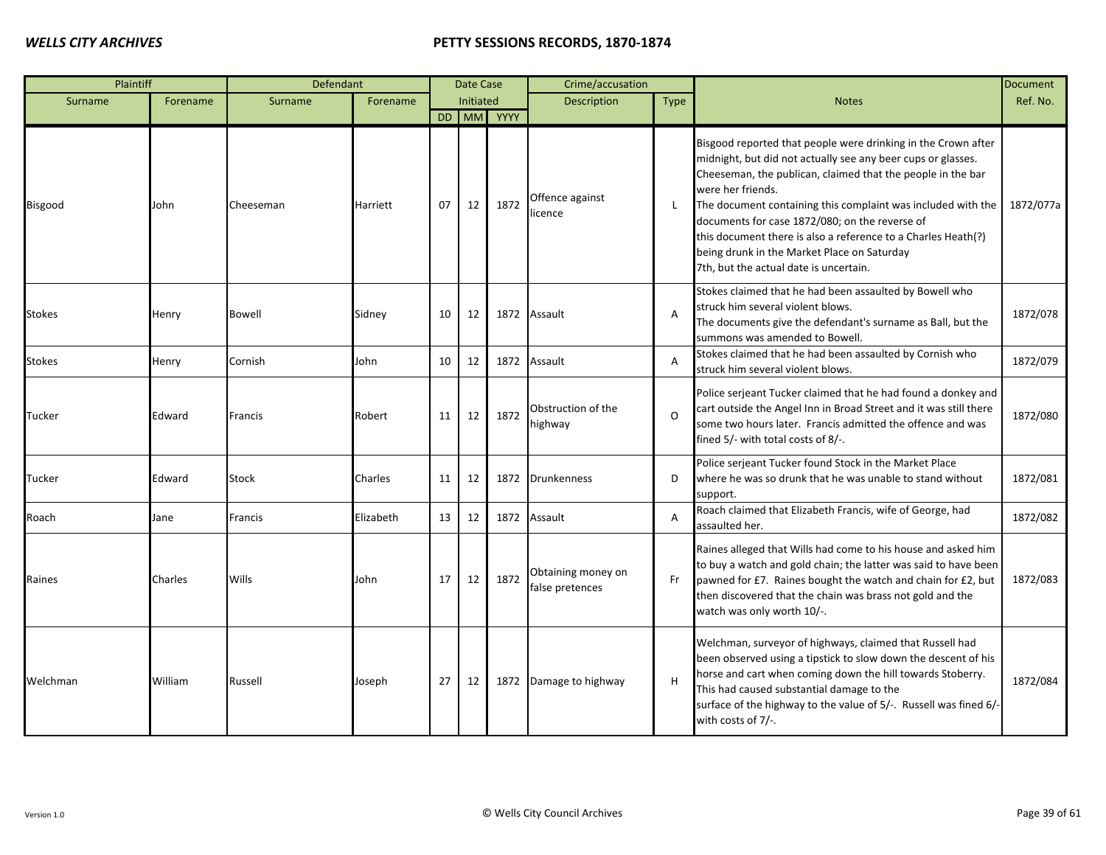| Plaintiff     |          | Defendant      |           |    | Date Case |            | Crime/accusation                      |                |                                                                                                                                                                                                                                                                                                                                                                                                                                                                                               | <b>Document</b> |
|---------------|----------|----------------|-----------|----|-----------|------------|---------------------------------------|----------------|-----------------------------------------------------------------------------------------------------------------------------------------------------------------------------------------------------------------------------------------------------------------------------------------------------------------------------------------------------------------------------------------------------------------------------------------------------------------------------------------------|-----------------|
| Surname       | Forename | Surname        | Forename  |    | Initiated |            | <b>Description</b>                    | <b>Type</b>    | <b>Notes</b>                                                                                                                                                                                                                                                                                                                                                                                                                                                                                  | Ref. No.        |
|               |          |                |           |    |           | DD MM YYYY |                                       |                |                                                                                                                                                                                                                                                                                                                                                                                                                                                                                               |                 |
| Bisgood       | John     | Cheeseman      | Harriett  | 07 | 12        | 1872       | Offence against<br>licence            | $\mathbf{I}$   | Bisgood reported that people were drinking in the Crown after<br>midnight, but did not actually see any beer cups or glasses.<br>Cheeseman, the publican, claimed that the people in the bar<br>were her friends.<br>The document containing this complaint was included with the<br>documents for case 1872/080; on the reverse of<br>this document there is also a reference to a Charles Heath(?)<br>being drunk in the Market Place on Saturday<br>7th, but the actual date is uncertain. | 1872/077a       |
| <b>Stokes</b> | Henry    | <b>Bowell</b>  | Sidney    | 10 | 12        |            | 1872 Assault                          | A              | Stokes claimed that he had been assaulted by Bowell who<br>struck him several violent blows.<br>The documents give the defendant's surname as Ball, but the<br>summons was amended to Bowell.                                                                                                                                                                                                                                                                                                 | 1872/078        |
| <b>Stokes</b> | Henry    | Cornish        | John      | 10 | 12        |            | 1872 Assault                          | A              | Stokes claimed that he had been assaulted by Cornish who<br>struck him several violent blows.                                                                                                                                                                                                                                                                                                                                                                                                 | 1872/079        |
| Tucker        | Edward   | <b>Francis</b> | Robert    | 11 | 12        | 1872       | Obstruction of the<br>highway         | $\Omega$       | Police serjeant Tucker claimed that he had found a donkey and<br>cart outside the Angel Inn in Broad Street and it was still there<br>some two hours later. Francis admitted the offence and was<br>fined 5/- with total costs of 8/-.                                                                                                                                                                                                                                                        | 1872/080        |
| Tucker        | Edward   | <b>Stock</b>   | Charles   | 11 | 12        |            | 1872 Drunkenness                      | D              | Police serjeant Tucker found Stock in the Market Place<br>where he was so drunk that he was unable to stand without<br>support.                                                                                                                                                                                                                                                                                                                                                               | 1872/081        |
| Roach         | Jane     | Francis        | Elizabeth | 13 | 12        |            | 1872 Assault                          | $\overline{A}$ | Roach claimed that Elizabeth Francis, wife of George, had<br>assaulted her.                                                                                                                                                                                                                                                                                                                                                                                                                   | 1872/082        |
| Raines        | Charles  | Wills          | John      | 17 | 12        | 1872       | Obtaining money on<br>false pretences | Fr             | Raines alleged that Wills had come to his house and asked him<br>to buy a watch and gold chain; the latter was said to have been<br>pawned for £7. Raines bought the watch and chain for £2, but<br>then discovered that the chain was brass not gold and the<br>watch was only worth 10/-.                                                                                                                                                                                                   | 1872/083        |
| Welchman      | William  | Russell        | Joseph    | 27 | 12        |            | 1872 Damage to highway                | H              | Welchman, surveyor of highways, claimed that Russell had<br>been observed using a tipstick to slow down the descent of his<br>horse and cart when coming down the hill towards Stoberry.<br>This had caused substantial damage to the<br>surface of the highway to the value of 5/-. Russell was fined 6/-<br>with costs of 7/-.                                                                                                                                                              | 1872/084        |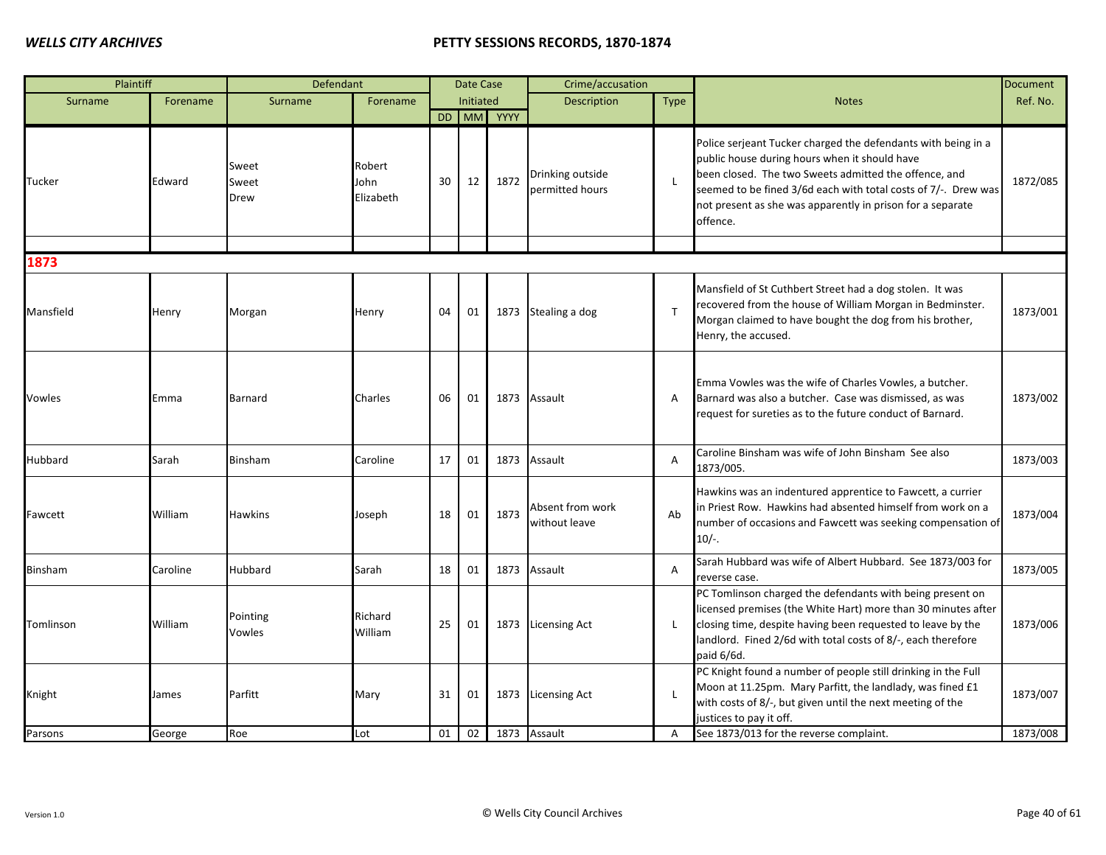| Plaintiff |          | Defendant              |                             |    | Date Case |            | Crime/accusation                    |                |                                                                                                                                                                                                                                                                                                                     | <b>Document</b> |
|-----------|----------|------------------------|-----------------------------|----|-----------|------------|-------------------------------------|----------------|---------------------------------------------------------------------------------------------------------------------------------------------------------------------------------------------------------------------------------------------------------------------------------------------------------------------|-----------------|
| Surname   | Forename | Surname                | Forename                    |    | Initiated |            | Description                         | Type           | <b>Notes</b>                                                                                                                                                                                                                                                                                                        | Ref. No.        |
|           |          |                        |                             |    |           | DD MM YYYY |                                     |                |                                                                                                                                                                                                                                                                                                                     |                 |
| Tucker    | Edward   | Sweet<br>Sweet<br>Drew | Robert<br>John<br>Elizabeth | 30 | 12        | 1872       | Drinking outside<br>permitted hours | $\mathsf{L}$   | Police serjeant Tucker charged the defendants with being in a<br>public house during hours when it should have<br>been closed. The two Sweets admitted the offence, and<br>seemed to be fined 3/6d each with total costs of 7/-. Drew was<br>not present as she was apparently in prison for a separate<br>offence. | 1872/085        |
|           |          |                        |                             |    |           |            |                                     |                |                                                                                                                                                                                                                                                                                                                     |                 |
| 1873      |          |                        |                             |    |           |            |                                     |                |                                                                                                                                                                                                                                                                                                                     |                 |
| Mansfield | Henry    | Morgan                 | Henry                       | 04 | 01        | 1873       | Stealing a dog                      | $\mathsf{T}$   | Mansfield of St Cuthbert Street had a dog stolen. It was<br>recovered from the house of William Morgan in Bedminster.<br>Morgan claimed to have bought the dog from his brother,<br>Henry, the accused.                                                                                                             | 1873/001        |
| Vowles    | Emma     | Barnard                | Charles                     | 06 | 01        | 1873       | Assault                             | Α              | Emma Vowles was the wife of Charles Vowles, a butcher.<br>Barnard was also a butcher. Case was dismissed, as was<br>request for sureties as to the future conduct of Barnard.                                                                                                                                       | 1873/002        |
| Hubbard   | Sarah    | Binsham                | Caroline                    | 17 | 01        | 1873       | Assault                             | A              | Caroline Binsham was wife of John Binsham See also<br>1873/005.                                                                                                                                                                                                                                                     | 1873/003        |
| Fawcett   | William  | Hawkins                | Joseph                      | 18 | 01        | 1873       | Absent from work<br>without leave   | Ab             | Hawkins was an indentured apprentice to Fawcett, a currier<br>in Priest Row. Hawkins had absented himself from work on a<br>number of occasions and Fawcett was seeking compensation of<br>$10/-$ .                                                                                                                 | 1873/004        |
| Binsham   | Caroline | Hubbard                | Sarah                       | 18 | 01        | 1873       | Assault                             | $\overline{A}$ | Sarah Hubbard was wife of Albert Hubbard. See 1873/003 for<br>reverse case.                                                                                                                                                                                                                                         | 1873/005        |
| Tomlinson | William  | Pointing<br>Vowles     | Richard<br>William          | 25 | 01        |            | 1873 Licensing Act                  | L              | PC Tomlinson charged the defendants with being present on<br>licensed premises (the White Hart) more than 30 minutes after<br>closing time, despite having been requested to leave by the<br>landlord. Fined 2/6d with total costs of 8/-, each therefore<br>paid 6/6d.                                             | 1873/006        |
| Knight    | James    | Parfitt                | Mary                        | 31 | 01        | 1873       | <b>Licensing Act</b>                | L              | PC Knight found a number of people still drinking in the Full<br>Moon at 11.25pm. Mary Parfitt, the landlady, was fined £1<br>with costs of 8/-, but given until the next meeting of the<br>ustices to pay it off.                                                                                                  | 1873/007        |
| Parsons   | George   | Roe                    | Lot                         | 01 | 02        |            | 1873 Assault                        | $\overline{A}$ | See 1873/013 for the reverse complaint.                                                                                                                                                                                                                                                                             | 1873/008        |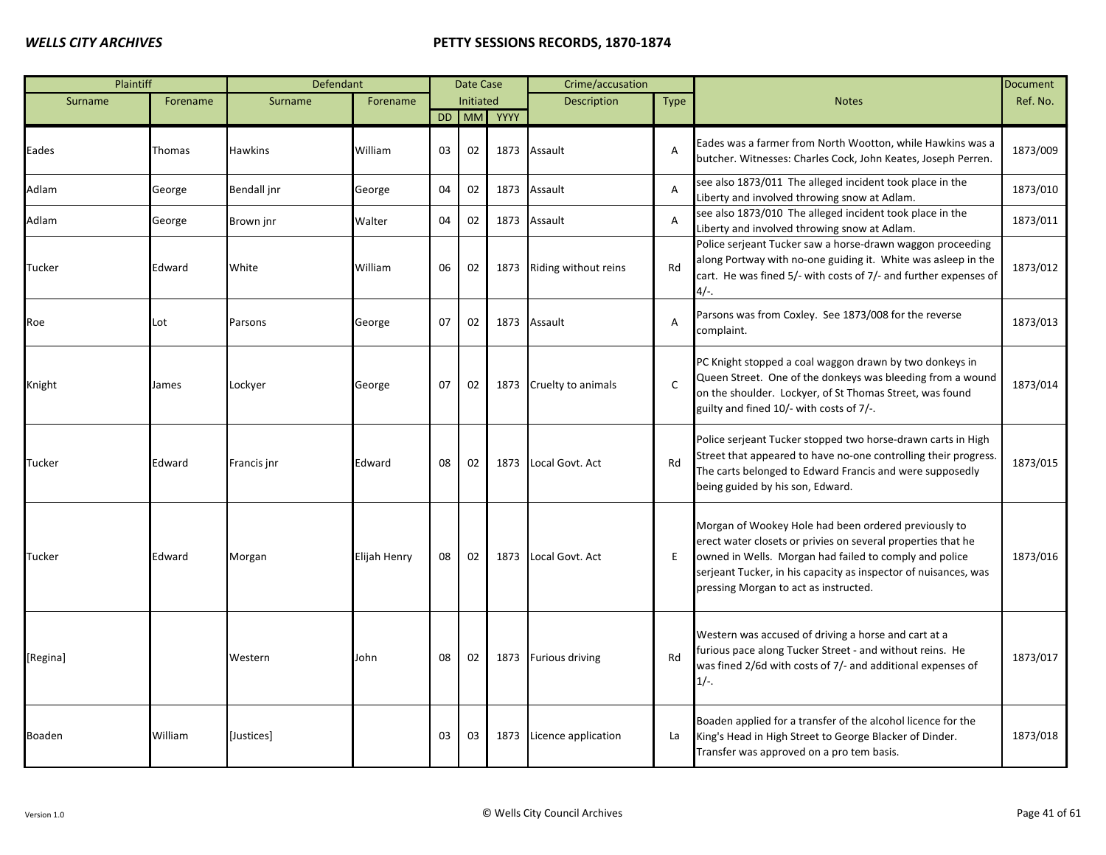| Plaintiff     |          | Defendant      |              |    | Date Case |      | Crime/accusation       |                |                                                                                                                                                                                                                                                                                            | <b>Document</b> |
|---------------|----------|----------------|--------------|----|-----------|------|------------------------|----------------|--------------------------------------------------------------------------------------------------------------------------------------------------------------------------------------------------------------------------------------------------------------------------------------------|-----------------|
| Surname       | Forename | Surname        | Forename     |    | Initiated |      | Description            | <b>Type</b>    | <b>Notes</b>                                                                                                                                                                                                                                                                               | Ref. No.        |
|               |          |                |              | DD | <b>MM</b> | YYYY |                        |                |                                                                                                                                                                                                                                                                                            |                 |
| Eades         | Thomas   | <b>Hawkins</b> | William      | 03 | 02        | 1873 | Assault                | $\overline{A}$ | Eades was a farmer from North Wootton, while Hawkins was a<br>butcher. Witnesses: Charles Cock, John Keates, Joseph Perren.                                                                                                                                                                | 1873/009        |
| Adlam         | George   | Bendall jnr    | George       | 04 | 02        | 1873 | Assault                | Α              | see also 1873/011 The alleged incident took place in the<br>Liberty and involved throwing snow at Adlam.                                                                                                                                                                                   | 1873/010        |
| Adlam         | George   | Brown jnr      | Walter       | 04 | 02        | 1873 | Assault                | $\overline{A}$ | see also 1873/010 The alleged incident took place in the<br>Liberty and involved throwing snow at Adlam.                                                                                                                                                                                   | 1873/011        |
| Tucker        | Edward   | White          | William      | 06 | 02        | 1873 | Riding without reins   | Rd             | Police serjeant Tucker saw a horse-drawn waggon proceeding<br>along Portway with no-one guiding it. White was asleep in the<br>cart. He was fined 5/- with costs of 7/- and further expenses of<br>$4/-$ .                                                                                 | 1873/012        |
| Roe           | Lot      | Parsons        | George       | 07 | 02        | 1873 | Assault                | $\overline{A}$ | Parsons was from Coxley. See 1873/008 for the reverse<br>complaint.                                                                                                                                                                                                                        | 1873/013        |
| Knight        | James    | Lockyer        | George       | 07 | 02        | 1873 | Cruelty to animals     | $\mathsf{C}$   | PC Knight stopped a coal waggon drawn by two donkeys in<br>Queen Street. One of the donkeys was bleeding from a wound<br>on the shoulder. Lockyer, of St Thomas Street, was found<br>guilty and fined 10/- with costs of 7/-.                                                              | 1873/014        |
| <b>Tucker</b> | Edward   | Francis jnr    | Edward       | 08 | 02        | 1873 | Local Govt. Act        | Rd             | Police serjeant Tucker stopped two horse-drawn carts in High<br>Street that appeared to have no-one controlling their progress.<br>The carts belonged to Edward Francis and were supposedly<br>being guided by his son, Edward.                                                            | 1873/015        |
| Tucker        | Edward   | Morgan         | Elijah Henry | 08 | 02        | 1873 | Local Govt. Act        | Ε              | Morgan of Wookey Hole had been ordered previously to<br>erect water closets or privies on several properties that he<br>owned in Wells. Morgan had failed to comply and police<br>serjeant Tucker, in his capacity as inspector of nuisances, was<br>pressing Morgan to act as instructed. | 1873/016        |
| [Regina]      |          | Western        | John         | 08 | 02        | 1873 | <b>Furious driving</b> | Rd             | Western was accused of driving a horse and cart at a<br>furious pace along Tucker Street - and without reins. He<br>was fined 2/6d with costs of 7/- and additional expenses of<br>$1/-$ .                                                                                                 | 1873/017        |
| Boaden        | William  | [Justices]     |              | 03 | 03        | 1873 | Licence application    | La             | Boaden applied for a transfer of the alcohol licence for the<br>King's Head in High Street to George Blacker of Dinder.<br>Transfer was approved on a pro tem basis.                                                                                                                       | 1873/018        |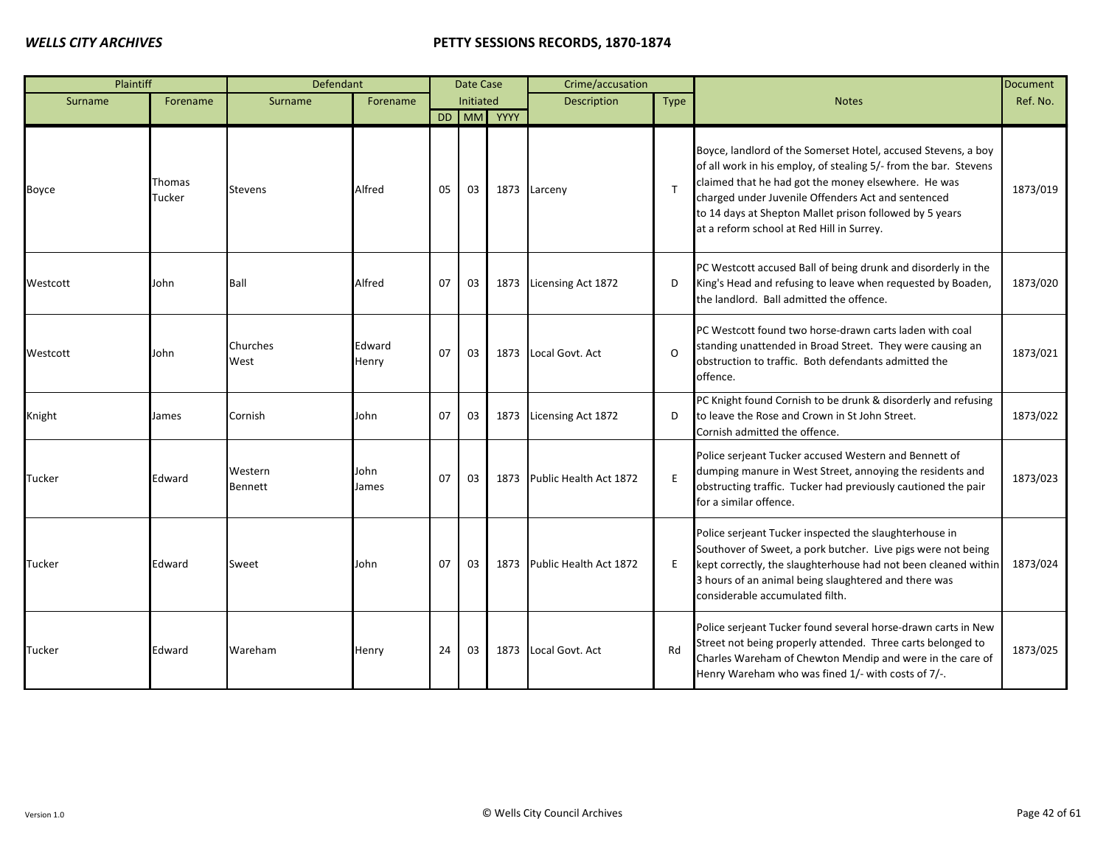| Plaintiff     |                  | Defendant          |                 |    | Date Case |            | Crime/accusation            |              |                                                                                                                                                                                                                                                                                                                                                        | <b>Document</b> |
|---------------|------------------|--------------------|-----------------|----|-----------|------------|-----------------------------|--------------|--------------------------------------------------------------------------------------------------------------------------------------------------------------------------------------------------------------------------------------------------------------------------------------------------------------------------------------------------------|-----------------|
| Surname       | Forename         | Surname            | Forename        |    | Initiated |            | <b>Description</b>          | <b>Type</b>  | <b>Notes</b>                                                                                                                                                                                                                                                                                                                                           | Ref. No.        |
|               |                  |                    |                 |    |           | DD MM YYYY |                             |              |                                                                                                                                                                                                                                                                                                                                                        |                 |
| Boyce         | Thomas<br>Tucker | <b>Stevens</b>     | Alfred          | 05 | 03        |            | 1873 Larceny                | $\mathsf{T}$ | Boyce, landlord of the Somerset Hotel, accused Stevens, a boy<br>of all work in his employ, of stealing 5/- from the bar. Stevens<br>claimed that he had got the money elsewhere. He was<br>charged under Juvenile Offenders Act and sentenced<br>to 14 days at Shepton Mallet prison followed by 5 years<br>at a reform school at Red Hill in Surrey. | 1873/019        |
| Westcott      | John             | Ball               | Alfred          | 07 | 03        |            | 1873 Licensing Act 1872     | D            | PC Westcott accused Ball of being drunk and disorderly in the<br>King's Head and refusing to leave when requested by Boaden,<br>the landlord. Ball admitted the offence.                                                                                                                                                                               | 1873/020        |
| Westcott      | John             | Churches<br>West   | Edward<br>Henry | 07 | 03        |            | 1873 Local Govt. Act        | $\Omega$     | PC Westcott found two horse-drawn carts laden with coal<br>standing unattended in Broad Street. They were causing an<br>obstruction to traffic. Both defendants admitted the<br>offence.                                                                                                                                                               | 1873/021        |
| Knight        | James            | Cornish            | John            | 07 | 03        |            | 1873 Licensing Act 1872     | D            | PC Knight found Cornish to be drunk & disorderly and refusing<br>to leave the Rose and Crown in St John Street.<br>Cornish admitted the offence.                                                                                                                                                                                                       | 1873/022        |
| <b>Tucker</b> | Edward           | Western<br>Bennett | John<br>James   | 07 | 03        |            | 1873 Public Health Act 1872 | E            | Police serjeant Tucker accused Western and Bennett of<br>dumping manure in West Street, annoying the residents and<br>obstructing traffic. Tucker had previously cautioned the pair<br>for a similar offence.                                                                                                                                          | 1873/023        |
| <b>Tucker</b> | Edward           | Sweet              | John            | 07 | 03        | 1873       | Public Health Act 1872      | E            | Police serjeant Tucker inspected the slaughterhouse in<br>Southover of Sweet, a pork butcher. Live pigs were not being<br>kept correctly, the slaughterhouse had not been cleaned within<br>3 hours of an animal being slaughtered and there was<br>considerable accumulated filth.                                                                    | 1873/024        |
| Tucker        | Edward           | Wareham            | Henry           | 24 | 03        | 1873       | Local Govt. Act             | Rd           | Police serjeant Tucker found several horse-drawn carts in New<br>Street not being properly attended. Three carts belonged to<br>Charles Wareham of Chewton Mendip and were in the care of<br>Henry Wareham who was fined 1/- with costs of 7/-.                                                                                                        | 1873/025        |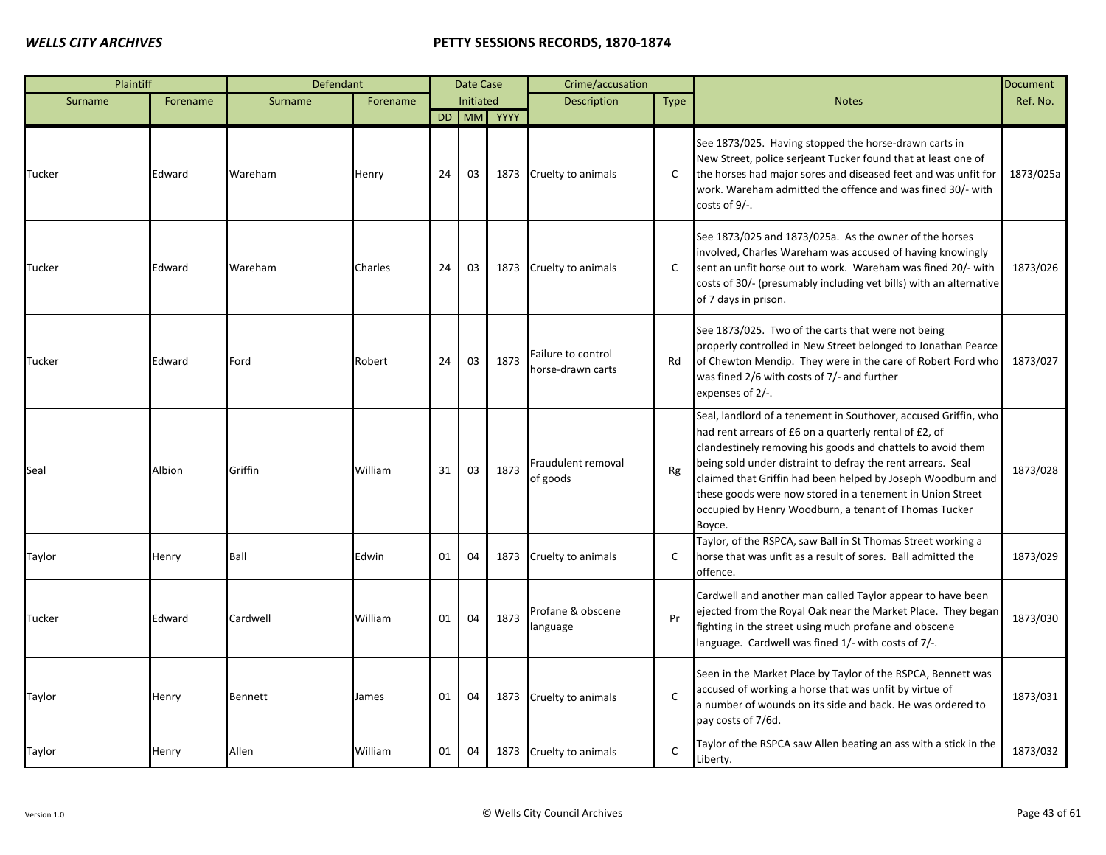| Plaintiff |          | Defendant      |          |    | Date Case |            | Crime/accusation                       |              |                                                                                                                                                                                                                                                                                                                                                                                                                                                        | <b>Document</b> |
|-----------|----------|----------------|----------|----|-----------|------------|----------------------------------------|--------------|--------------------------------------------------------------------------------------------------------------------------------------------------------------------------------------------------------------------------------------------------------------------------------------------------------------------------------------------------------------------------------------------------------------------------------------------------------|-----------------|
| Surname   | Forename | Surname        | Forename |    | Initiated |            | Description                            | <b>Type</b>  | <b>Notes</b>                                                                                                                                                                                                                                                                                                                                                                                                                                           | Ref. No.        |
|           |          |                |          |    |           | DD MM YYYY |                                        |              |                                                                                                                                                                                                                                                                                                                                                                                                                                                        |                 |
| Tucker    | Edward   | Wareham        | Henry    | 24 | 03        | 1873       | Cruelty to animals                     | C            | See 1873/025. Having stopped the horse-drawn carts in<br>New Street, police serjeant Tucker found that at least one of<br>the horses had major sores and diseased feet and was unfit for<br>work. Wareham admitted the offence and was fined 30/- with<br>costs of $9/-$ .                                                                                                                                                                             | 1873/025a       |
| Tucker    | Edward   | Wareham        | Charles  | 24 | 03        | 1873       | Cruelty to animals                     | C            | See 1873/025 and 1873/025a. As the owner of the horses<br>involved, Charles Wareham was accused of having knowingly<br>sent an unfit horse out to work. Wareham was fined 20/- with<br>costs of 30/- (presumably including vet bills) with an alternative<br>of 7 days in prison.                                                                                                                                                                      | 1873/026        |
| Tucker    | Edward   | Ford           | Robert   | 24 | 03        | 1873       | ailure to control<br>horse-drawn carts | Rd           | See 1873/025. Two of the carts that were not being<br>properly controlled in New Street belonged to Jonathan Pearce<br>of Chewton Mendip. They were in the care of Robert Ford who<br>was fined 2/6 with costs of 7/- and further<br>expenses of 2/-.                                                                                                                                                                                                  | 1873/027        |
| Seal      | Albion   | Griffin        | William  | 31 | 03        | 1873       | Fraudulent removal<br>of goods         | Rg           | Seal, landlord of a tenement in Southover, accused Griffin, who<br>had rent arrears of £6 on a quarterly rental of £2, of<br>clandestinely removing his goods and chattels to avoid them<br>being sold under distraint to defray the rent arrears. Seal<br>claimed that Griffin had been helped by Joseph Woodburn and<br>these goods were now stored in a tenement in Union Street<br>occupied by Henry Woodburn, a tenant of Thomas Tucker<br>Boyce. | 1873/028        |
| Taylor    | Henry    | Ball           | Edwin    | 01 | 04        | 1873       | Cruelty to animals                     | $\mathsf{C}$ | Taylor, of the RSPCA, saw Ball in St Thomas Street working a<br>horse that was unfit as a result of sores. Ball admitted the<br>offence.                                                                                                                                                                                                                                                                                                               | 1873/029        |
| Tucker    | Edward   | Cardwell       | William  | 01 | 04        | 1873       | Profane & obscene<br>language          | Pr           | Cardwell and another man called Taylor appear to have been<br>ejected from the Royal Oak near the Market Place. They began<br>fighting in the street using much profane and obscene<br>language. Cardwell was fined 1/- with costs of 7/-.                                                                                                                                                                                                             | 1873/030        |
| Taylor    | Henry    | <b>Bennett</b> | James    | 01 | 04        | 1873       | Cruelty to animals                     | $\mathsf{C}$ | Seen in the Market Place by Taylor of the RSPCA, Bennett was<br>accused of working a horse that was unfit by virtue of<br>a number of wounds on its side and back. He was ordered to<br>pay costs of 7/6d.                                                                                                                                                                                                                                             | 1873/031        |
| Taylor    | Henry    | Allen          | William  | 01 | 04        |            | 1873 Cruelty to animals                | $\mathsf{C}$ | Taylor of the RSPCA saw Allen beating an ass with a stick in the<br>Liberty.                                                                                                                                                                                                                                                                                                                                                                           | 1873/032        |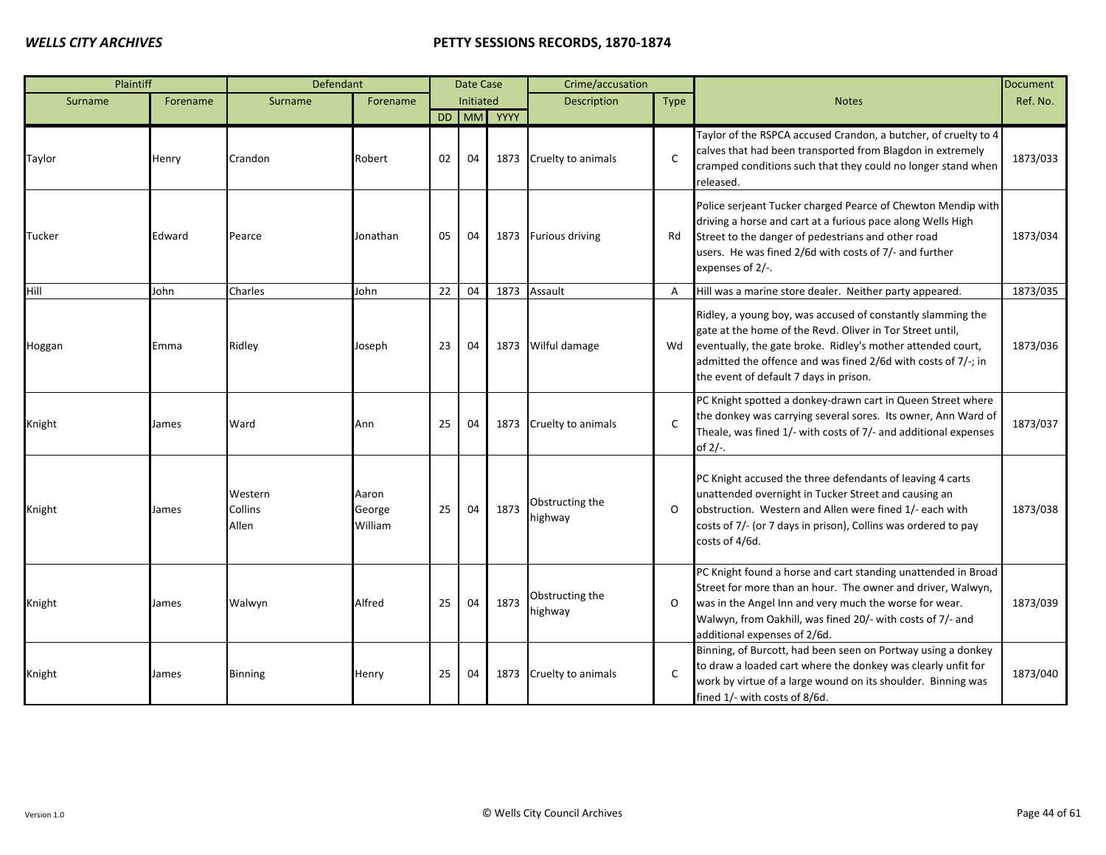| Plaintiff |          | Defendant                   |                            |    | Date Case |            | Crime/accusation           |                |                                                                                                                                                                                                                                                                                                    | <b>Document</b> |
|-----------|----------|-----------------------------|----------------------------|----|-----------|------------|----------------------------|----------------|----------------------------------------------------------------------------------------------------------------------------------------------------------------------------------------------------------------------------------------------------------------------------------------------------|-----------------|
| Surname   | Forename | Surname                     | Forename                   |    | Initiated |            | <b>Description</b>         | Type           | <b>Notes</b>                                                                                                                                                                                                                                                                                       | Ref. No.        |
|           |          |                             |                            |    |           | DD MM YYYY |                            |                |                                                                                                                                                                                                                                                                                                    |                 |
| Taylor    | Henry    | Crandon                     | Robert                     | 02 | 04        | 1873       | Cruelty to animals         | $\mathsf{C}$   | Taylor of the RSPCA accused Crandon, a butcher, of cruelty to 4<br>calves that had been transported from Blagdon in extremely<br>cramped conditions such that they could no longer stand when<br>released.                                                                                         | 1873/033        |
| Tucker    | Edward   | Pearce                      | Jonathan                   | 05 | 04        | 1873       | <b>Furious driving</b>     | Rd             | Police serjeant Tucker charged Pearce of Chewton Mendip with<br>driving a horse and cart at a furious pace along Wells High<br>Street to the danger of pedestrians and other road<br>users. He was fined 2/6d with costs of 7/- and further<br>expenses of 2/-.                                    | 1873/034        |
| Hill      | John     | Charles                     | John                       | 22 | 04        | 1873       | Assault                    | $\overline{A}$ | Hill was a marine store dealer. Neither party appeared.                                                                                                                                                                                                                                            | 1873/035        |
| Hoggan    | Emma     | Ridley                      | Joseph                     | 23 | 04        | 1873       | Wilful damage              | Wd             | Ridley, a young boy, was accused of constantly slamming the<br>gate at the home of the Revd. Oliver in Tor Street until,<br>eventually, the gate broke. Ridley's mother attended court,<br>admitted the offence and was fined 2/6d with costs of 7/-; in<br>the event of default 7 days in prison. | 1873/036        |
| Knight    | James    | Ward                        | Ann                        | 25 | 04        | 1873       | Cruelty to animals         | $\mathsf{C}$   | PC Knight spotted a donkey-drawn cart in Queen Street where<br>the donkey was carrying several sores. Its owner, Ann Ward of<br>Theale, was fined 1/- with costs of 7/- and additional expenses<br>of $2/-$ .                                                                                      | 1873/037        |
| Knight    | James    | Western<br>Collins<br>Allen | Aaron<br>George<br>William | 25 | 04        | 1873       | Obstructing the<br>highway | $\Omega$       | PC Knight accused the three defendants of leaving 4 carts<br>unattended overnight in Tucker Street and causing an<br>obstruction. Western and Allen were fined 1/- each with<br>costs of 7/- (or 7 days in prison), Collins was ordered to pay<br>costs of 4/6d.                                   | 1873/038        |
| Knight    | James    | Walwyn                      | Alfred                     | 25 | 04        | 1873       | Obstructing the<br>highway | $\Omega$       | PC Knight found a horse and cart standing unattended in Broad<br>Street for more than an hour. The owner and driver, Walwyn,<br>was in the Angel Inn and very much the worse for wear.<br>Walwyn, from Oakhill, was fined 20/- with costs of 7/- and<br>additional expenses of 2/6d.               | 1873/039        |
| Knight    | James    | <b>Binning</b>              | Henry                      | 25 | 04        | 1873       | Cruelty to animals         | $\mathsf{C}$   | Binning, of Burcott, had been seen on Portway using a donkey<br>to draw a loaded cart where the donkey was clearly unfit for<br>work by virtue of a large wound on its shoulder. Binning was<br>fined 1/- with costs of 8/6d.                                                                      | 1873/040        |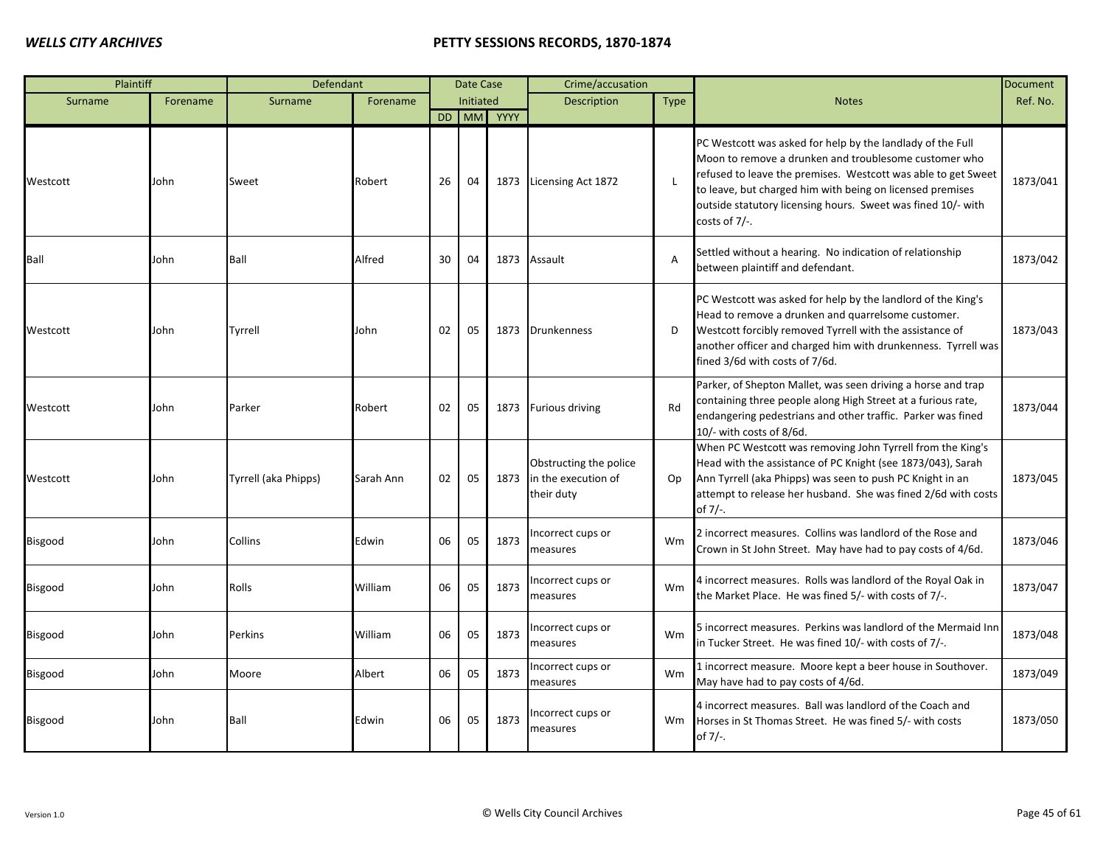| Plaintiff      |          | Defendant            |           |    | Date Case |            | Crime/accusation                                            |                |                                                                                                                                                                                                                                                                                                                                       | <b>Document</b> |
|----------------|----------|----------------------|-----------|----|-----------|------------|-------------------------------------------------------------|----------------|---------------------------------------------------------------------------------------------------------------------------------------------------------------------------------------------------------------------------------------------------------------------------------------------------------------------------------------|-----------------|
| Surname        | Forename | Surname              | Forename  |    | Initiated |            | <b>Description</b>                                          | <b>Type</b>    | <b>Notes</b>                                                                                                                                                                                                                                                                                                                          | Ref. No.        |
|                |          |                      |           |    |           | DD MM YYYY |                                                             |                |                                                                                                                                                                                                                                                                                                                                       |                 |
| Westcott       | John     | Sweet                | Robert    | 26 | 04        |            | 1873 Licensing Act 1872                                     | $\blacksquare$ | PC Westcott was asked for help by the landlady of the Full<br>Moon to remove a drunken and troublesome customer who<br>refused to leave the premises. Westcott was able to get Sweet<br>to leave, but charged him with being on licensed premises<br>outside statutory licensing hours. Sweet was fined 10/- with<br>costs of $7/-$ . | 1873/041        |
| <b>Ball</b>    | John     | Ball                 | Alfred    | 30 | 04        | 1873       | Assault                                                     | $\overline{A}$ | Settled without a hearing. No indication of relationship<br>between plaintiff and defendant.                                                                                                                                                                                                                                          | 1873/042        |
| Westcott       | John     | Tyrrell              | John      | 02 | 05        | 1873       | <b>Drunkenness</b>                                          | D              | PC Westcott was asked for help by the landlord of the King's<br>Head to remove a drunken and quarrelsome customer.<br>Westcott forcibly removed Tyrrell with the assistance of<br>another officer and charged him with drunkenness. Tyrrell was<br>fined 3/6d with costs of 7/6d.                                                     | 1873/043        |
| Westcott       | John     | Parker               | Robert    | 02 | 05        | 1873       | <b>Furious driving</b>                                      | Rd             | Parker, of Shepton Mallet, was seen driving a horse and trap<br>containing three people along High Street at a furious rate,<br>endangering pedestrians and other traffic. Parker was fined<br>10/- with costs of 8/6d.                                                                                                               | 1873/044        |
| Westcott       | John     | Tyrrell (aka Phipps) | Sarah Ann | 02 | 05        | 1873       | Obstructing the police<br>in the execution of<br>their duty | Op             | When PC Westcott was removing John Tyrrell from the King's<br>Head with the assistance of PC Knight (see 1873/043), Sarah<br>Ann Tyrrell (aka Phipps) was seen to push PC Knight in an<br>attempt to release her husband. She was fined 2/6d with costs<br>of 7/-.                                                                    | 1873/045        |
| Bisgood        | John     | Collins              | Edwin     | 06 | 05        | 1873       | Incorrect cups or<br>measures                               | Wm             | 2 incorrect measures. Collins was landlord of the Rose and<br>Crown in St John Street. May have had to pay costs of 4/6d.                                                                                                                                                                                                             | 1873/046        |
| Bisgood        | John     | Rolls                | William   | 06 | 05        | 1873       | ncorrect cups or<br>measures                                | Wm             | 4 incorrect measures. Rolls was landlord of the Royal Oak in<br>the Market Place. He was fined 5/- with costs of 7/-.                                                                                                                                                                                                                 | 1873/047        |
| <b>Bisgood</b> | John     | <b>Perkins</b>       | William   | 06 | 05        | 1873       | ncorrect cups or<br>measures                                | Wm             | 5 incorrect measures. Perkins was landlord of the Mermaid Inn<br>in Tucker Street. He was fined 10/- with costs of 7/-.                                                                                                                                                                                                               | 1873/048        |
| Bisgood        | John     | Moore                | Albert    | 06 | 05        | 1873       | Incorrect cups or<br>measures                               | Wm             | 1 incorrect measure. Moore kept a beer house in Southover.<br>May have had to pay costs of 4/6d.                                                                                                                                                                                                                                      | 1873/049        |
| Bisgood        | John     | Ball                 | Edwin     | 06 | 05        | 1873       | ncorrect cups or<br>measures                                | Wm             | 4 incorrect measures. Ball was landlord of the Coach and<br>Horses in St Thomas Street. He was fined 5/- with costs<br>of 7/-.                                                                                                                                                                                                        | 1873/050        |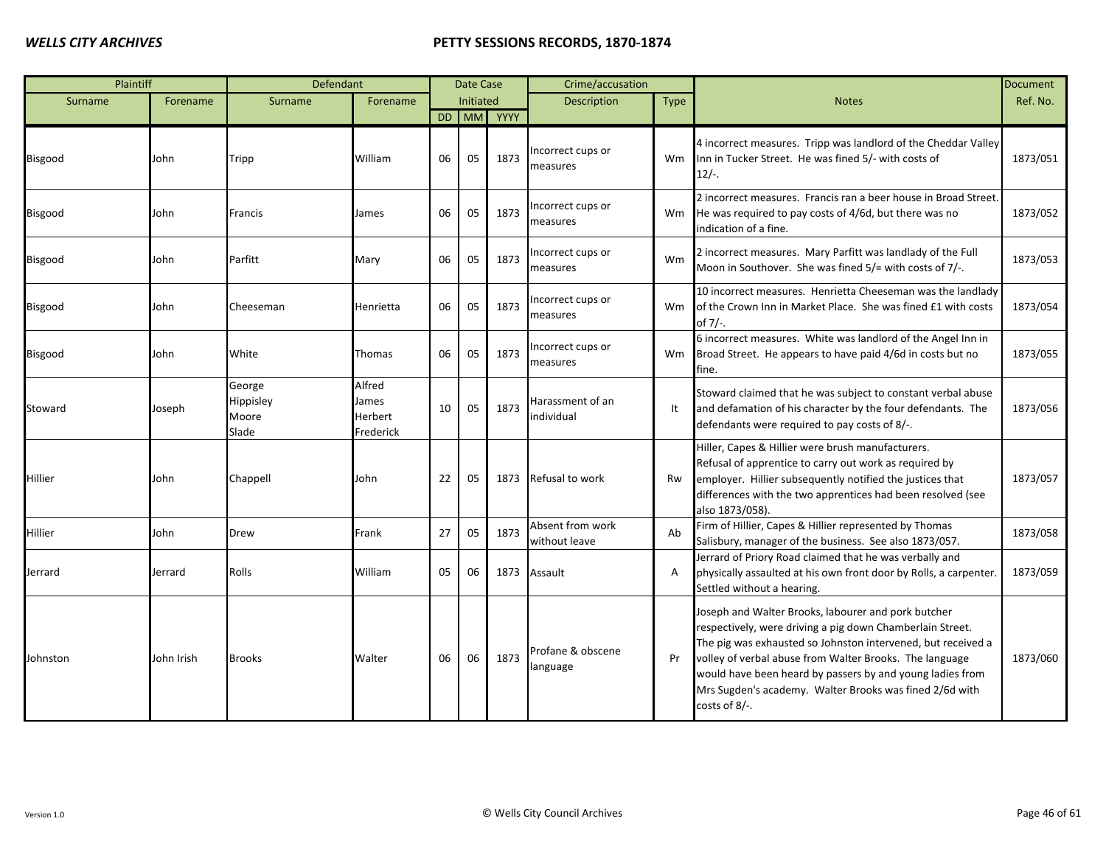| Plaintiff |            | Defendant                             |                                         |    | Date Case        |      | Crime/accusation                  |             |                                                                                                                                                                                                                                                                                                                                                                                         | <b>Document</b> |
|-----------|------------|---------------------------------------|-----------------------------------------|----|------------------|------|-----------------------------------|-------------|-----------------------------------------------------------------------------------------------------------------------------------------------------------------------------------------------------------------------------------------------------------------------------------------------------------------------------------------------------------------------------------------|-----------------|
| Surname   | Forename   | Surname                               | Forename                                |    | <b>Initiated</b> |      | <b>Description</b>                | <b>Type</b> | <b>Notes</b>                                                                                                                                                                                                                                                                                                                                                                            | Ref. No.        |
|           |            |                                       |                                         |    | DD MM            | YYYY |                                   |             |                                                                                                                                                                                                                                                                                                                                                                                         |                 |
| Bisgood   | John       | Tripp                                 | William                                 | 06 | 05               | 1873 | ncorrect cups or<br>measures      | <b>Wm</b>   | 4 incorrect measures. Tripp was landlord of the Cheddar Valley<br>Inn in Tucker Street. He was fined 5/- with costs of<br>$12/-$ .                                                                                                                                                                                                                                                      | 1873/051        |
| Bisgood   | John       | Francis                               | James                                   | 06 | 05               | 1873 | ncorrect cups or<br>measures      | Wm          | 2 incorrect measures. Francis ran a beer house in Broad Street.<br>He was required to pay costs of 4/6d, but there was no<br>indication of a fine.                                                                                                                                                                                                                                      | 1873/052        |
| Bisgood   | John       | Parfitt                               | Mary                                    | 06 | 05               | 1873 | Incorrect cups or<br>measures     | Wm          | 2 incorrect measures. Mary Parfitt was landlady of the Full<br>Moon in Southover. She was fined 5/= with costs of 7/-.                                                                                                                                                                                                                                                                  | 1873/053        |
| Bisgood   | John       | Cheeseman                             | Henrietta                               | 06 | 05               | 1873 | ncorrect cups or<br>measures      | Wm          | 10 incorrect measures. Henrietta Cheeseman was the landlady<br>of the Crown Inn in Market Place. She was fined £1 with costs<br>of 7/-.                                                                                                                                                                                                                                                 | 1873/054        |
| Bisgood   | John       | White                                 | Thomas                                  | 06 | 05               | 1873 | Incorrect cups or<br>measures     | Wm          | 6 incorrect measures. White was landlord of the Angel Inn in<br>Broad Street. He appears to have paid 4/6d in costs but no<br>fine.                                                                                                                                                                                                                                                     | 1873/055        |
| Stoward   | Joseph     | George<br>Hippisley<br>Moore<br>Slade | Alfred<br>James<br>Herbert<br>Frederick | 10 | 05               | 1873 | Harassment of an<br>individual    | It          | Stoward claimed that he was subject to constant verbal abuse<br>and defamation of his character by the four defendants. The<br>defendants were required to pay costs of 8/-.                                                                                                                                                                                                            | 1873/056        |
| Hillier   | John       | Chappell                              | John                                    | 22 | 05               | 1873 | Refusal to work                   | Rw          | Hiller, Capes & Hillier were brush manufacturers.<br>Refusal of apprentice to carry out work as required by<br>employer. Hillier subsequently notified the justices that<br>differences with the two apprentices had been resolved (see<br>also 1873/058).                                                                                                                              | 1873/057        |
| Hillier   | John       | Drew                                  | Frank                                   | 27 | 05               | 1873 | Absent from work<br>without leave | Ab          | Firm of Hillier, Capes & Hillier represented by Thomas<br>Salisbury, manager of the business. See also 1873/057.                                                                                                                                                                                                                                                                        | 1873/058        |
| Jerrard   | Jerrard    | Rolls                                 | William                                 | 05 | 06               | 1873 | Assault                           | A           | Jerrard of Priory Road claimed that he was verbally and<br>physically assaulted at his own front door by Rolls, a carpenter.<br>Settled without a hearing.                                                                                                                                                                                                                              | 1873/059        |
| Johnston  | John Irish | <b>Brooks</b>                         | Walter                                  | 06 | 06               | 1873 | Profane & obscene<br>language     | Pr          | Joseph and Walter Brooks, labourer and pork butcher<br>respectively, were driving a pig down Chamberlain Street.<br>The pig was exhausted so Johnston intervened, but received a<br>volley of verbal abuse from Walter Brooks. The language<br>would have been heard by passers by and young ladies from<br>Mrs Sugden's academy. Walter Brooks was fined 2/6d with<br>costs of $8/-$ . | 1873/060        |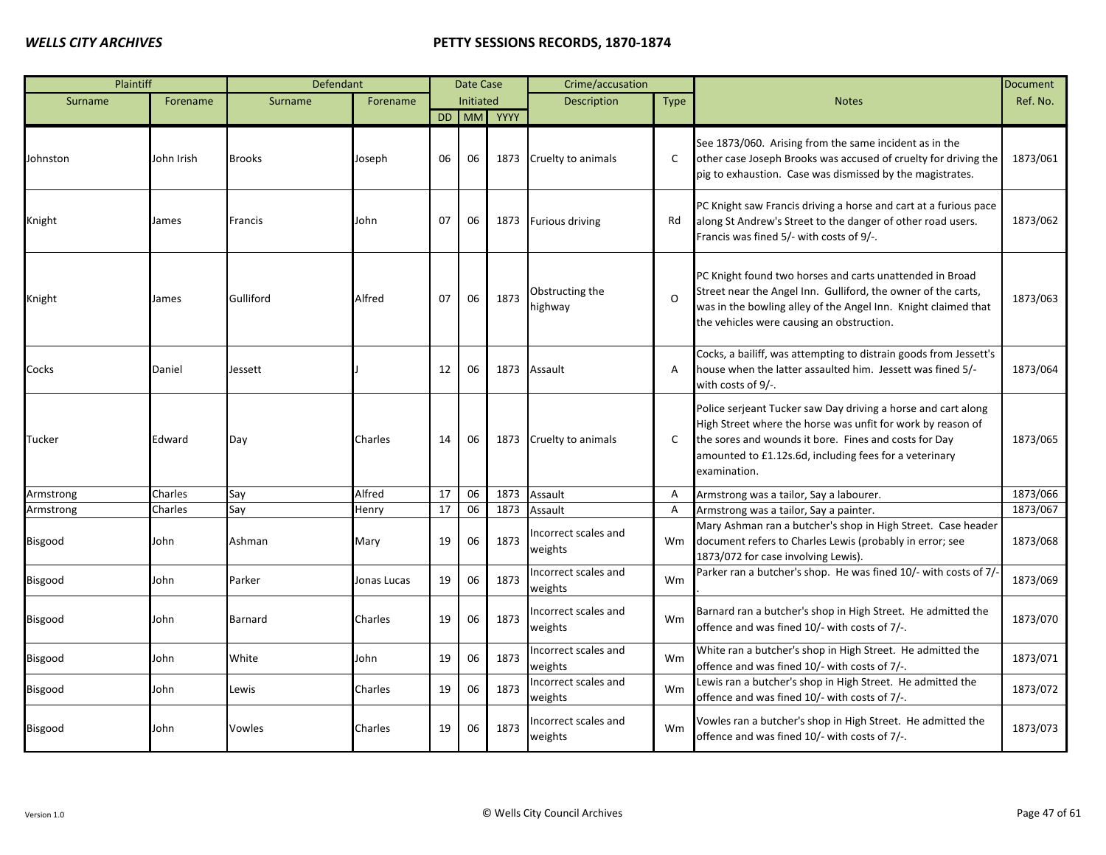| Plaintiff      |            | Defendant     |             |    | Date Case |            | Crime/accusation                |                |                                                                                                                                                                                                                                                                 | <b>Document</b> |
|----------------|------------|---------------|-------------|----|-----------|------------|---------------------------------|----------------|-----------------------------------------------------------------------------------------------------------------------------------------------------------------------------------------------------------------------------------------------------------------|-----------------|
| Surname        | Forename   | Surname       | Forename    |    | Initiated |            | Description                     | <b>Type</b>    | <b>Notes</b>                                                                                                                                                                                                                                                    | Ref. No.        |
|                |            |               |             |    |           | DD MM YYYY |                                 |                |                                                                                                                                                                                                                                                                 |                 |
| Johnston       | John Irish | <b>Brooks</b> | Joseph      | 06 | 06        | 1873       | Cruelty to animals              | $\mathsf{C}$   | See 1873/060. Arising from the same incident as in the<br>other case Joseph Brooks was accused of cruelty for driving the<br>pig to exhaustion. Case was dismissed by the magistrates.                                                                          | 1873/061        |
| Knight         | James      | Francis       | John        | 07 | 06        | 1873       | <b>Furious driving</b>          | Rd             | PC Knight saw Francis driving a horse and cart at a furious pace<br>along St Andrew's Street to the danger of other road users.<br>Francis was fined 5/- with costs of 9/-.                                                                                     | 1873/062        |
| Knight         | James      | Gulliford     | Alfred      | 07 | 06        | 1873       | Obstructing the<br>highway      | $\Omega$       | PC Knight found two horses and carts unattended in Broad<br>Street near the Angel Inn. Gulliford, the owner of the carts,<br>was in the bowling alley of the Angel Inn. Knight claimed that<br>the vehicles were causing an obstruction.                        | 1873/063        |
| Cocks          | Daniel     | Jessett       |             | 12 | 06        | 1873       | Assault                         | A              | Cocks, a bailiff, was attempting to distrain goods from Jessett's<br>house when the latter assaulted him. Jessett was fined 5/-<br>with costs of 9/-.                                                                                                           | 1873/064        |
| Tucker         | Edward     | Day           | Charles     | 14 | 06        | 1873       | Cruelty to animals              | C              | Police serjeant Tucker saw Day driving a horse and cart along<br>High Street where the horse was unfit for work by reason of<br>the sores and wounds it bore. Fines and costs for Day<br>amounted to £1.12s.6d, including fees for a veterinary<br>examination. | 1873/065        |
| Armstrong      | Charles    | Say           | Alfred      | 17 | 06        | 1873       | Assault                         | $\overline{A}$ | Armstrong was a tailor, Say a labourer.                                                                                                                                                                                                                         | 1873/066        |
| Armstrong      | Charles    | Say           | Henry       | 17 | 06        | 1873       | Assault                         | Α              | Armstrong was a tailor, Say a painter.                                                                                                                                                                                                                          | 1873/067        |
| Bisgood        | John       | Ashman        | Mary        | 19 | 06        | 1873       | Incorrect scales and<br>weights | Wm             | Mary Ashman ran a butcher's shop in High Street. Case header<br>document refers to Charles Lewis (probably in error; see<br>1873/072 for case involving Lewis).                                                                                                 | 1873/068        |
| Bisgood        | John       | Parker        | Jonas Lucas | 19 | 06        | 1873       | Incorrect scales and<br>weights | Wm             | Parker ran a butcher's shop. He was fined 10/- with costs of 7/-                                                                                                                                                                                                | 1873/069        |
| Bisgood        | John       | Barnard       | Charles     | 19 | 06        | 1873       | ncorrect scales and<br>weights  | Wm             | Barnard ran a butcher's shop in High Street. He admitted the<br>offence and was fined 10/- with costs of 7/-.                                                                                                                                                   | 1873/070        |
| Bisgood        | John       | White         | John        | 19 | 06        | 1873       | Incorrect scales and<br>weights | Wm             | White ran a butcher's shop in High Street. He admitted the<br>offence and was fined 10/- with costs of 7/-.                                                                                                                                                     | 1873/071        |
| Bisgood        | John       | Lewis         | Charles     | 19 | 06        | 1873       | Incorrect scales and<br>weights | Wm             | Lewis ran a butcher's shop in High Street. He admitted the<br>offence and was fined 10/- with costs of 7/-.                                                                                                                                                     | 1873/072        |
| <b>Bisgood</b> | John       | Vowles        | Charles     | 19 | 06        | 1873       | ncorrect scales and<br>weights  | Wm             | Vowles ran a butcher's shop in High Street. He admitted the<br>offence and was fined 10/- with costs of 7/-.                                                                                                                                                    | 1873/073        |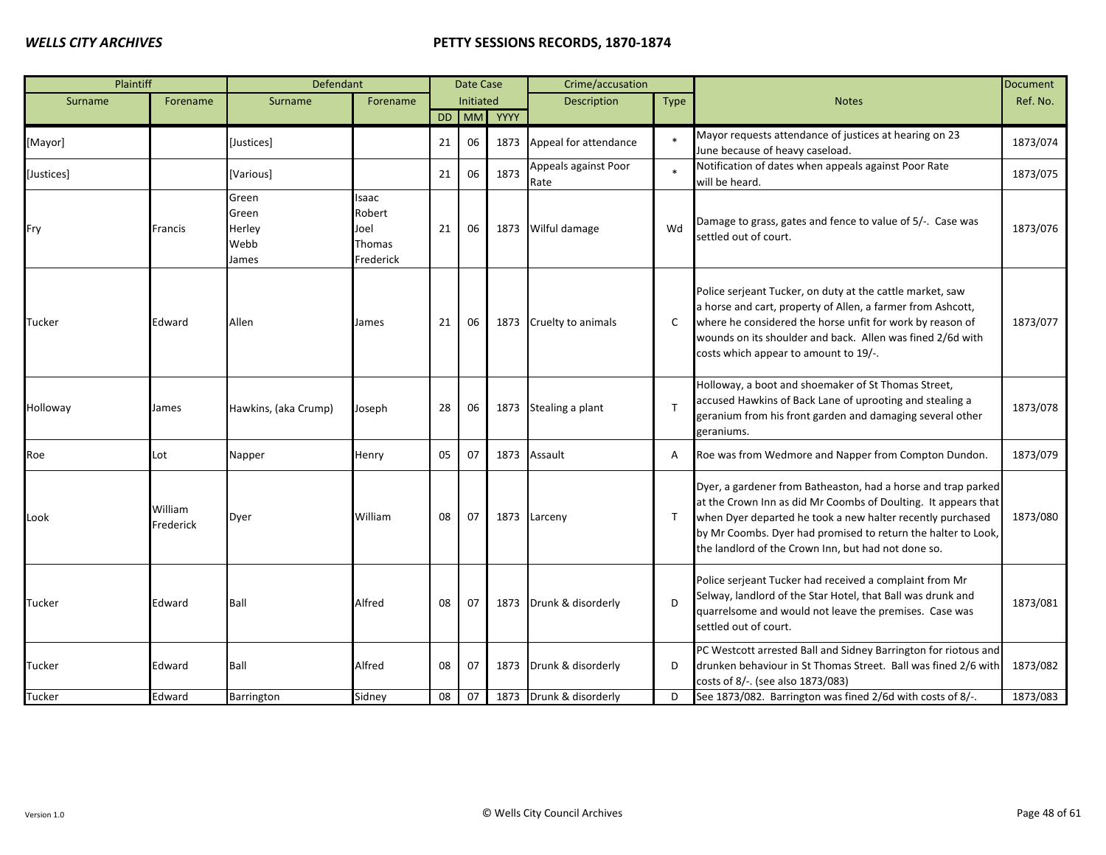| Plaintiff  |                      | Defendant                                 |                                                |    | Date Case |      | Crime/accusation             |              |                                                                                                                                                                                                                                                                                                                       | <b>Document</b> |
|------------|----------------------|-------------------------------------------|------------------------------------------------|----|-----------|------|------------------------------|--------------|-----------------------------------------------------------------------------------------------------------------------------------------------------------------------------------------------------------------------------------------------------------------------------------------------------------------------|-----------------|
| Surname    | Forename             | Surname                                   | Forename                                       |    | Initiated |      | <b>Description</b>           | <b>Type</b>  | <b>Notes</b>                                                                                                                                                                                                                                                                                                          | Ref. No.        |
|            |                      |                                           |                                                | DD | <b>MM</b> | YYYY |                              |              |                                                                                                                                                                                                                                                                                                                       |                 |
| [Mayor]    |                      | [Justices]                                |                                                | 21 | 06        | 1873 | Appeal for attendance        |              | Mayor requests attendance of justices at hearing on 23<br>June because of heavy caseload.                                                                                                                                                                                                                             | 1873/074        |
| [Justices] |                      | [Various]                                 |                                                | 21 | 06        | 1873 | Appeals against Poor<br>Rate |              | Notification of dates when appeals against Poor Rate<br>will be heard.                                                                                                                                                                                                                                                | 1873/075        |
| Fry        | Francis              | Green<br>Green<br>Herley<br>Webb<br>James | Isaac<br>Robert<br>Joel<br>Thomas<br>Frederick | 21 | 06        | 1873 | Wilful damage                | Wd           | Damage to grass, gates and fence to value of 5/-. Case was<br>settled out of court.                                                                                                                                                                                                                                   | 1873/076        |
| Tucker     | Edward               | Allen                                     | James                                          | 21 | 06        | 1873 | Cruelty to animals           | C            | Police serjeant Tucker, on duty at the cattle market, saw<br>a horse and cart, property of Allen, a farmer from Ashcott,<br>where he considered the horse unfit for work by reason of<br>wounds on its shoulder and back. Allen was fined 2/6d with<br>costs which appear to amount to 19/-.                          | 1873/077        |
| Holloway   | James                | Hawkins, (aka Crump)                      | Joseph                                         | 28 | 06        | 1873 | Stealing a plant             | $\mathsf{T}$ | Holloway, a boot and shoemaker of St Thomas Street,<br>accused Hawkins of Back Lane of uprooting and stealing a<br>geranium from his front garden and damaging several other<br>geraniums.                                                                                                                            | 1873/078        |
| Roe        | Lot                  | Napper                                    | Henry                                          | 05 | 07        | 1873 | Assault                      | A            | Roe was from Wedmore and Napper from Compton Dundon.                                                                                                                                                                                                                                                                  | 1873/079        |
| Look       | William<br>Frederick | Dyer                                      | William                                        | 08 | 07        | 1873 | Larceny                      | $\top$       | Dyer, a gardener from Batheaston, had a horse and trap parked<br>at the Crown Inn as did Mr Coombs of Doulting. It appears that<br>when Dyer departed he took a new halter recently purchased<br>by Mr Coombs. Dyer had promised to return the halter to Look,<br>the landlord of the Crown Inn, but had not done so. | 1873/080        |
| Tucker     | Edward               | Ball                                      | Alfred                                         | 08 | 07        | 1873 | Drunk & disorderly           | $\mathsf{D}$ | Police serjeant Tucker had received a complaint from Mr<br>Selway, landlord of the Star Hotel, that Ball was drunk and<br>quarrelsome and would not leave the premises. Case was<br>settled out of court.                                                                                                             | 1873/081        |
| Tucker     | Edward               | Ball                                      | Alfred                                         | 08 | 07        | 1873 | Drunk & disorderly           | D            | PC Westcott arrested Ball and Sidney Barrington for riotous and<br>drunken behaviour in St Thomas Street. Ball was fined 2/6 with<br>costs of 8/-. (see also 1873/083)                                                                                                                                                | 1873/082        |
| Tucker     | Edward               | Barrington                                | Sidney                                         | 08 | 07        |      | 1873 Drunk & disorderly      | D            | See 1873/082. Barrington was fined 2/6d with costs of 8/-.                                                                                                                                                                                                                                                            | 1873/083        |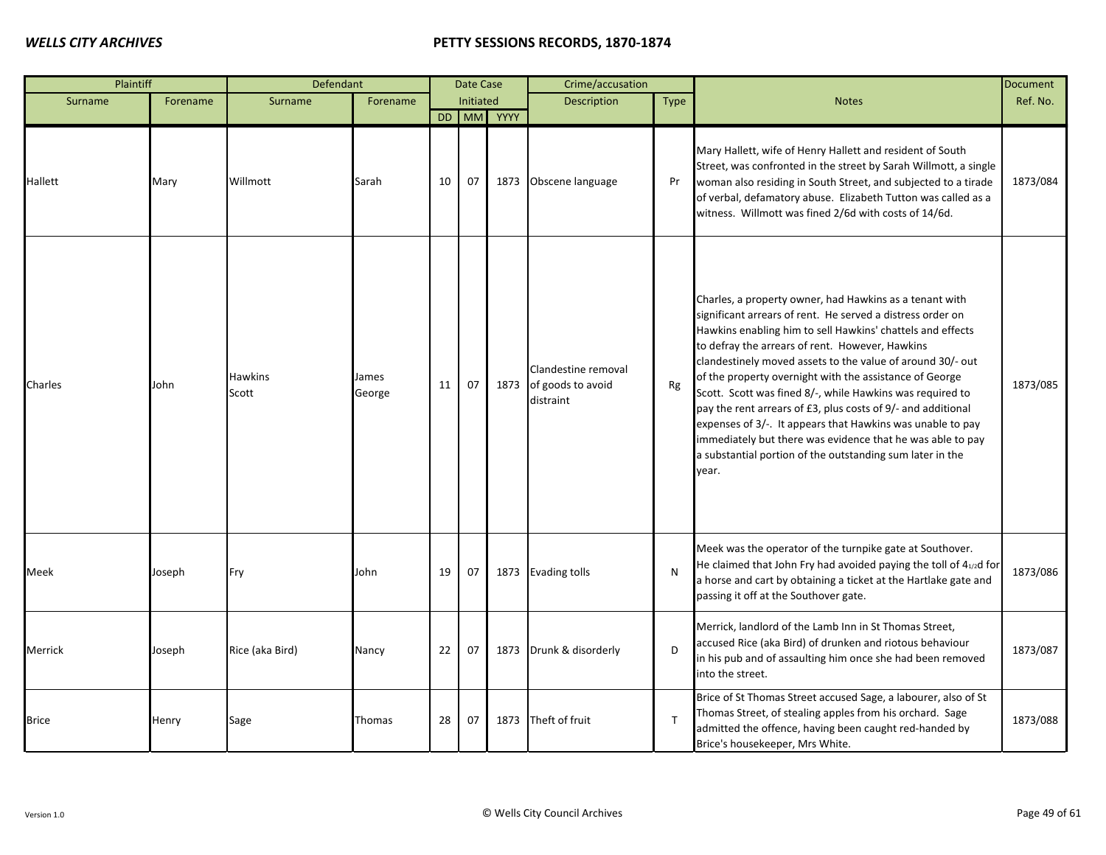| Plaintiff    |          | Defendant        |                 |    | Date Case |            | Crime/accusation                                      |              |                                                                                                                                                                                                                                                                                                                                                                                                                                                                                                                                                                                                                                                                                                | Document |
|--------------|----------|------------------|-----------------|----|-----------|------------|-------------------------------------------------------|--------------|------------------------------------------------------------------------------------------------------------------------------------------------------------------------------------------------------------------------------------------------------------------------------------------------------------------------------------------------------------------------------------------------------------------------------------------------------------------------------------------------------------------------------------------------------------------------------------------------------------------------------------------------------------------------------------------------|----------|
| Surname      | Forename | Surname          | Forename        |    | Initiated |            | <b>Description</b>                                    | <b>Type</b>  | <b>Notes</b>                                                                                                                                                                                                                                                                                                                                                                                                                                                                                                                                                                                                                                                                                   | Ref. No. |
|              |          |                  |                 |    |           | DD MM YYYY |                                                       |              |                                                                                                                                                                                                                                                                                                                                                                                                                                                                                                                                                                                                                                                                                                |          |
| Hallett      | Mary     | Willmott         | Sarah           | 10 | 07        |            | 1873 Obscene language                                 | Pr           | Mary Hallett, wife of Henry Hallett and resident of South<br>Street, was confronted in the street by Sarah Willmott, a single<br>woman also residing in South Street, and subjected to a tirade<br>of verbal, defamatory abuse. Elizabeth Tutton was called as a<br>witness. Willmott was fined 2/6d with costs of 14/6d.                                                                                                                                                                                                                                                                                                                                                                      | 1873/084 |
| Charles      | John     | Hawkins<br>Scott | James<br>George | 11 | 07        | 1873       | Clandestine removal<br>of goods to avoid<br>distraint | Rg           | Charles, a property owner, had Hawkins as a tenant with<br>significant arrears of rent. He served a distress order on<br>Hawkins enabling him to sell Hawkins' chattels and effects<br>to defray the arrears of rent. However, Hawkins<br>clandestinely moved assets to the value of around 30/- out<br>of the property overnight with the assistance of George<br>Scott. Scott was fined 8/-, while Hawkins was required to<br>pay the rent arrears of £3, plus costs of 9/- and additional<br>expenses of 3/-. It appears that Hawkins was unable to pay<br>immediately but there was evidence that he was able to pay<br>a substantial portion of the outstanding sum later in the<br>year. | 1873/085 |
| Meek         | Joseph   | Fry              | John            | 19 | 07        |            | 1873 Evading tolls                                    | N            | Meek was the operator of the turnpike gate at Southover.<br>He claimed that John Fry had avoided paying the toll of 41/2d for<br>a horse and cart by obtaining a ticket at the Hartlake gate and<br>passing it off at the Southover gate.                                                                                                                                                                                                                                                                                                                                                                                                                                                      | 1873/086 |
| Merrick      | Joseph   | Rice (aka Bird)  | Nancy           | 22 | 07        | 1873       | Drunk & disorderly                                    | D            | Merrick, landlord of the Lamb Inn in St Thomas Street,<br>accused Rice (aka Bird) of drunken and riotous behaviour<br>in his pub and of assaulting him once she had been removed<br>into the street.                                                                                                                                                                                                                                                                                                                                                                                                                                                                                           | 1873/087 |
| <b>Brice</b> | Henry    | Sage             | Thomas          | 28 | 07        | 1873       | Theft of fruit                                        | $\mathsf{T}$ | Brice of St Thomas Street accused Sage, a labourer, also of St<br>Thomas Street, of stealing apples from his orchard. Sage<br>admitted the offence, having been caught red-handed by<br>Brice's housekeeper, Mrs White.                                                                                                                                                                                                                                                                                                                                                                                                                                                                        | 1873/088 |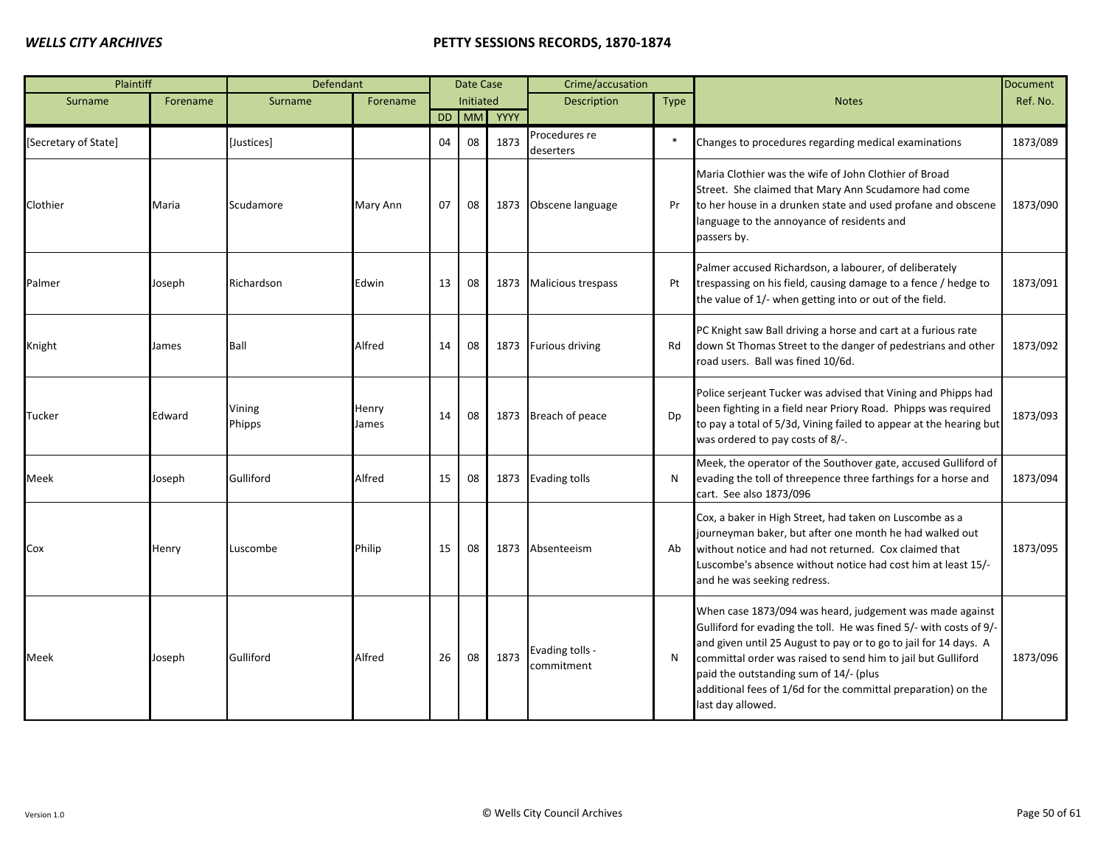| Plaintiff            |          | Defendant        |                |           | Date Case |      | Crime/accusation              |             |                                                                                                                                                                                                                                                                                                                                                                                                    | <b>Document</b> |
|----------------------|----------|------------------|----------------|-----------|-----------|------|-------------------------------|-------------|----------------------------------------------------------------------------------------------------------------------------------------------------------------------------------------------------------------------------------------------------------------------------------------------------------------------------------------------------------------------------------------------------|-----------------|
| Surname              | Forename | Surname          | Forename       |           | Initiated |      | <b>Description</b>            | <b>Type</b> | <b>Notes</b>                                                                                                                                                                                                                                                                                                                                                                                       | Ref. No.        |
|                      |          |                  |                | <b>DD</b> | <b>MM</b> | YYYY |                               |             |                                                                                                                                                                                                                                                                                                                                                                                                    |                 |
| [Secretary of State] |          | [Justices]       |                | 04        | 08        | 1873 | Procedures re<br>deserters    | $\ast$      | Changes to procedures regarding medical examinations                                                                                                                                                                                                                                                                                                                                               | 1873/089        |
| Clothier             | Maria    | Scudamore        | Mary Ann       | 07        | 08        | 1873 | Obscene language              | Pr          | Maria Clothier was the wife of John Clothier of Broad<br>Street. She claimed that Mary Ann Scudamore had come<br>to her house in a drunken state and used profane and obscene<br>language to the annoyance of residents and<br>passers by.                                                                                                                                                         | 1873/090        |
| Palmer               | Joseph   | Richardson       | Edwin          | 13        | 08        | 1873 | <b>Malicious trespass</b>     | Pt          | Palmer accused Richardson, a labourer, of deliberately<br>trespassing on his field, causing damage to a fence / hedge to<br>the value of 1/- when getting into or out of the field.                                                                                                                                                                                                                | 1873/091        |
| Knight               | James    | Ball             | Alfred         | 14        | 08        |      | 1873 Furious driving          | Rd          | PC Knight saw Ball driving a horse and cart at a furious rate<br>down St Thomas Street to the danger of pedestrians and other<br>road users. Ball was fined 10/6d.                                                                                                                                                                                                                                 | 1873/092        |
| Tucker               | Edward   | Vining<br>Phipps | Henry<br>James | 14        | 08        |      | 1873 Breach of peace          | Dp          | Police serjeant Tucker was advised that Vining and Phipps had<br>been fighting in a field near Priory Road. Phipps was required<br>to pay a total of 5/3d, Vining failed to appear at the hearing but<br>was ordered to pay costs of 8/-.                                                                                                                                                          | 1873/093        |
| Meek                 | Joseph   | Gulliford        | Alfred         | 15        | 08        |      | 1873 Evading tolls            | N           | Meek, the operator of the Southover gate, accused Gulliford of<br>evading the toll of threepence three farthings for a horse and<br>cart. See also 1873/096                                                                                                                                                                                                                                        | 1873/094        |
| Cox                  | Henry    | Luscombe         | Philip         | 15        | 08        | 1873 | Absenteeism                   | Ab          | Cox, a baker in High Street, had taken on Luscombe as a<br>journeyman baker, but after one month he had walked out<br>without notice and had not returned. Cox claimed that<br>Luscombe's absence without notice had cost him at least 15/-<br>and he was seeking redress.                                                                                                                         | 1873/095        |
| Meek                 | Joseph   | Gulliford        | Alfred         | 26        | 08        | 1873 | Evading tolls -<br>commitment | N           | When case 1873/094 was heard, judgement was made against<br>Gulliford for evading the toll. He was fined 5/- with costs of 9/-<br>and given until 25 August to pay or to go to jail for 14 days. A<br>committal order was raised to send him to jail but Gulliford<br>paid the outstanding sum of 14/- (plus<br>additional fees of 1/6d for the committal preparation) on the<br>last day allowed. | 1873/096        |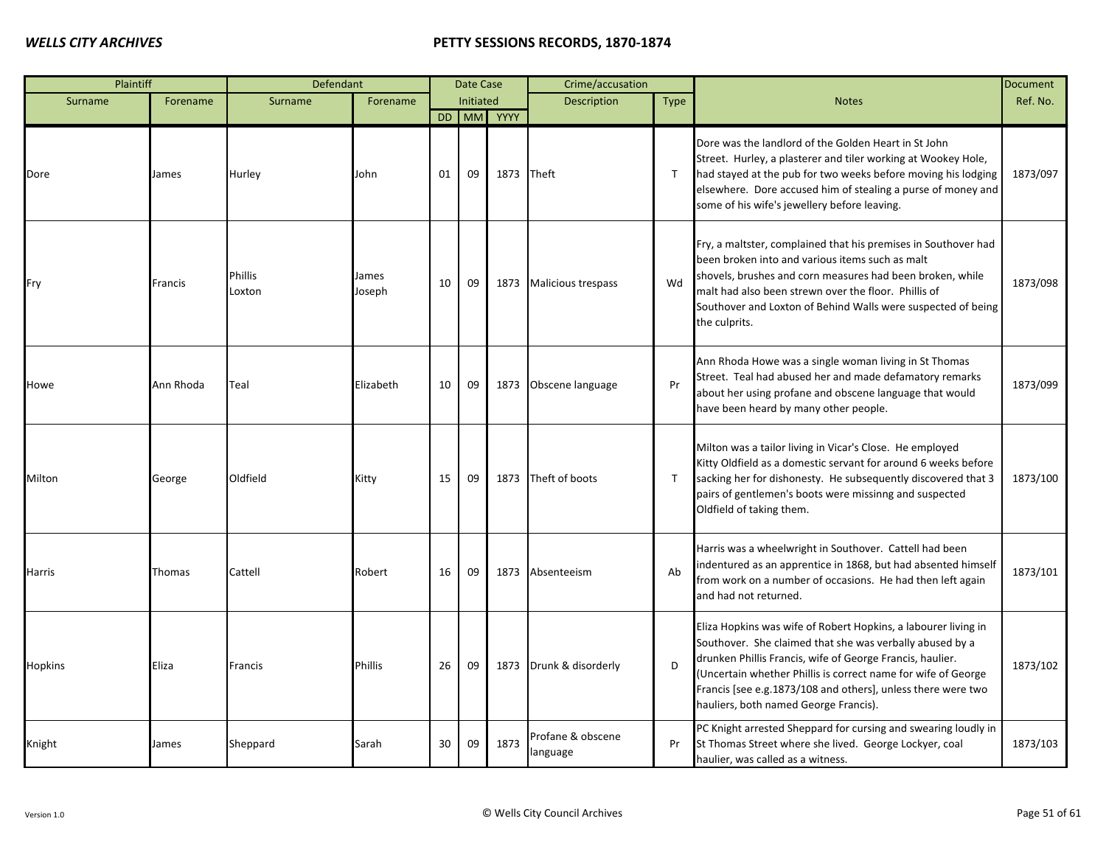| Plaintiff      |           | Defendant                |                 |    | Date Case        |            | Crime/accusation              |              |                                                                                                                                                                                                                                                                                                                                                                   | <b>Document</b> |
|----------------|-----------|--------------------------|-----------------|----|------------------|------------|-------------------------------|--------------|-------------------------------------------------------------------------------------------------------------------------------------------------------------------------------------------------------------------------------------------------------------------------------------------------------------------------------------------------------------------|-----------------|
| Surname        | Forename  | Surname                  | Forename        |    | <b>Initiated</b> |            | <b>Description</b>            | <b>Type</b>  | <b>Notes</b>                                                                                                                                                                                                                                                                                                                                                      | Ref. No.        |
|                |           |                          |                 |    |                  | DD MM YYYY |                               |              |                                                                                                                                                                                                                                                                                                                                                                   |                 |
| Dore           | James     | Hurley                   | John            | 01 | 09               | 1873       | Theft                         | $\mathsf{T}$ | Dore was the landlord of the Golden Heart in St John<br>Street. Hurley, a plasterer and tiler working at Wookey Hole,<br>had stayed at the pub for two weeks before moving his lodging<br>elsewhere. Dore accused him of stealing a purse of money and<br>some of his wife's jewellery before leaving.                                                            | 1873/097        |
| Fry            | Francis   | <b>Phillis</b><br>Loxton | James<br>Joseph | 10 | 09               | 1873       | <b>Malicious trespass</b>     | Wd           | Fry, a maltster, complained that his premises in Southover had<br>been broken into and various items such as malt<br>shovels, brushes and corn measures had been broken, while<br>malt had also been strewn over the floor. Phillis of<br>Southover and Loxton of Behind Walls were suspected of being<br>the culprits.                                           | 1873/098        |
| Howe           | Ann Rhoda | Teal                     | Elizabeth       | 10 | 09               | 1873       | Obscene language              | Pr           | Ann Rhoda Howe was a single woman living in St Thomas<br>Street. Teal had abused her and made defamatory remarks<br>about her using profane and obscene language that would<br>have been heard by many other people.                                                                                                                                              | 1873/099        |
| Milton         | George    | Oldfield                 | Kitty           | 15 | 09               |            | 1873 Theft of boots           | $\mathsf{T}$ | Milton was a tailor living in Vicar's Close. He employed<br>Kitty Oldfield as a domestic servant for around 6 weeks before<br>sacking her for dishonesty. He subsequently discovered that 3<br>pairs of gentlemen's boots were missinng and suspected<br>Oldfield of taking them.                                                                                 | 1873/100        |
| Harris         | Thomas    | Cattell                  | Robert          | 16 | 09               |            | 1873 Absenteeism              | Ab           | Harris was a wheelwright in Southover. Cattell had been<br>indentured as an apprentice in 1868, but had absented himself<br>from work on a number of occasions. He had then left again<br>and had not returned.                                                                                                                                                   | 1873/101        |
| <b>Hopkins</b> | Eliza     | Francis                  | Phillis         | 26 | 09               |            | 1873 Drunk & disorderly       | D            | Eliza Hopkins was wife of Robert Hopkins, a labourer living in<br>Southover. She claimed that she was verbally abused by a<br>drunken Phillis Francis, wife of George Francis, haulier.<br>(Uncertain whether Phillis is correct name for wife of George<br>Francis [see e.g.1873/108 and others], unless there were two<br>hauliers, both named George Francis). | 1873/102        |
| Knight         | James     | Sheppard                 | Sarah           | 30 | 09               | 1873       | Profane & obscene<br>language | Pr           | PC Knight arrested Sheppard for cursing and swearing loudly in<br>St Thomas Street where she lived. George Lockyer, coal<br>haulier, was called as a witness.                                                                                                                                                                                                     | 1873/103        |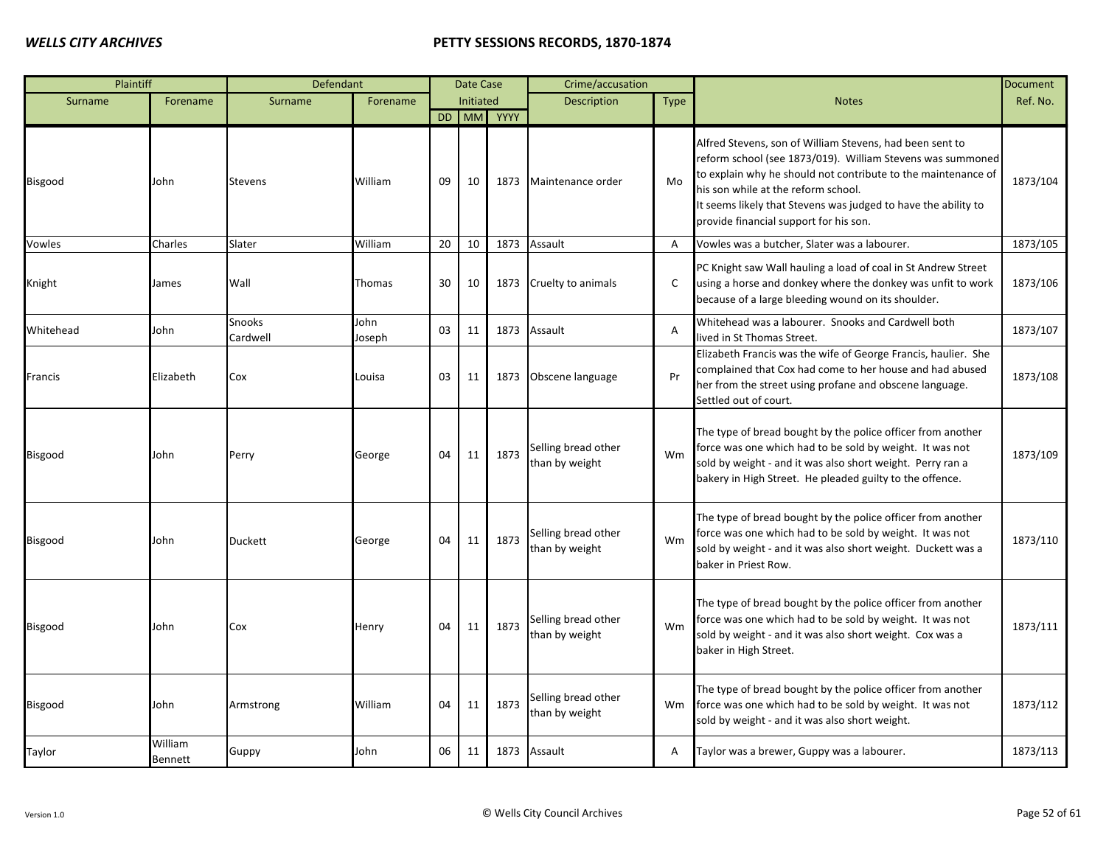| Plaintiff      |                    | Defendant          |                |    | Date Case |            | Crime/accusation                      |                |                                                                                                                                                                                                                                                                                                                                            | <b>Document</b> |
|----------------|--------------------|--------------------|----------------|----|-----------|------------|---------------------------------------|----------------|--------------------------------------------------------------------------------------------------------------------------------------------------------------------------------------------------------------------------------------------------------------------------------------------------------------------------------------------|-----------------|
| Surname        | Forename           | Surname            | Forename       |    | Initiated |            | <b>Description</b>                    | <b>Type</b>    | <b>Notes</b>                                                                                                                                                                                                                                                                                                                               | Ref. No.        |
|                |                    |                    |                |    |           | DD MM YYYY |                                       |                |                                                                                                                                                                                                                                                                                                                                            |                 |
| Bisgood        | John               | <b>Stevens</b>     | William        | 09 | 10        | 1873       | Maintenance order                     | Mo             | Alfred Stevens, son of William Stevens, had been sent to<br>reform school (see 1873/019). William Stevens was summoned<br>to explain why he should not contribute to the maintenance of<br>his son while at the reform school.<br>It seems likely that Stevens was judged to have the ability to<br>provide financial support for his son. | 1873/104        |
| Vowles         | Charles            | Slater             | William        | 20 | 10        | 1873       | Assault                               | $\overline{A}$ | Vowles was a butcher, Slater was a labourer.                                                                                                                                                                                                                                                                                               | 1873/105        |
| Knight         | James              | Wall               | Thomas         | 30 | 10        | 1873       | Cruelty to animals                    | C              | PC Knight saw Wall hauling a load of coal in St Andrew Street<br>using a horse and donkey where the donkey was unfit to work<br>because of a large bleeding wound on its shoulder.                                                                                                                                                         | 1873/106        |
| Whitehead      | John               | Snooks<br>Cardwell | John<br>Joseph | 03 | 11        | 1873       | Assault                               | $\overline{A}$ | Whitehead was a labourer. Snooks and Cardwell both<br>lived in St Thomas Street.                                                                                                                                                                                                                                                           | 1873/107        |
| Francis        | Elizabeth          | Cox                | Louisa         | 03 | 11        | 1873       | Obscene language                      | Pr             | Elizabeth Francis was the wife of George Francis, haulier. She<br>complained that Cox had come to her house and had abused<br>her from the street using profane and obscene language.<br>Settled out of court.                                                                                                                             | 1873/108        |
| Bisgood        | John               | Perry              | George         | 04 | 11        | 1873       | Selling bread other<br>than by weight | Wm             | The type of bread bought by the police officer from another<br>force was one which had to be sold by weight. It was not<br>sold by weight - and it was also short weight. Perry ran a<br>bakery in High Street. He pleaded guilty to the offence.                                                                                          | 1873/109        |
| Bisgood        | John               | <b>Duckett</b>     | George         | 04 | 11        | 1873       | Selling bread other<br>than by weight | Wm             | The type of bread bought by the police officer from another<br>force was one which had to be sold by weight. It was not<br>sold by weight - and it was also short weight. Duckett was a<br>baker in Priest Row.                                                                                                                            | 1873/110        |
| Bisgood        | John               | Cox                | Henry          | 04 | 11        | 1873       | Selling bread other<br>than by weight | Wm             | The type of bread bought by the police officer from another<br>force was one which had to be sold by weight. It was not<br>sold by weight - and it was also short weight. Cox was a<br>baker in High Street.                                                                                                                               | 1873/111        |
| <b>Bisgood</b> | John               | Armstrong          | William        | 04 | 11        | 1873       | Selling bread other<br>than by weight | Wm             | The type of bread bought by the police officer from another<br>force was one which had to be sold by weight. It was not<br>sold by weight - and it was also short weight.                                                                                                                                                                  | 1873/112        |
| Taylor         | William<br>Bennett | Guppy              | John           | 06 | 11        | 1873       | Assault                               | A              | Taylor was a brewer, Guppy was a labourer.                                                                                                                                                                                                                                                                                                 | 1873/113        |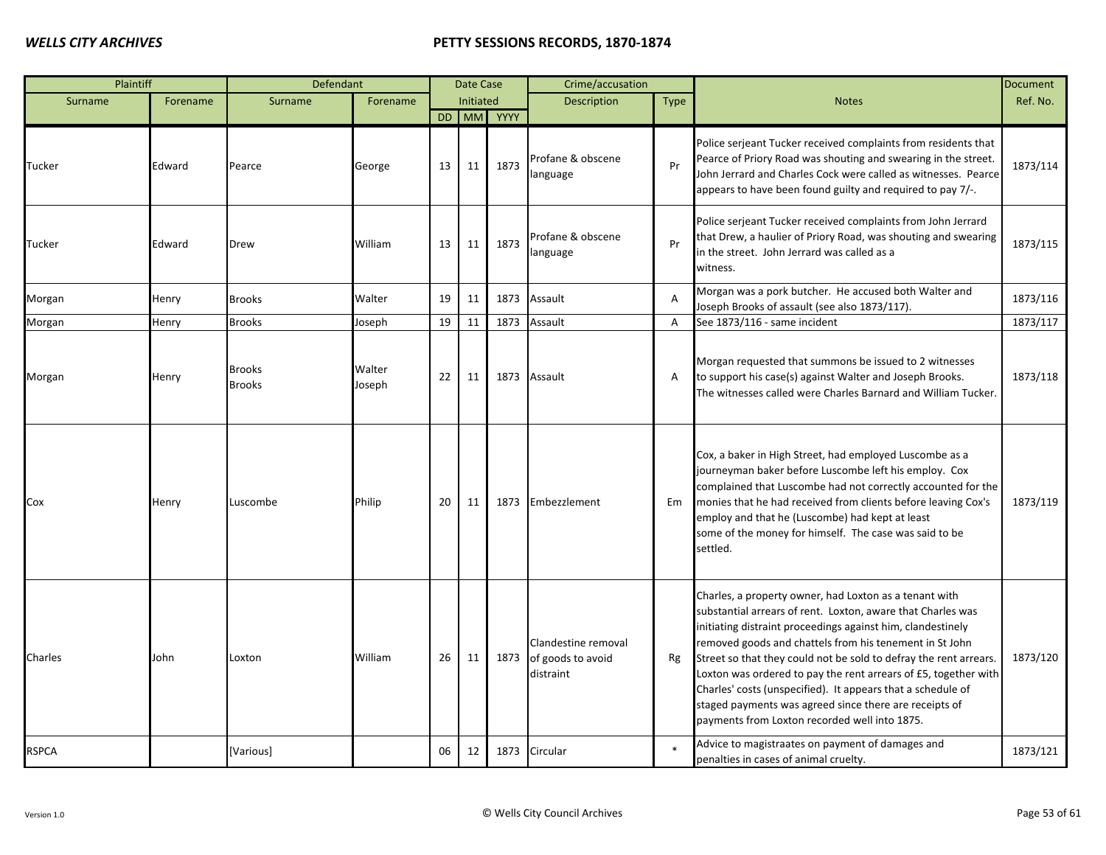| Plaintiff    |          | Defendant                      |                  |    | Date Case |            | Crime/accusation                                      |                |                                                                                                                                                                                                                                                                                                                                                                                                                                                                                                                                                                   | <b>Document</b> |
|--------------|----------|--------------------------------|------------------|----|-----------|------------|-------------------------------------------------------|----------------|-------------------------------------------------------------------------------------------------------------------------------------------------------------------------------------------------------------------------------------------------------------------------------------------------------------------------------------------------------------------------------------------------------------------------------------------------------------------------------------------------------------------------------------------------------------------|-----------------|
| Surname      | Forename | Surname                        | Forename         |    | Initiated |            | Description                                           | <b>Type</b>    | <b>Notes</b>                                                                                                                                                                                                                                                                                                                                                                                                                                                                                                                                                      | Ref. No.        |
|              |          |                                |                  |    |           | DD MM YYYY |                                                       |                |                                                                                                                                                                                                                                                                                                                                                                                                                                                                                                                                                                   |                 |
| Tucker       | Edward   | Pearce                         | George           | 13 | 11        | 1873       | Profane & obscene<br>anguage                          | Pr             | Police serjeant Tucker received complaints from residents that<br>Pearce of Priory Road was shouting and swearing in the street.<br>John Jerrard and Charles Cock were called as witnesses. Pearce<br>appears to have been found guilty and required to pay 7/-.                                                                                                                                                                                                                                                                                                  | 1873/114        |
| Tucker       | Edward   | Drew                           | William          | 13 | 11        | 1873       | Profane & obscene<br>anguage                          | Pr             | Police serjeant Tucker received complaints from John Jerrard<br>that Drew, a haulier of Priory Road, was shouting and swearing<br>in the street. John Jerrard was called as a<br>witness.                                                                                                                                                                                                                                                                                                                                                                         | 1873/115        |
| Morgan       | Henry    | <b>Brooks</b>                  | Walter           | 19 | 11        | 1873       | Assault                                               | $\overline{A}$ | Morgan was a pork butcher. He accused both Walter and<br>Joseph Brooks of assault (see also 1873/117).                                                                                                                                                                                                                                                                                                                                                                                                                                                            | 1873/116        |
| Morgan       | Henry    | <b>Brooks</b>                  | Joseph           | 19 | 11        | 1873       | Assault                                               | A              | See 1873/116 - same incident                                                                                                                                                                                                                                                                                                                                                                                                                                                                                                                                      | 1873/117        |
| Morgan       | Henry    | <b>Brooks</b><br><b>Brooks</b> | Walter<br>Joseph | 22 | 11        | 1873       | Assault                                               | Α              | Morgan requested that summons be issued to 2 witnesses<br>to support his case(s) against Walter and Joseph Brooks.<br>The witnesses called were Charles Barnard and William Tucker.                                                                                                                                                                                                                                                                                                                                                                               | 1873/118        |
| Cox          | Henry    | Luscombe                       | Philip           | 20 | 11        | 1873       | Embezzlement                                          | Em             | Cox, a baker in High Street, had employed Luscombe as a<br>journeyman baker before Luscombe left his employ. Cox<br>complained that Luscombe had not correctly accounted for the<br>monies that he had received from clients before leaving Cox's<br>employ and that he (Luscombe) had kept at least<br>some of the money for himself. The case was said to be<br>settled.                                                                                                                                                                                        | 1873/119        |
| Charles      | John     | Loxton                         | William          | 26 | 11        | 1873       | Clandestine removal<br>of goods to avoid<br>distraint | Rg             | Charles, a property owner, had Loxton as a tenant with<br>substantial arrears of rent. Loxton, aware that Charles was<br>initiating distraint proceedings against him, clandestinely<br>removed goods and chattels from his tenement in St John<br>Street so that they could not be sold to defray the rent arrears.<br>Loxton was ordered to pay the rent arrears of £5, together with<br>Charles' costs (unspecified). It appears that a schedule of<br>staged payments was agreed since there are receipts of<br>payments from Loxton recorded well into 1875. | 1873/120        |
| <b>RSPCA</b> |          | [Various]                      |                  | 06 | 12        |            | 1873 Circular                                         |                | Advice to magistraates on payment of damages and<br>penalties in cases of animal cruelty.                                                                                                                                                                                                                                                                                                                                                                                                                                                                         | 1873/121        |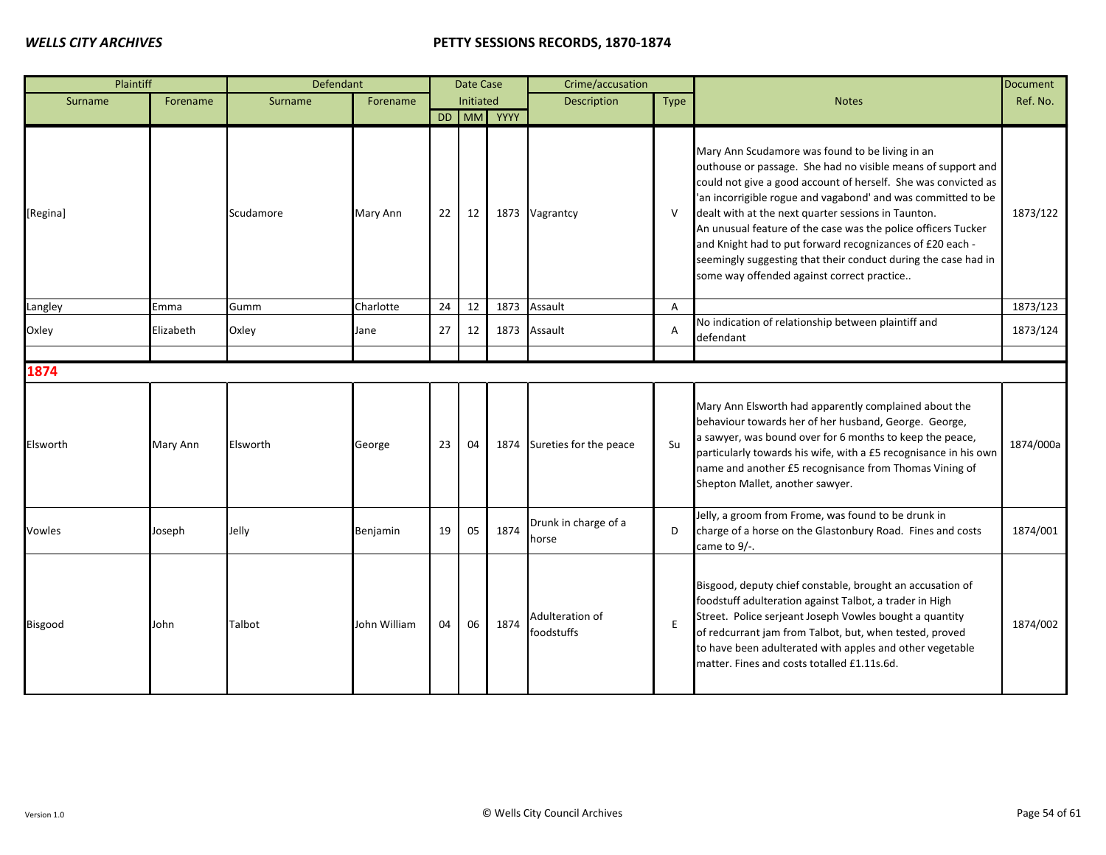| Plaintiff |           | Defendant |              |    | Date Case        |            | Crime/accusation              |                |                                                                                                                                                                                                                                                                                                                                                                                                                                                                                                                                                        | <b>Document</b> |
|-----------|-----------|-----------|--------------|----|------------------|------------|-------------------------------|----------------|--------------------------------------------------------------------------------------------------------------------------------------------------------------------------------------------------------------------------------------------------------------------------------------------------------------------------------------------------------------------------------------------------------------------------------------------------------------------------------------------------------------------------------------------------------|-----------------|
| Surname   | Forename  | Surname   | Forename     |    | <b>Initiated</b> |            | <b>Description</b>            | Type           | <b>Notes</b>                                                                                                                                                                                                                                                                                                                                                                                                                                                                                                                                           | Ref. No.        |
|           |           |           |              |    |                  | DD MM YYYY |                               |                |                                                                                                                                                                                                                                                                                                                                                                                                                                                                                                                                                        |                 |
| [Regina]  |           | Scudamore | Mary Ann     | 22 | 12               |            | 1873 Vagrantcy                | -V             | Mary Ann Scudamore was found to be living in an<br>outhouse or passage. She had no visible means of support and<br>could not give a good account of herself. She was convicted as<br>'an incorrigible rogue and vagabond' and was committed to be<br>dealt with at the next quarter sessions in Taunton.<br>An unusual feature of the case was the police officers Tucker<br>and Knight had to put forward recognizances of £20 each -<br>seemingly suggesting that their conduct during the case had in<br>some way offended against correct practice | 1873/122        |
| Langley   | Emma      | Gumm      | Charlotte    | 24 | 12               | 1873       | Assault                       | $\overline{A}$ |                                                                                                                                                                                                                                                                                                                                                                                                                                                                                                                                                        | 1873/123        |
| Oxley     | Elizabeth | Oxley     | Jane         | 27 | 12               | 1873       | Assault                       | $\overline{A}$ | No indication of relationship between plaintiff and<br>defendant                                                                                                                                                                                                                                                                                                                                                                                                                                                                                       | 1873/124        |
| 1874      |           |           |              |    |                  |            |                               |                |                                                                                                                                                                                                                                                                                                                                                                                                                                                                                                                                                        |                 |
| Elsworth  | Mary Ann  | Elsworth  | George       | 23 | 04               | 1874       | Sureties for the peace        | Su             | Mary Ann Elsworth had apparently complained about the<br>behaviour towards her of her husband, George. George,<br>a sawyer, was bound over for 6 months to keep the peace,<br>particularly towards his wife, with a £5 recognisance in his own<br>name and another £5 recognisance from Thomas Vining of<br>Shepton Mallet, another sawyer.                                                                                                                                                                                                            | 1874/000a       |
| Vowles    | Joseph    | Jelly     | Benjamin     | 19 | 05               | 1874       | Drunk in charge of a<br>horse | D              | Jelly, a groom from Frome, was found to be drunk in<br>charge of a horse on the Glastonbury Road. Fines and costs<br>came to 9/-.                                                                                                                                                                                                                                                                                                                                                                                                                      | 1874/001        |
| Bisgood   | John      | Talbot    | John William | 04 | 06               | 1874       | Adulteration of<br>foodstuffs | E              | Bisgood, deputy chief constable, brought an accusation of<br>foodstuff adulteration against Talbot, a trader in High<br>Street. Police serjeant Joseph Vowles bought a quantity<br>of redcurrant jam from Talbot, but, when tested, proved<br>to have been adulterated with apples and other vegetable<br>matter. Fines and costs totalled £1.11s.6d.                                                                                                                                                                                                  | 1874/002        |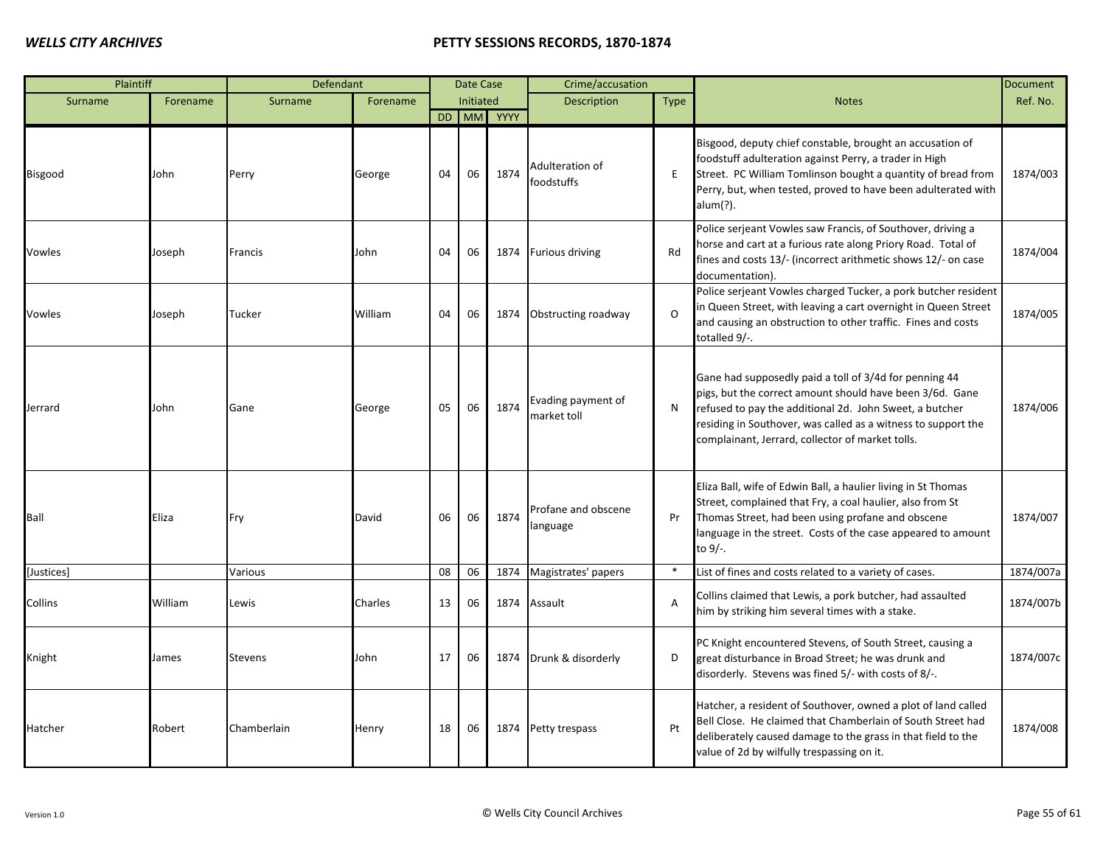| Plaintiff  |          | Defendant      |          |    | Date Case |            | Crime/accusation                  |                |                                                                                                                                                                                                                                                                                                    | <b>Document</b> |
|------------|----------|----------------|----------|----|-----------|------------|-----------------------------------|----------------|----------------------------------------------------------------------------------------------------------------------------------------------------------------------------------------------------------------------------------------------------------------------------------------------------|-----------------|
| Surname    | Forename | Surname        | Forename |    | Initiated |            | Description                       | <b>Type</b>    | <b>Notes</b>                                                                                                                                                                                                                                                                                       | Ref. No.        |
|            |          |                |          |    |           | DD MM YYYY |                                   |                |                                                                                                                                                                                                                                                                                                    |                 |
| Bisgood    | John     | Perry          | George   | 04 | 06        | 1874       | Adulteration of<br>foodstuffs     | E              | Bisgood, deputy chief constable, brought an accusation of<br>foodstuff adulteration against Perry, a trader in High<br>Street. PC William Tomlinson bought a quantity of bread from<br>Perry, but, when tested, proved to have been adulterated with<br>alum(?).                                   | 1874/003        |
| Vowles     | Joseph   | Francis        | John     | 04 | 06        |            | 1874 Furious driving              | Rd             | Police serjeant Vowles saw Francis, of Southover, driving a<br>horse and cart at a furious rate along Priory Road. Total of<br>fines and costs 13/- (incorrect arithmetic shows 12/- on case<br>documentation).                                                                                    | 1874/004        |
| Vowles     | Joseph   | Tucker         | William  | 04 | 06        | 1874       | Obstructing roadway               | $\Omega$       | Police serjeant Vowles charged Tucker, a pork butcher resident<br>in Queen Street, with leaving a cart overnight in Queen Street<br>and causing an obstruction to other traffic. Fines and costs<br>totalled 9/-.                                                                                  | 1874/005        |
| Jerrard    | John     | Gane           | George   | 05 | 06        | 1874       | Evading payment of<br>market toll | N              | Gane had supposedly paid a toll of 3/4d for penning 44<br>pigs, but the correct amount should have been 3/6d. Gane<br>refused to pay the additional 2d. John Sweet, a butcher<br>residing in Southover, was called as a witness to support the<br>complainant, Jerrard, collector of market tolls. | 1874/006        |
| Ball       | Eliza    | Fry            | David    | 06 | 06        | 1874       | Profane and obscene<br>language   | Pr             | Eliza Ball, wife of Edwin Ball, a haulier living in St Thomas<br>Street, complained that Fry, a coal haulier, also from St<br>Thomas Street, had been using profane and obscene<br>language in the street. Costs of the case appeared to amount<br>to 9/-.                                         | 1874/007        |
| [Justices] |          | Various        |          | 08 | 06        | 1874       | Magistrates' papers               | $\ast$         | List of fines and costs related to a variety of cases.                                                                                                                                                                                                                                             | 1874/007a       |
| Collins    | William  | Lewis          | Charles  | 13 | 06        |            | 1874 Assault                      | $\overline{A}$ | Collins claimed that Lewis, a pork butcher, had assaulted<br>him by striking him several times with a stake.                                                                                                                                                                                       | 1874/007b       |
| Knight     | James    | <b>Stevens</b> | John     | 17 | 06        |            | 1874 Drunk & disorderly           | D              | PC Knight encountered Stevens, of South Street, causing a<br>great disturbance in Broad Street; he was drunk and<br>disorderly. Stevens was fined 5/- with costs of 8/-.                                                                                                                           | 1874/007c       |
| Hatcher    | Robert   | Chamberlain    | Henry    | 18 | 06        |            | 1874 Petty trespass               | Pt             | Hatcher, a resident of Southover, owned a plot of land called<br>Bell Close. He claimed that Chamberlain of South Street had<br>deliberately caused damage to the grass in that field to the<br>value of 2d by wilfully trespassing on it.                                                         | 1874/008        |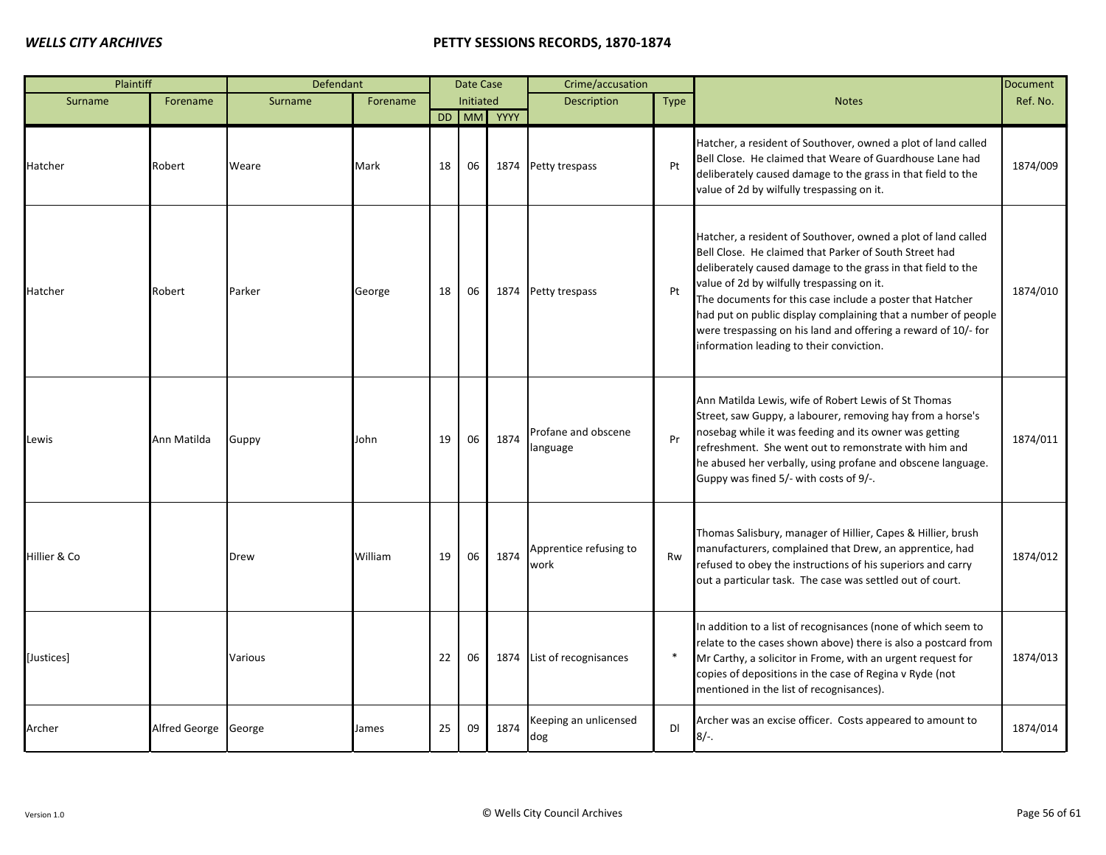| Plaintiff    |               | Defendant |          |    | Date Case |            | Crime/accusation                |        |                                                                                                                                                                                                                                                                                                                                                                                                                                                                                   | <b>Document</b> |
|--------------|---------------|-----------|----------|----|-----------|------------|---------------------------------|--------|-----------------------------------------------------------------------------------------------------------------------------------------------------------------------------------------------------------------------------------------------------------------------------------------------------------------------------------------------------------------------------------------------------------------------------------------------------------------------------------|-----------------|
| Surname      | Forename      | Surname   | Forename |    | Initiated |            | <b>Description</b>              | Type   | <b>Notes</b>                                                                                                                                                                                                                                                                                                                                                                                                                                                                      | Ref. No.        |
|              |               |           |          |    |           | DD MM YYYY |                                 |        |                                                                                                                                                                                                                                                                                                                                                                                                                                                                                   |                 |
| Hatcher      | Robert        | Weare     | Mark     | 18 | 06        |            | 1874 Petty trespass             | Pt     | Hatcher, a resident of Southover, owned a plot of land called<br>Bell Close. He claimed that Weare of Guardhouse Lane had<br>deliberately caused damage to the grass in that field to the<br>value of 2d by wilfully trespassing on it.                                                                                                                                                                                                                                           | 1874/009        |
| Hatcher      | Robert        | Parker    | George   | 18 | 06        |            | 1874 Petty trespass             | Pt     | Hatcher, a resident of Southover, owned a plot of land called<br>Bell Close. He claimed that Parker of South Street had<br>deliberately caused damage to the grass in that field to the<br>value of 2d by wilfully trespassing on it.<br>The documents for this case include a poster that Hatcher<br>had put on public display complaining that a number of people<br>were trespassing on his land and offering a reward of 10/- for<br>information leading to their conviction. | 1874/010        |
| Lewis        | Ann Matilda   | Guppy     | John     | 19 | 06        | 1874       | Profane and obscene<br>language | Pr     | Ann Matilda Lewis, wife of Robert Lewis of St Thomas<br>Street, saw Guppy, a labourer, removing hay from a horse's<br>nosebag while it was feeding and its owner was getting<br>refreshment. She went out to remonstrate with him and<br>he abused her verbally, using profane and obscene language.<br>Guppy was fined 5/- with costs of 9/-.                                                                                                                                    | 1874/011        |
| Hillier & Co |               | Drew      | William  | 19 | 06        | 1874       | Apprentice refusing to<br>work  | Rw     | Thomas Salisbury, manager of Hillier, Capes & Hillier, brush<br>manufacturers, complained that Drew, an apprentice, had<br>refused to obey the instructions of his superiors and carry<br>out a particular task. The case was settled out of court.                                                                                                                                                                                                                               | 1874/012        |
| [Justices]   |               | Various   |          | 22 | 06        |            | 1874 List of recognisances      | $\ast$ | In addition to a list of recognisances (none of which seem to<br>relate to the cases shown above) there is also a postcard from<br>Mr Carthy, a solicitor in Frome, with an urgent request for<br>copies of depositions in the case of Regina v Ryde (not<br>mentioned in the list of recognisances).                                                                                                                                                                             | 1874/013        |
| Archer       | Alfred George | George    | James    | 25 | 09        | 1874       | Keeping an unlicensed<br>dog    | DI     | Archer was an excise officer. Costs appeared to amount to<br>$8/-$ .                                                                                                                                                                                                                                                                                                                                                                                                              | 1874/014        |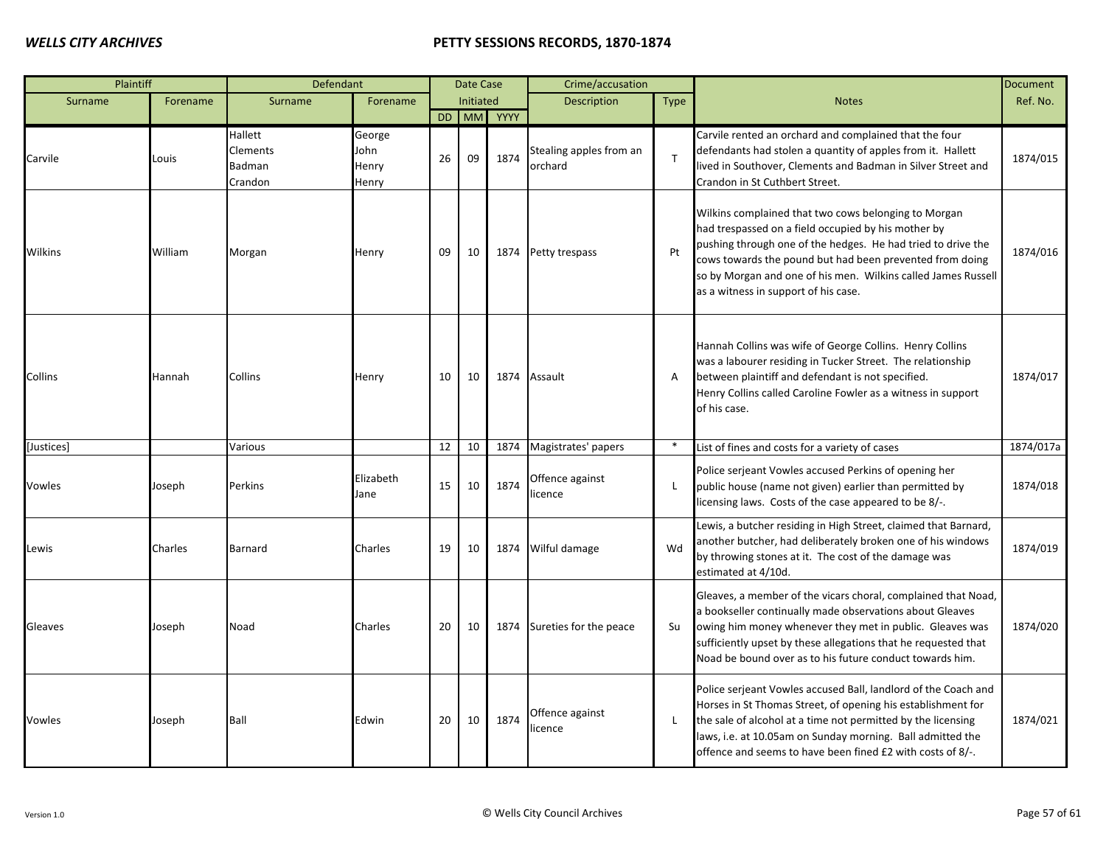| Plaintiff  |          | Defendant                                |                                  |    | Date Case |            | Crime/accusation                   |              |                                                                                                                                                                                                                                                                                                                                                  | Document  |
|------------|----------|------------------------------------------|----------------------------------|----|-----------|------------|------------------------------------|--------------|--------------------------------------------------------------------------------------------------------------------------------------------------------------------------------------------------------------------------------------------------------------------------------------------------------------------------------------------------|-----------|
| Surname    | Forename | Surname                                  | Forename                         |    | Initiated |            | <b>Description</b>                 | <b>Type</b>  | <b>Notes</b>                                                                                                                                                                                                                                                                                                                                     | Ref. No.  |
|            |          |                                          |                                  |    |           | DD MM YYYY |                                    |              |                                                                                                                                                                                                                                                                                                                                                  |           |
| Carvile    | Louis    | Hallett<br>Clements<br>Badman<br>Crandon | George<br>John<br>Henry<br>Henry | 26 | 09        | 1874       | Stealing apples from an<br>orchard | $\mathsf{T}$ | Carvile rented an orchard and complained that the four<br>defendants had stolen a quantity of apples from it. Hallett<br>lived in Southover, Clements and Badman in Silver Street and<br>Crandon in St Cuthbert Street.                                                                                                                          | 1874/015  |
| Wilkins    | William  | Morgan                                   | Henry                            | 09 | 10        |            | 1874 Petty trespass                | Pt           | Wilkins complained that two cows belonging to Morgan<br>had trespassed on a field occupied by his mother by<br>pushing through one of the hedges. He had tried to drive the<br>cows towards the pound but had been prevented from doing<br>so by Morgan and one of his men. Wilkins called James Russell<br>as a witness in support of his case. | 1874/016  |
| Collins    | Hannah   | Collins                                  | Henry                            | 10 | 10        |            | 1874 Assault                       | Α            | Hannah Collins was wife of George Collins. Henry Collins<br>was a labourer residing in Tucker Street. The relationship<br>between plaintiff and defendant is not specified.<br>Henry Collins called Caroline Fowler as a witness in support<br>of his case.                                                                                      | 1874/017  |
| [Justices] |          | Various                                  |                                  | 12 | 10        | 1874       | Magistrates' papers                | $\ast$       | List of fines and costs for a variety of cases                                                                                                                                                                                                                                                                                                   | 1874/017a |
| Vowles     | Joseph   | Perkins                                  | Elizabeth<br>Jane                | 15 | 10        | 1874       | Offence against<br>licence         | L            | Police serjeant Vowles accused Perkins of opening her<br>public house (name not given) earlier than permitted by<br>licensing laws. Costs of the case appeared to be 8/-.                                                                                                                                                                        | 1874/018  |
| Lewis      | Charles  | Barnard                                  | Charles                          | 19 | 10        |            | 1874 Wilful damage                 | Wd           | Lewis, a butcher residing in High Street, claimed that Barnard,<br>another butcher, had deliberately broken one of his windows<br>by throwing stones at it. The cost of the damage was<br>estimated at 4/10d.                                                                                                                                    | 1874/019  |
| Gleaves    | Joseph   | Noad                                     | Charles                          | 20 | 10        |            | 1874 Sureties for the peace        | Su           | Gleaves, a member of the vicars choral, complained that Noad,<br>a bookseller continually made observations about Gleaves<br>owing him money whenever they met in public. Gleaves was<br>sufficiently upset by these allegations that he requested that<br>Noad be bound over as to his future conduct towards him.                              | 1874/020  |
| Vowles     | Joseph   | Ball                                     | Edwin                            | 20 | 10        | 1874       | Offence against<br>licence         | L            | Police serjeant Vowles accused Ball, landlord of the Coach and<br>Horses in St Thomas Street, of opening his establishment for<br>the sale of alcohol at a time not permitted by the licensing<br>laws, i.e. at 10.05am on Sunday morning. Ball admitted the<br>offence and seems to have been fined £2 with costs of 8/-.                       | 1874/021  |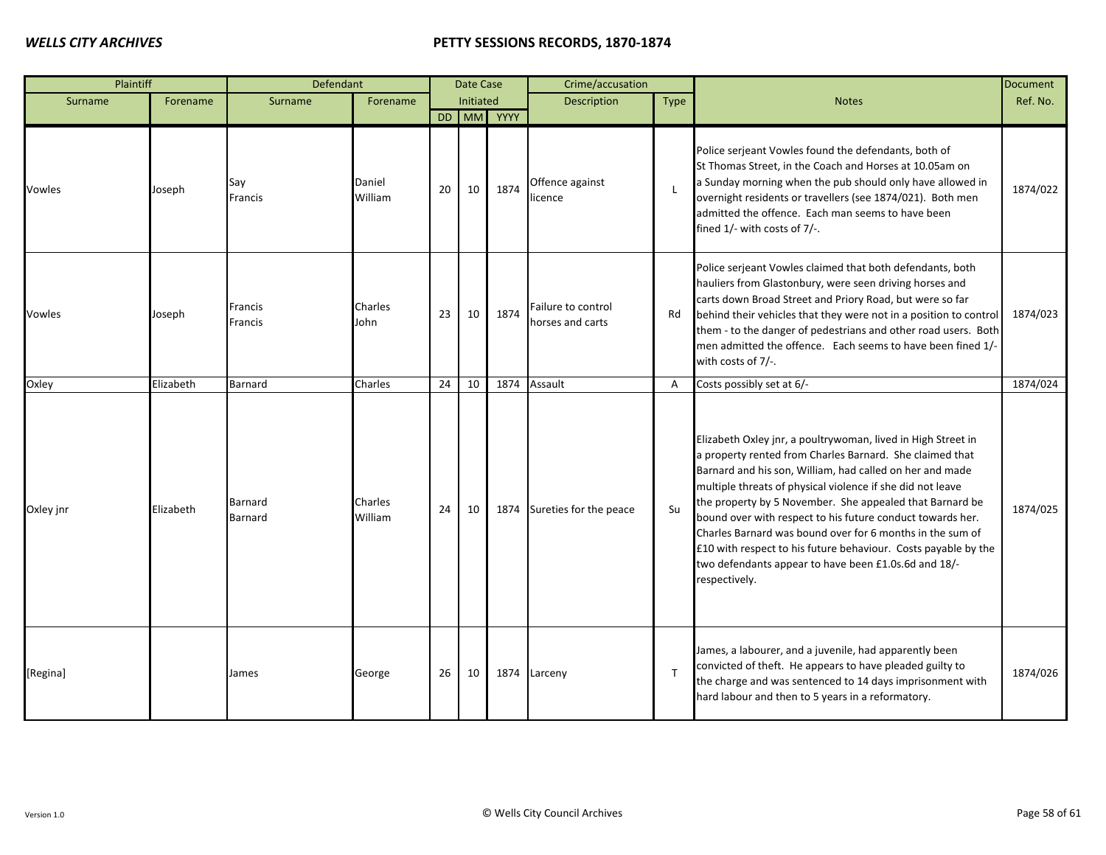| Plaintiff |           | Defendant                 |                    |    | Date Case |            | Crime/accusation                       |              |                                                                                                                                                                                                                                                                                                                                                                                                                                                                                                                                                                                      | Document |
|-----------|-----------|---------------------------|--------------------|----|-----------|------------|----------------------------------------|--------------|--------------------------------------------------------------------------------------------------------------------------------------------------------------------------------------------------------------------------------------------------------------------------------------------------------------------------------------------------------------------------------------------------------------------------------------------------------------------------------------------------------------------------------------------------------------------------------------|----------|
| Surname   | Forename  | Surname                   | Forename           |    | Initiated |            | <b>Description</b>                     | Type         | <b>Notes</b>                                                                                                                                                                                                                                                                                                                                                                                                                                                                                                                                                                         | Ref. No. |
|           |           |                           |                    |    |           | DD MM YYYY |                                        |              |                                                                                                                                                                                                                                                                                                                                                                                                                                                                                                                                                                                      |          |
| Vowles    | Joseph    | Say<br>Francis            | Daniel<br>William  | 20 | 10        | 1874       | Offence against<br>licence             | L            | Police serjeant Vowles found the defendants, both of<br>St Thomas Street, in the Coach and Horses at 10.05am on<br>a Sunday morning when the pub should only have allowed in<br>overnight residents or travellers (see 1874/021). Both men<br>admitted the offence. Each man seems to have been<br>fined 1/- with costs of 7/-.                                                                                                                                                                                                                                                      | 1874/022 |
| Vowles    | Joseph    | Francis<br>Francis        | Charles<br>John    | 23 | 10        | 1874       | Failure to control<br>horses and carts | Rd           | Police serjeant Vowles claimed that both defendants, both<br>hauliers from Glastonbury, were seen driving horses and<br>carts down Broad Street and Priory Road, but were so far<br>behind their vehicles that they were not in a position to control<br>them - to the danger of pedestrians and other road users. Both<br>men admitted the offence. Each seems to have been fined 1/-<br>with costs of 7/-.                                                                                                                                                                         | 1874/023 |
| Oxley     | Elizabeth | Barnard                   | Charles            | 24 | 10        | 1874       | Assault                                | A            | Costs possibly set at 6/-                                                                                                                                                                                                                                                                                                                                                                                                                                                                                                                                                            | 1874/024 |
| Oxley jnr | Elizabeth | Barnard<br><b>Barnard</b> | Charles<br>William | 24 | 10        | 1874       | Sureties for the peace                 | Su           | Elizabeth Oxley jnr, a poultrywoman, lived in High Street in<br>a property rented from Charles Barnard. She claimed that<br>Barnard and his son, William, had called on her and made<br>multiple threats of physical violence if she did not leave<br>the property by 5 November. She appealed that Barnard be<br>bound over with respect to his future conduct towards her.<br>Charles Barnard was bound over for 6 months in the sum of<br>£10 with respect to his future behaviour. Costs payable by the<br>two defendants appear to have been £1.0s.6d and 18/-<br>respectively. | 1874/025 |
| [Regina]  |           | James                     | George             | 26 | 10        | 1874       | Larceny                                | $\mathsf{T}$ | James, a labourer, and a juvenile, had apparently been<br>convicted of theft. He appears to have pleaded guilty to<br>the charge and was sentenced to 14 days imprisonment with<br>hard labour and then to 5 years in a reformatory.                                                                                                                                                                                                                                                                                                                                                 | 1874/026 |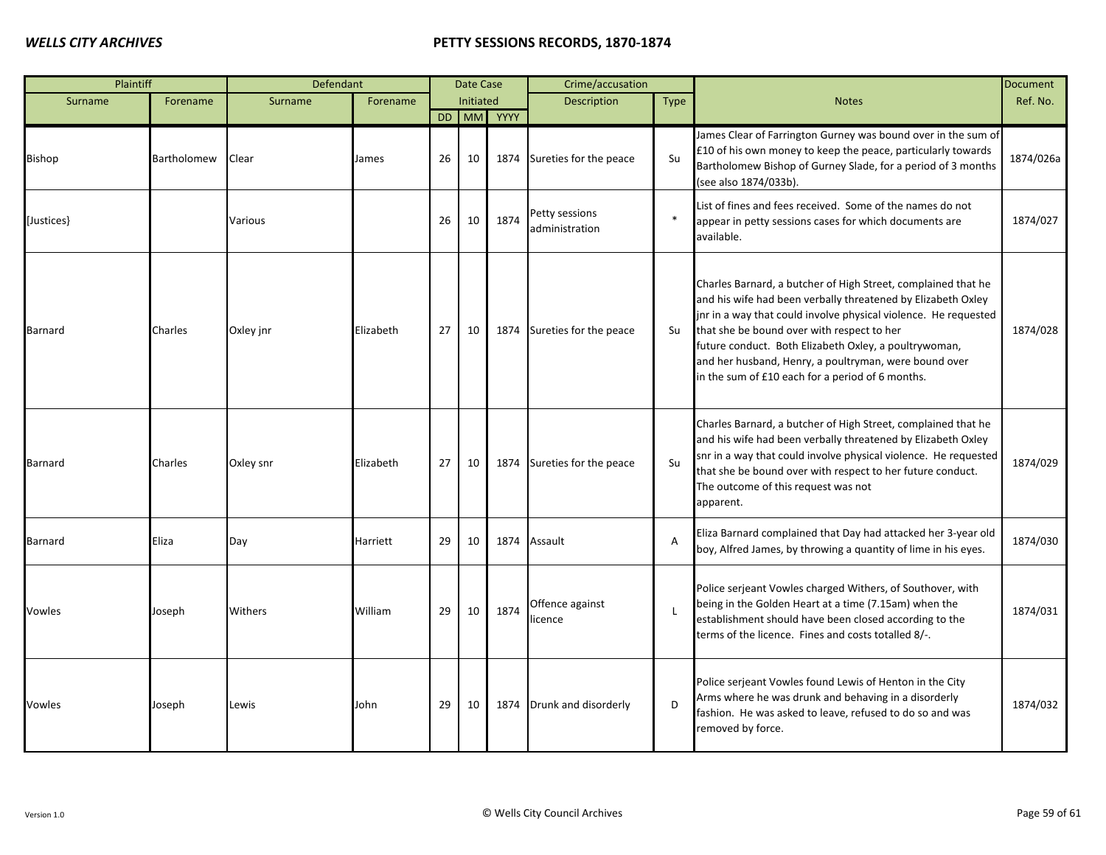| Plaintiff      |             | Defendant |           |    | Date Case |            | Crime/accusation                 |              |                                                                                                                                                                                                                                                                                                                                                                                                                      | <b>Document</b> |
|----------------|-------------|-----------|-----------|----|-----------|------------|----------------------------------|--------------|----------------------------------------------------------------------------------------------------------------------------------------------------------------------------------------------------------------------------------------------------------------------------------------------------------------------------------------------------------------------------------------------------------------------|-----------------|
| Surname        | Forename    | Surname   | Forename  |    | Initiated |            | <b>Description</b>               | Type         | <b>Notes</b>                                                                                                                                                                                                                                                                                                                                                                                                         | Ref. No.        |
|                |             |           |           |    |           | DD MM YYYY |                                  |              |                                                                                                                                                                                                                                                                                                                                                                                                                      |                 |
| Bishop         | Bartholomew | Clear     | James     | 26 | 10        |            | 1874 Sureties for the peace      | Su           | James Clear of Farrington Gurney was bound over in the sum of<br>£10 of his own money to keep the peace, particularly towards<br>Bartholomew Bishop of Gurney Slade, for a period of 3 months<br>(see also 1874/033b).                                                                                                                                                                                               | 1874/026a       |
| [Justices]     |             | Various   |           | 26 | 10        | 1874       | Petty sessions<br>administration | $\ast$       | List of fines and fees received. Some of the names do not<br>appear in petty sessions cases for which documents are<br>available.                                                                                                                                                                                                                                                                                    | 1874/027        |
| <b>Barnard</b> | Charles     | Oxley jnr | Elizabeth | 27 | 10        |            | 1874 Sureties for the peace      | Su           | Charles Barnard, a butcher of High Street, complained that he<br>and his wife had been verbally threatened by Elizabeth Oxley<br>jnr in a way that could involve physical violence. He requested<br>that she be bound over with respect to her<br>future conduct. Both Elizabeth Oxley, a poultrywoman,<br>and her husband, Henry, a poultryman, were bound over<br>in the sum of £10 each for a period of 6 months. | 1874/028        |
| <b>Barnard</b> | Charles     | Oxley snr | Elizabeth | 27 | 10        |            | 1874 Sureties for the peace      | Su           | Charles Barnard, a butcher of High Street, complained that he<br>and his wife had been verbally threatened by Elizabeth Oxley<br>snr in a way that could involve physical violence. He requested<br>that she be bound over with respect to her future conduct.<br>The outcome of this request was not<br>apparent.                                                                                                   | 1874/029        |
| Barnard        | Eliza       | Day       | Harriett  | 29 | 10        | 1874       | Assault                          | A            | Eliza Barnard complained that Day had attacked her 3-year old<br>boy, Alfred James, by throwing a quantity of lime in his eyes.                                                                                                                                                                                                                                                                                      | 1874/030        |
| Vowles         | Joseph      | Withers   | William   | 29 | 10        | 1874       | Offence against<br>icence        | $\mathsf{L}$ | Police serjeant Vowles charged Withers, of Southover, with<br>being in the Golden Heart at a time (7.15am) when the<br>establishment should have been closed according to the<br>terms of the licence. Fines and costs totalled 8/-.                                                                                                                                                                                 | 1874/031        |
| Vowles         | Joseph      | Lewis     | John      | 29 | 10        | 1874       | Drunk and disorderly             | D            | Police serjeant Vowles found Lewis of Henton in the City<br>Arms where he was drunk and behaving in a disorderly<br>fashion. He was asked to leave, refused to do so and was<br>removed by force.                                                                                                                                                                                                                    | 1874/032        |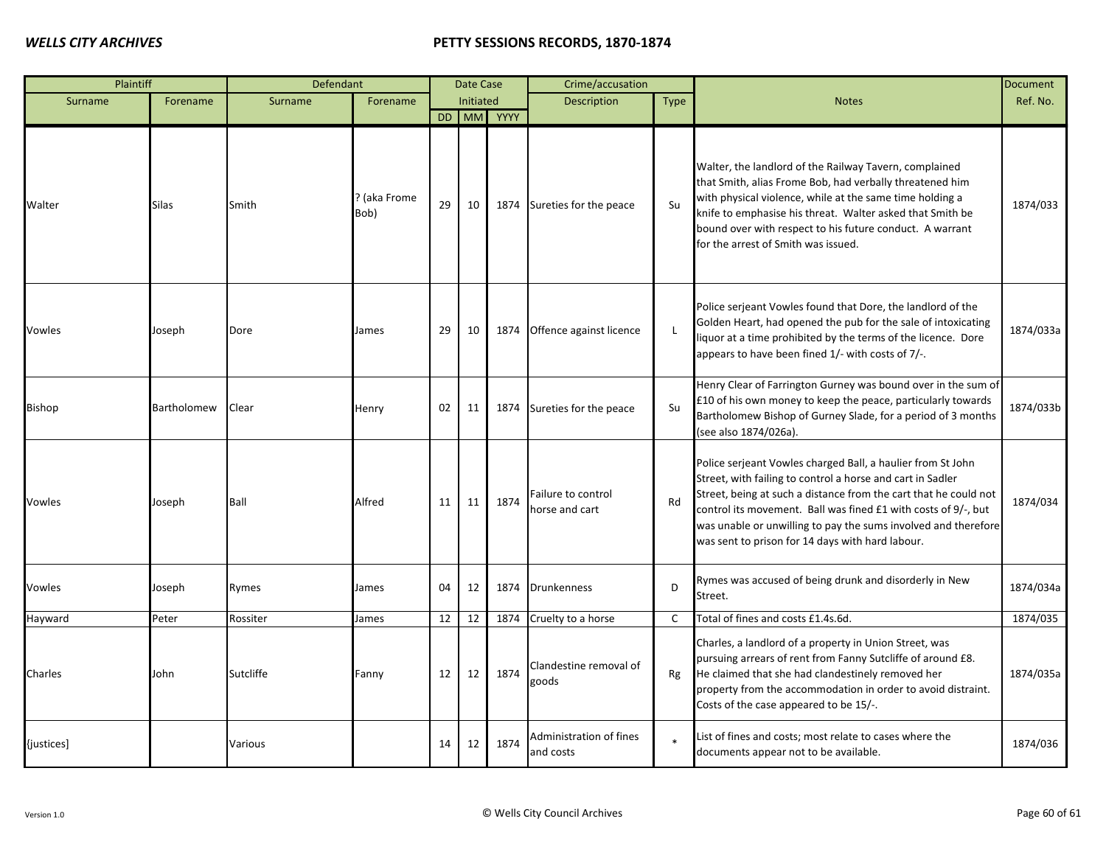| Plaintiff     |              | Defendant |                      |    | Date Case |            | Crime/accusation                     |              |                                                                                                                                                                                                                                                                                                                                                                                       | <b>Document</b> |
|---------------|--------------|-----------|----------------------|----|-----------|------------|--------------------------------------|--------------|---------------------------------------------------------------------------------------------------------------------------------------------------------------------------------------------------------------------------------------------------------------------------------------------------------------------------------------------------------------------------------------|-----------------|
| Surname       | Forename     | Surname   | Forename             |    | Initiated |            | Description                          | <b>Type</b>  | <b>Notes</b>                                                                                                                                                                                                                                                                                                                                                                          | Ref. No.        |
|               |              |           |                      |    |           | DD MM YYYY |                                      |              |                                                                                                                                                                                                                                                                                                                                                                                       |                 |
| Walter        | <b>Silas</b> | Smith     | ? (aka Frome<br>Bob) | 29 | 10        | 1874       | Sureties for the peace               | Su           | Walter, the landlord of the Railway Tavern, complained<br>that Smith, alias Frome Bob, had verbally threatened him<br>with physical violence, while at the same time holding a<br>knife to emphasise his threat. Walter asked that Smith be<br>bound over with respect to his future conduct. A warrant<br>for the arrest of Smith was issued.                                        | 1874/033        |
| Vowles        | Joseph       | Dore      | James                | 29 | 10        | 1874       | Offence against licence              | $\mathsf{L}$ | Police serjeant Vowles found that Dore, the landlord of the<br>Golden Heart, had opened the pub for the sale of intoxicating<br>liquor at a time prohibited by the terms of the licence. Dore<br>appears to have been fined 1/- with costs of 7/-.                                                                                                                                    | 1874/033a       |
| <b>Bishop</b> | Bartholomew  | Clear     | Henry                | 02 | 11        | 1874       | Sureties for the peace               | Su           | Henry Clear of Farrington Gurney was bound over in the sum of<br>£10 of his own money to keep the peace, particularly towards<br>Bartholomew Bishop of Gurney Slade, for a period of 3 months<br>(see also 1874/026a).                                                                                                                                                                | 1874/033b       |
| Vowles        | Joseph       | Ball      | Alfred               | 11 | 11        | 1874       | Failure to control<br>horse and cart | Rd           | Police serjeant Vowles charged Ball, a haulier from St John<br>Street, with failing to control a horse and cart in Sadler<br>Street, being at such a distance from the cart that he could not<br>control its movement. Ball was fined £1 with costs of 9/-, but<br>was unable or unwilling to pay the sums involved and therefore<br>was sent to prison for 14 days with hard labour. | 1874/034        |
| Vowles        | Joseph       | Rymes     | James                | 04 | 12        | 1874       | <b>Drunkenness</b>                   | D            | Rymes was accused of being drunk and disorderly in New<br>Street.                                                                                                                                                                                                                                                                                                                     | 1874/034a       |
| Hayward       | Peter        | Rossiter  | lames                | 12 | 12        | 1874       | Cruelty to a horse                   | C            | Total of fines and costs £1.4s.6d.                                                                                                                                                                                                                                                                                                                                                    | 1874/035        |
| Charles       | John         | Sutcliffe | Fanny                | 12 | 12        | 1874       | Clandestine removal of<br>goods      | Rg           | Charles, a landlord of a property in Union Street, was<br>pursuing arrears of rent from Fanny Sutcliffe of around £8.<br>He claimed that she had clandestinely removed her<br>property from the accommodation in order to avoid distraint.<br>Costs of the case appeared to be 15/-.                                                                                                  | 1874/035a       |
| {justices]    |              | Various   |                      | 14 | 12        | 1874       | Administration of fines<br>and costs |              | List of fines and costs; most relate to cases where the<br>documents appear not to be available.                                                                                                                                                                                                                                                                                      | 1874/036        |